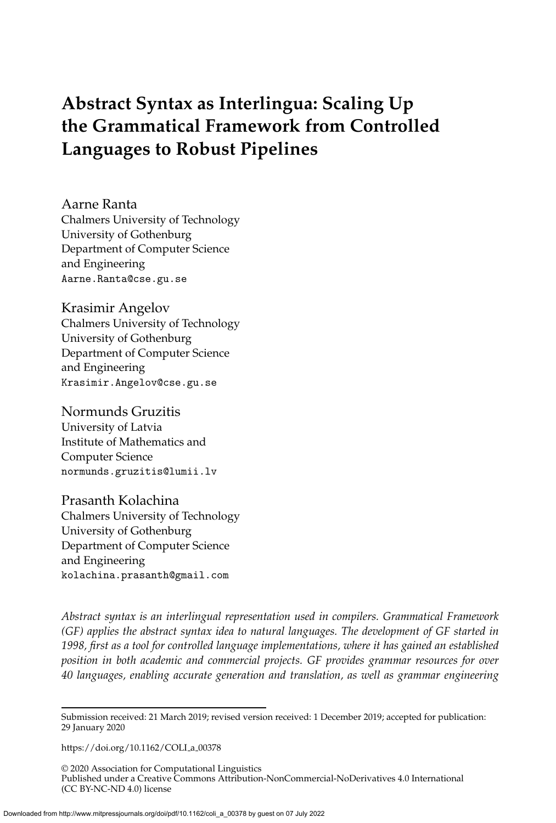# <span id="page-0-0"></span>**Abstract Syntax as Interlingua: Scaling Up the Grammatical Framework from Controlled Languages to Robust Pipelines**

Aarne Ranta Chalmers University of Technology University of Gothenburg Department of Computer Science and Engineering Aarne.Ranta@cse.gu.se

Krasimir Angelov Chalmers University of Technology University of Gothenburg Department of Computer Science and Engineering Krasimir.Angelov@cse.gu.se

Normunds Gruzitis University of Latvia Institute of Mathematics and Computer Science normunds.gruzitis@lumii.lv

Prasanth Kolachina Chalmers University of Technology University of Gothenburg Department of Computer Science and Engineering kolachina.prasanth@gmail.com

*Abstract syntax is an interlingual representation used in compilers. Grammatical Framework (GF) applies the abstract syntax idea to natural languages. The development of GF started in 1998, first as a tool for controlled language implementations, where it has gained an established position in both academic and commercial projects. GF provides grammar resources for over 40 languages, enabling accurate generation and translation, as well as grammar engineering*

[https://doi.org/10.1162/COLI](https://doi.org/10.1162/COLI_a_00378)\_a\_00378

© 2020 Association for Computational Linguistics Published under a Creative Commons Attribution-NonCommercial-NoDerivatives 4.0 International (CC BY-NC-ND 4.0) license

Submission received: 21 March 2019; revised version received: 1 December 2019; accepted for publication: 29 January 2020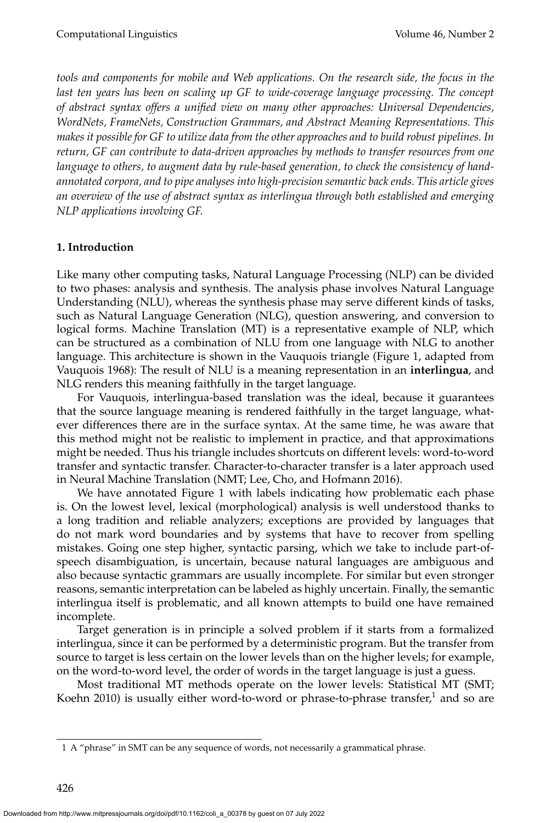*tools and components for mobile and Web applications. On the research side, the focus in the* last ten years has been on scaling up GF to wide-coverage language processing. The concept *of abstract syntax offers a unified view on many other approaches: Universal Dependencies, WordNets, FrameNets, Construction Grammars, and Abstract Meaning Representations. This makes it possible for GF to utilize data from the other approaches and to build robust pipelines. In return, GF can contribute to data-driven approaches by methods to transfer resources from one language to others, to augment data by rule-based generation, to check the consistency of handannotated corpora, and to pipe analyses into high-precision semantic back ends. This article gives an overview of the use of abstract syntax as interlingua through both established and emerging NLP applications involving GF.*

### **1. Introduction**

Like many other computing tasks, Natural Language Processing (NLP) can be divided to two phases: analysis and synthesis. The analysis phase involves Natural Language Understanding (NLU), whereas the synthesis phase may serve different kinds of tasks, such as Natural Language Generation (NLG), question answering, and conversion to logical forms. Machine Translation (MT) is a representative example of NLP, which can be structured as a combination of NLU from one language with NLG to another language. This architecture is shown in the Vauquois triangle (Figure [1,](#page-2-0) adapted from Vauquois [1968\)](#page-0-0): The result of NLU is a meaning representation in an **interlingua**, and NLG renders this meaning faithfully in the target language.

For Vauquois, interlingua-based translation was the ideal, because it guarantees that the source language meaning is rendered faithfully in the target language, whatever differences there are in the surface syntax. At the same time, he was aware that this method might not be realistic to implement in practice, and that approximations might be needed. Thus his triangle includes shortcuts on different levels: word-to-word transfer and syntactic transfer. Character-to-character transfer is a later approach used in Neural Machine Translation (NMT; Lee, Cho, and Hofmann [2016\)](#page-0-0).

We have annotated Figure [1](#page-2-0) with labels indicating how problematic each phase is. On the lowest level, lexical (morphological) analysis is well understood thanks to a long tradition and reliable analyzers; exceptions are provided by languages that do not mark word boundaries and by systems that have to recover from spelling mistakes. Going one step higher, syntactic parsing, which we take to include part-ofspeech disambiguation, is uncertain, because natural languages are ambiguous and also because syntactic grammars are usually incomplete. For similar but even stronger reasons, semantic interpretation can be labeled as highly uncertain. Finally, the semantic interlingua itself is problematic, and all known attempts to build one have remained incomplete.

Target generation is in principle a solved problem if it starts from a formalized interlingua, since it can be performed by a deterministic program. But the transfer from source to target is less certain on the lower levels than on the higher levels; for example, on the word-to-word level, the order of words in the target language is just a guess.

Most traditional MT methods operate on the lower levels: Statistical MT (SMT; Koehn [2010\)](#page-0-0) is usually either word-to-word or phrase-to-phrase transfer, $^1$  $^1$  and so are

<span id="page-1-0"></span><sup>1</sup> A "phrase" in SMT can be any sequence of words, not necessarily a grammatical phrase.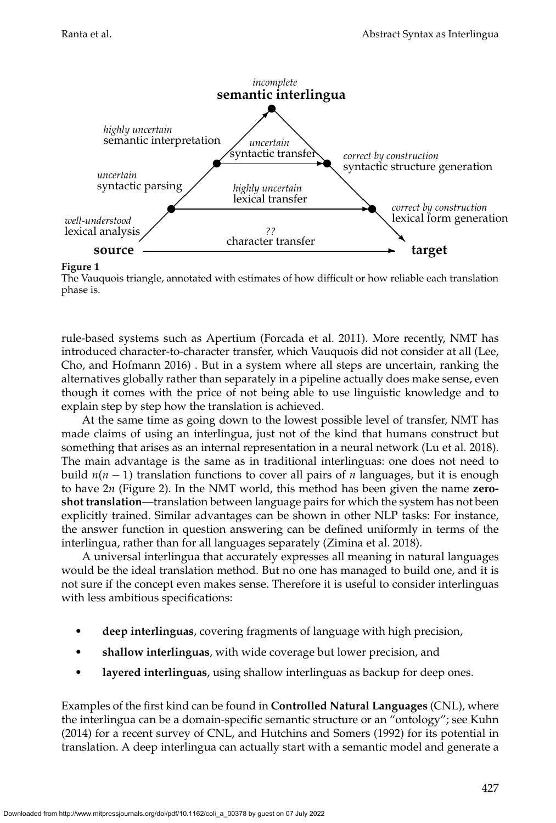

**Figure 1**

<span id="page-2-0"></span>The Vauquois triangle, annotated with estimates of how difficult or how reliable each translation phase is.

rule-based systems such as Apertium [\(Forcada et al. 2011\)](#page-0-0). More recently, NMT has introduced character-to-character transfer, which Vauquois did not consider at all [\(Lee,](#page-0-0) [Cho, and Hofmann 2016\)](#page-0-0) . But in a system where all steps are uncertain, ranking the alternatives globally rather than separately in a pipeline actually does make sense, even though it comes with the price of not being able to use linguistic knowledge and to explain step by step how the translation is achieved.

At the same time as going down to the lowest possible level of transfer, NMT has made claims of using an interlingua, just not of the kind that humans construct but something that arises as an internal representation in a neural network [\(Lu et al. 2018\)](#page-0-0). The main advantage is the same as in traditional interlinguas: one does not need to build  $n(n-1)$  translation functions to cover all pairs of *n* languages, but it is enough to have 2*n* (Figure [2\)](#page-3-0). In the NMT world, this method has been given the name **zeroshot translation**—translation between language pairs for which the system has not been explicitly trained. Similar advantages can be shown in other NLP tasks: For instance, the answer function in question answering can be defined uniformly in terms of the interlingua, rather than for all languages separately [\(Zimina et al. 2018\)](#page-0-0).

A universal interlingua that accurately expresses all meaning in natural languages would be the ideal translation method. But no one has managed to build one, and it is not sure if the concept even makes sense. Therefore it is useful to consider interlinguas with less ambitious specifications:

- **deep interlinguas**, covering fragments of language with high precision,
- **shallow interlinguas**, with wide coverage but lower precision, and
- **layered interlinguas**, using shallow interlinguas as backup for deep ones.

Examples of the first kind can be found in **Controlled Natural Languages** (CNL), where the interlingua can be a domain-specific semantic structure or an "ontology"; see [Kuhn](#page-0-0) [\(2014\)](#page-0-0) for a recent survey of CNL, and [Hutchins and Somers \(1992\)](#page-0-0) for its potential in translation. A deep interlingua can actually start with a semantic model and generate a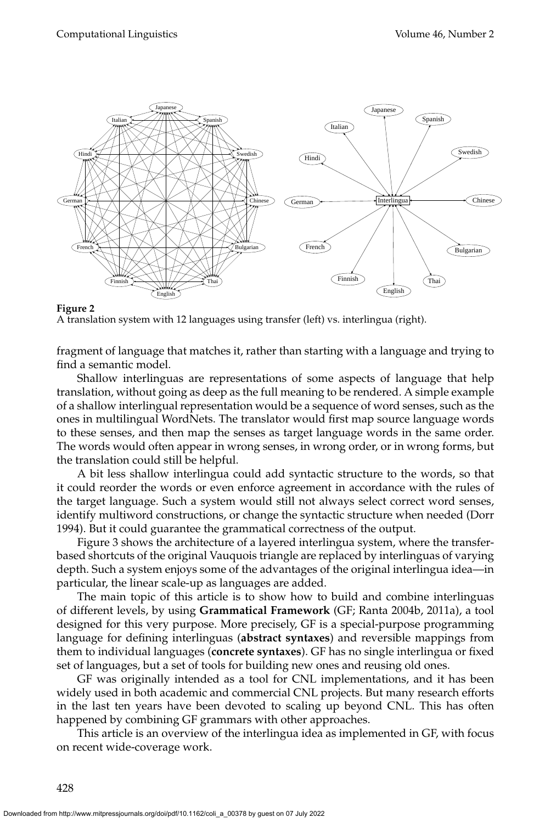

<span id="page-3-0"></span>A translation system with 12 languages using transfer (left) vs. interlingua (right).

fragment of language that matches it, rather than starting with a language and trying to find a semantic model.

Shallow interlinguas are representations of some aspects of language that help translation, without going as deep as the full meaning to be rendered. A simple example of a shallow interlingual representation would be a sequence of word senses, such as the ones in multilingual WordNets. The translator would first map source language words to these senses, and then map the senses as target language words in the same order. The words would often appear in wrong senses, in wrong order, or in wrong forms, but the translation could still be helpful.

A bit less shallow interlingua could add syntactic structure to the words, so that it could reorder the words or even enforce agreement in accordance with the rules of the target language. Such a system would still not always select correct word senses, identify multiword constructions, or change the syntactic structure when needed [\(Dorr](#page-0-0) [1994\)](#page-0-0). But it could guarantee the grammatical correctness of the output.

Figure [3](#page-4-0) shows the architecture of a layered interlingua system, where the transferbased shortcuts of the original Vauquois triangle are replaced by interlinguas of varying depth. Such a system enjoys some of the advantages of the original interlingua idea—in particular, the linear scale-up as languages are added.

The main topic of this article is to show how to build and combine interlinguas of different levels, by using **Grammatical Framework** (GF; Ranta [2004b, 2011a\)](#page-0-0), a tool designed for this very purpose. More precisely, GF is a special-purpose programming language for defining interlinguas (**abstract syntaxes**) and reversible mappings from them to individual languages (**concrete syntaxes**). GF has no single interlingua or fixed set of languages, but a set of tools for building new ones and reusing old ones.

GF was originally intended as a tool for CNL implementations, and it has been widely used in both academic and commercial CNL projects. But many research efforts in the last ten years have been devoted to scaling up beyond CNL. This has often happened by combining GF grammars with other approaches.

This article is an overview of the interlingua idea as implemented in GF, with focus on recent wide-coverage work.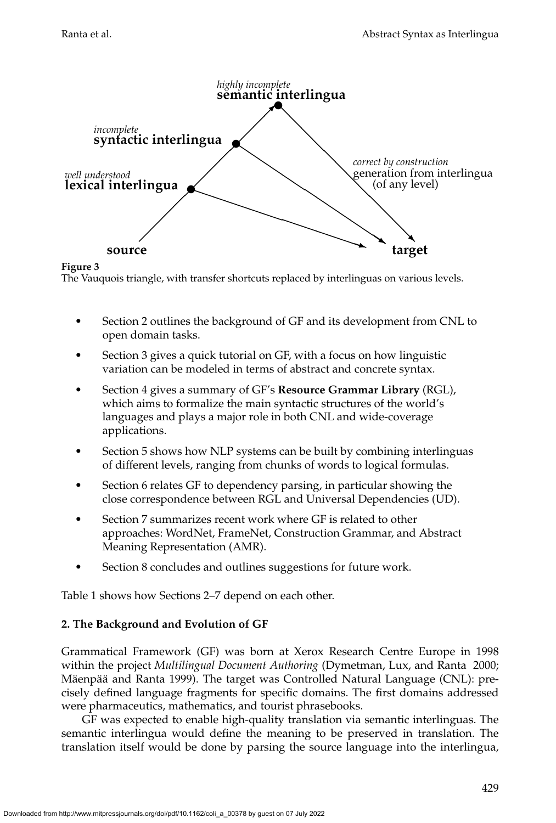

<span id="page-4-0"></span>**Figure 3** The Vauquois triangle, with transfer shortcuts replaced by interlinguas on various levels.

- Section [2](#page-4-1) outlines the background of GF and its development from CNL to open domain tasks.
- Section [3](#page-9-0) gives a quick tutorial on GF, with a focus on how linguistic variation can be modeled in terms of abstract and concrete syntax.
- Section [4](#page-19-0) gives a summary of GF's **Resource Grammar Library** (RGL), which aims to formalize the main syntactic structures of the world's languages and plays a major role in both CNL and wide-coverage applications.
- Section [5](#page-27-0) shows how NLP systems can be built by combining interlinguas of different levels, ranging from chunks of words to logical formulas.
- Section [6](#page-33-0) relates GF to dependency parsing, in particular showing the close correspondence between RGL and Universal Dependencies (UD).
- Section [7](#page-41-0) summarizes recent work where GF is related to other approaches: WordNet, FrameNet, Construction Grammar, and Abstract Meaning Representation (AMR).
- Section [8](#page-53-0) concludes and outlines suggestions for future work.

Table [1](#page-5-0) shows how Sections 2–7 depend on each other.

### <span id="page-4-1"></span>**2. The Background and Evolution of GF**

Grammatical Framework (GF) was born at Xerox Research Centre Europe in 1998 within the project *Multilingual Document Authoring* [\(Dymetman, Lux, and Ranta 2000;](#page-0-0) Mäenpää and Ranta 1999). The target was Controlled Natural Language (CNL): precisely defined language fragments for specific domains. The first domains addressed were pharmaceutics, mathematics, and tourist phrasebooks.

GF was expected to enable high-quality translation via semantic interlinguas. The semantic interlingua would define the meaning to be preserved in translation. The translation itself would be done by parsing the source language into the interlingua,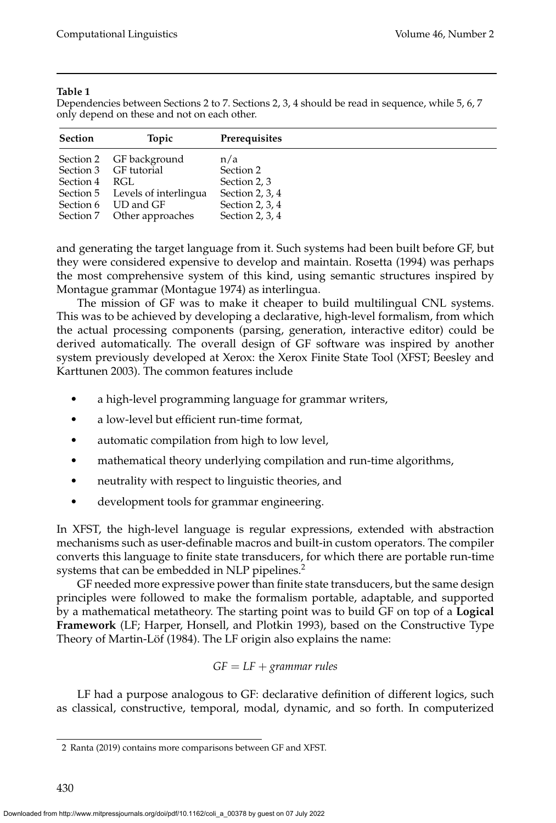#### **Table 1**

<span id="page-5-0"></span>Dependencies between Sections 2 to 7. Sections 2, 3, 4 should be read in sequence, while 5, 6, 7 only depend on these and not on each other.

| <b>Section</b> | Topic                           | <b>Prerequisites</b> |
|----------------|---------------------------------|----------------------|
|                | Section 2 GF background         | n/a                  |
|                | Section 3 GF tutorial           | Section 2            |
| Section 4 RGL  |                                 | Section 2, 3         |
|                | Section 5 Levels of interlingua | Section 2, 3, $4$    |
|                | Section 6 UD and GF             | Section 2, 3, 4      |
|                | Section 7 Other approaches      | Section 2, 3, $4$    |

and generating the target language from it. Such systems had been built before GF, but they were considered expensive to develop and maintain. [Rosetta \(1994\)](#page-0-0) was perhaps the most comprehensive system of this kind, using semantic structures inspired by Montague grammar [\(Montague 1974\)](#page-0-0) as interlingua.

The mission of GF was to make it cheaper to build multilingual CNL systems. This was to be achieved by developing a declarative, high-level formalism, from which the actual processing components (parsing, generation, interactive editor) could be derived automatically. The overall design of GF software was inspired by another system previously developed at Xerox: the Xerox Finite State Tool (XFST; Beesley and Karttunen [2003\)](#page-0-0). The common features include

- a high-level programming language for grammar writers,
- a low-level but efficient run-time format,
- automatic compilation from high to low level,
- mathematical theory underlying compilation and run-time algorithms,
- neutrality with respect to linguistic theories, and
- development tools for grammar engineering.

In XFST, the high-level language is regular expressions, extended with abstraction mechanisms such as user-definable macros and built-in custom operators. The compiler converts this language to finite state transducers, for which there are portable run-time systems that can be embedded in NLP pipelines.<sup>[2](#page-5-1)</sup>

GF needed more expressive power than finite state transducers, but the same design principles were followed to make the formalism portable, adaptable, and supported by a mathematical metatheory. The starting point was to build GF on top of a **Logical Framework** (LF; Harper, Honsell, and Plotkin [1993\)](#page-0-0), based on the Constructive Type Theory of Martin-Löf (1984). The LF origin also explains the name:

$$
GF = LF + grammar rules
$$

LF had a purpose analogous to GF: declarative definition of different logics, such as classical, constructive, temporal, modal, dynamic, and so forth. In computerized

<span id="page-5-1"></span><sup>2</sup> [Ranta \(2019\)](#page-0-0) contains more comparisons between GF and XFST.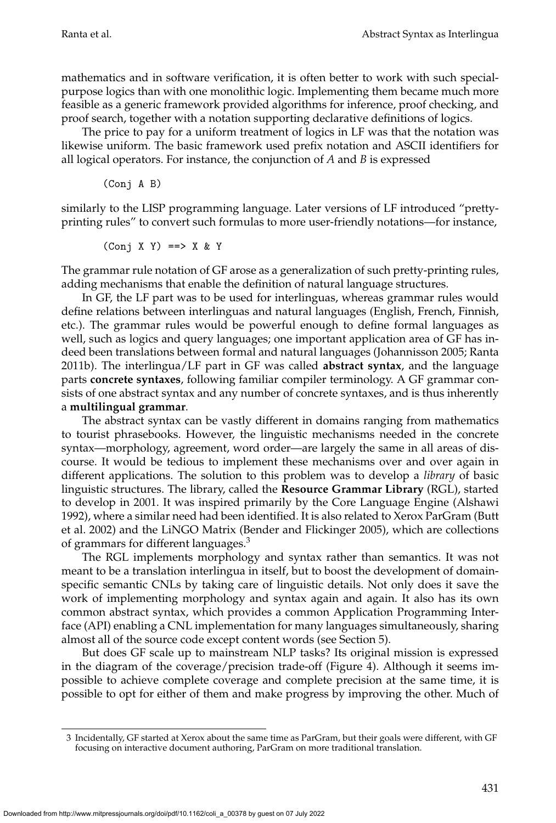mathematics and in software verification, it is often better to work with such specialpurpose logics than with one monolithic logic. Implementing them became much more feasible as a generic framework provided algorithms for inference, proof checking, and proof search, together with a notation supporting declarative definitions of logics.

The price to pay for a uniform treatment of logics in LF was that the notation was likewise uniform. The basic framework used prefix notation and ASCII identifiers for all logical operators. For instance, the conjunction of *A* and *B* is expressed

(Conj A B)

similarly to the LISP programming language. Later versions of LF introduced "prettyprinting rules" to convert such formulas to more user-friendly notations—for instance,

$$
(Conj X Y) \implies X & Y
$$

The grammar rule notation of GF arose as a generalization of such pretty-printing rules, adding mechanisms that enable the definition of natural language structures.

In GF, the LF part was to be used for interlinguas, whereas grammar rules would define relations between interlinguas and natural languages (English, French, Finnish, etc.). The grammar rules would be powerful enough to define formal languages as well, such as logics and query languages; one important application area of GF has indeed been translations between formal and natural languages [\(Johannisson 2005; Ranta](#page-0-0) [2011b\)](#page-0-0). The interlingua/LF part in GF was called **abstract syntax**, and the language parts **concrete syntaxes**, following familiar compiler terminology. A GF grammar consists of one abstract syntax and any number of concrete syntaxes, and is thus inherently a **multilingual grammar**.

The abstract syntax can be vastly different in domains ranging from mathematics to tourist phrasebooks. However, the linguistic mechanisms needed in the concrete syntax—morphology, agreement, word order—are largely the same in all areas of discourse. It would be tedious to implement these mechanisms over and over again in different applications. The solution to this problem was to develop a *library* of basic linguistic structures. The library, called the **Resource Grammar Library** (RGL), started to develop in 2001. It was inspired primarily by the Core Language Engine [\(Alshawi](#page-0-0) [1992\)](#page-0-0), where a similar need had been identified. It is also related to Xerox ParGram [\(Butt](#page-0-0) [et al. 2002\)](#page-0-0) and the LiNGO Matrix [\(Bender and Flickinger 2005\)](#page-0-0), which are collections of grammars for different languages.<sup>[3](#page-6-0)</sup>

The RGL implements morphology and syntax rather than semantics. It was not meant to be a translation interlingua in itself, but to boost the development of domainspecific semantic CNLs by taking care of linguistic details. Not only does it save the work of implementing morphology and syntax again and again. It also has its own common abstract syntax, which provides a common Application Programming Interface (API) enabling a CNL implementation for many languages simultaneously, sharing almost all of the source code except content words (see Section [5\)](#page-27-0).

But does GF scale up to mainstream NLP tasks? Its original mission is expressed in the diagram of the coverage/precision trade-off (Figure [4\)](#page-7-0). Although it seems impossible to achieve complete coverage and complete precision at the same time, it is possible to opt for either of them and make progress by improving the other. Much of

<span id="page-6-0"></span><sup>3</sup> Incidentally, GF started at Xerox about the same time as ParGram, but their goals were different, with GF focusing on interactive document authoring, ParGram on more traditional translation.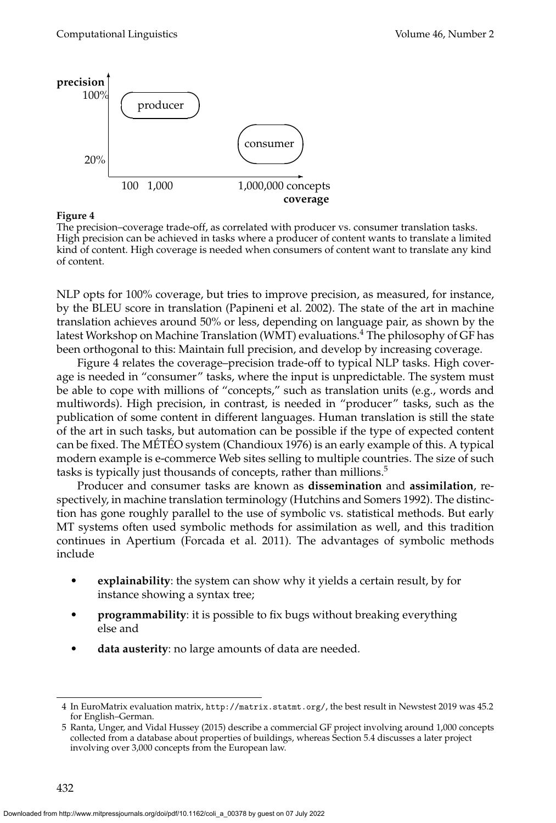

<span id="page-7-0"></span>The precision–coverage trade-off, as correlated with producer vs. consumer translation tasks. High precision can be achieved in tasks where a producer of content wants to translate a limited kind of content. High coverage is needed when consumers of content want to translate any kind of content.

NLP opts for 100% coverage, but tries to improve precision, as measured, for instance, by the BLEU score in translation [\(Papineni et al. 2002\)](#page-0-0). The state of the art in machine translation achieves around 50% or less, depending on language pair, as shown by the latest Workshop on Machine Translation (WMT) evaluations.<sup>[4](#page-7-1)</sup> The philosophy of GF has been orthogonal to this: Maintain full precision, and develop by increasing coverage.

Figure [4](#page-7-0) relates the coverage–precision trade-off to typical NLP tasks. High coverage is needed in "consumer" tasks, where the input is unpredictable. The system must be able to cope with millions of "concepts," such as translation units (e.g., words and multiwords). High precision, in contrast, is needed in "producer" tasks, such as the publication of some content in different languages. Human translation is still the state of the art in such tasks, but automation can be possible if the type of expected content can be fixed. The MÉTÉO system [\(Chandioux 1976\)](#page-0-0) is an early example of this. A typical modern example is e-commerce Web sites selling to multiple countries. The size of such tasks is typically just thousands of concepts, rather than millions.<sup>[5](#page-7-2)</sup>

Producer and consumer tasks are known as **dissemination** and **assimilation**, respectively, in machine translation terminology [\(Hutchins and Somers 1992\)](#page-0-0). The distinction has gone roughly parallel to the use of symbolic vs. statistical methods. But early MT systems often used symbolic methods for assimilation as well, and this tradition continues in Apertium [\(Forcada et al. 2011\)](#page-0-0). The advantages of symbolic methods include

- **explainability**: the system can show why it yields a certain result, by for instance showing a syntax tree;
- **programmability**: it is possible to fix bugs without breaking everything else and
- **data austerity**: no large amounts of data are needed.

<span id="page-7-1"></span><sup>4</sup> In EuroMatrix evaluation matrix, <http://matrix.statmt.org/>, the best result in Newstest 2019 was 45.2 for English–German.

<span id="page-7-2"></span><sup>5</sup> [Ranta, Unger, and Vidal Hussey \(2015\)](#page-0-0) describe a commercial GF project involving around 1,000 concepts collected from a database about properties of buildings, whereas Section [5.4](#page-31-0) discusses a later project involving over 3,000 concepts from the European law.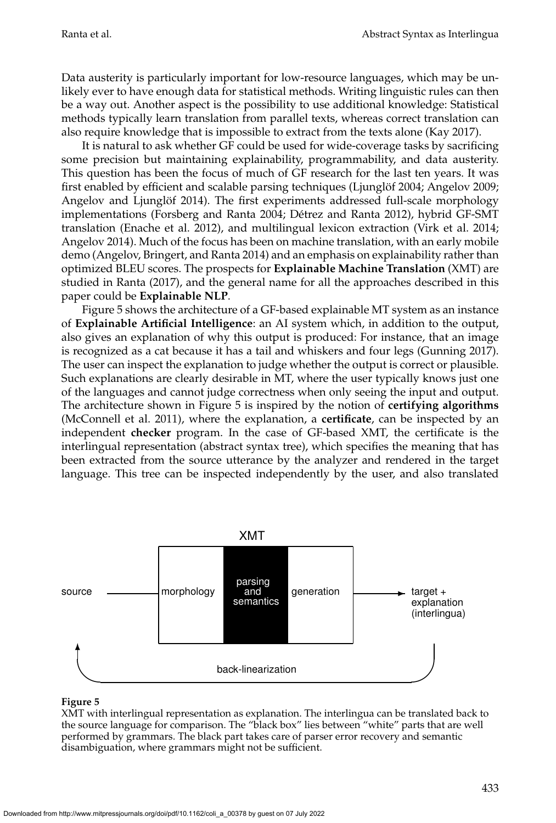Data austerity is particularly important for low-resource languages, which may be unlikely ever to have enough data for statistical methods. Writing linguistic rules can then be a way out. Another aspect is the possibility to use additional knowledge: Statistical methods typically learn translation from parallel texts, whereas correct translation can also require knowledge that is impossible to extract from the texts alone [\(Kay 2017\)](#page-0-0).

It is natural to ask whether GF could be used for wide-coverage tasks by sacrificing some precision but maintaining explainability, programmability, and data austerity. This question has been the focus of much of GF research for the last ten years. It was first enabled by efficient and scalable parsing techniques (Ljunglöf 2004; Angelov 2009; Angelov and Ljunglöf 2014). The first experiments addressed full-scale morphology implementations [\(Forsberg and Ranta 2004; Detrez and Ranta 2012\)](#page-0-0), hybrid GF-SMT ´ translation [\(Enache et al. 2012\)](#page-0-0), and multilingual lexicon extraction [\(Virk et al. 2014;](#page-0-0) [Angelov 2014\)](#page-0-0). Much of the focus has been on machine translation, with an early mobile demo [\(Angelov, Bringert, and Ranta 2014\)](#page-0-0) and an emphasis on explainability rather than optimized BLEU scores. The prospects for **Explainable Machine Translation** (XMT) are studied in [Ranta \(2017\)](#page-0-0), and the general name for all the approaches described in this paper could be **Explainable NLP**.

Figure [5](#page-8-0) shows the architecture of a GF-based explainable MT system as an instance of **Explainable Artificial Intelligence**: an AI system which, in addition to the output, also gives an explanation of why this output is produced: For instance, that an image is recognized as a cat because it has a tail and whiskers and four legs [\(Gunning 2017\)](#page-0-0). The user can inspect the explanation to judge whether the output is correct or plausible. Such explanations are clearly desirable in MT, where the user typically knows just one of the languages and cannot judge correctness when only seeing the input and output. The architecture shown in Figure [5](#page-8-0) is inspired by the notion of **certifying algorithms** [\(McConnell et al. 2011\)](#page-0-0), where the explanation, a **certificate**, can be inspected by an independent **checker** program. In the case of GF-based XMT, the certificate is the interlingual representation (abstract syntax tree), which specifies the meaning that has been extracted from the source utterance by the analyzer and rendered in the target language. This tree can be inspected independently by the user, and also translated



#### **Figure 5**

<span id="page-8-0"></span>XMT with interlingual representation as explanation. The interlingua can be translated back to the source language for comparison. The "black box" lies between "white" parts that are well performed by grammars. The black part takes care of parser error recovery and semantic disambiguation, where grammars might not be sufficient.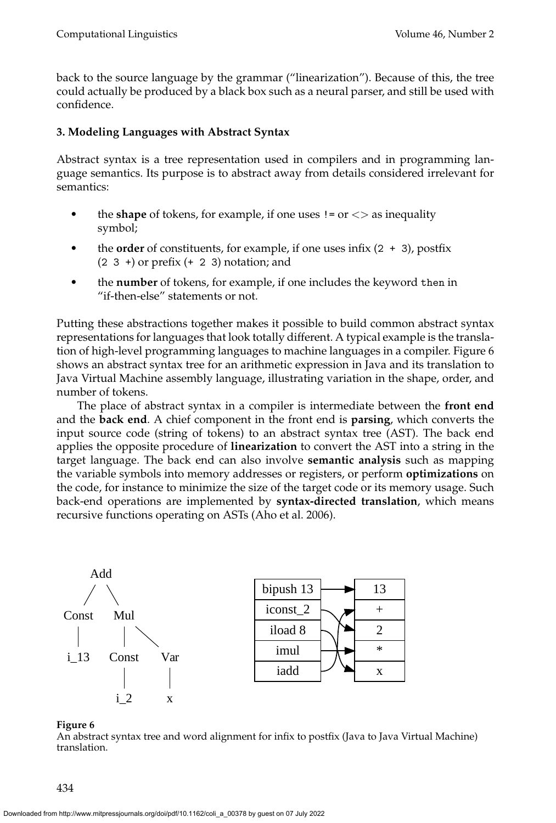back to the source language by the grammar ("linearization"). Because of this, the tree could actually be produced by a black box such as a neural parser, and still be used with confidence.

## <span id="page-9-0"></span>**3. Modeling Languages with Abstract Syntax**

Abstract syntax is a tree representation used in compilers and in programming language semantics. Its purpose is to abstract away from details considered irrelevant for semantics:

- the **shape** of tokens, for example, if one uses  $!=$  or  $\lt$  as inequality symbol;
- the **order** of constituents, for example, if one uses infix  $(2 + 3)$ , postfix  $(2 \ 3 \ +)$  or prefix  $(+ 2 \ 3)$  notation; and
- the **number** of tokens, for example, if one includes the keyword then in "if-then-else" statements or not.

Putting these abstractions together makes it possible to build common abstract syntax representations for languages that look totally different. A typical example is the translation of high-level programming languages to machine languages in a compiler. Figure [6](#page-9-1) shows an abstract syntax tree for an arithmetic expression in Java and its translation to Java Virtual Machine assembly language, illustrating variation in the shape, order, and number of tokens.

The place of abstract syntax in a compiler is intermediate between the **front end** and the **back end**. A chief component in the front end is **parsing**, which converts the input source code (string of tokens) to an abstract syntax tree (AST). The back end applies the opposite procedure of **linearization** to convert the AST into a string in the target language. The back end can also involve **semantic analysis** such as mapping the variable symbols into memory addresses or registers, or perform **optimizations** on the code, for instance to minimize the size of the target code or its memory usage. Such back-end operations are implemented by **syntax-directed translation**, which means recursive functions operating on ASTs [\(Aho et al. 2006\)](#page-0-0).



### **Figure 6**

<span id="page-9-1"></span>An abstract syntax tree and word alignment for infix to postfix (Java to Java Virtual Machine) translation.

434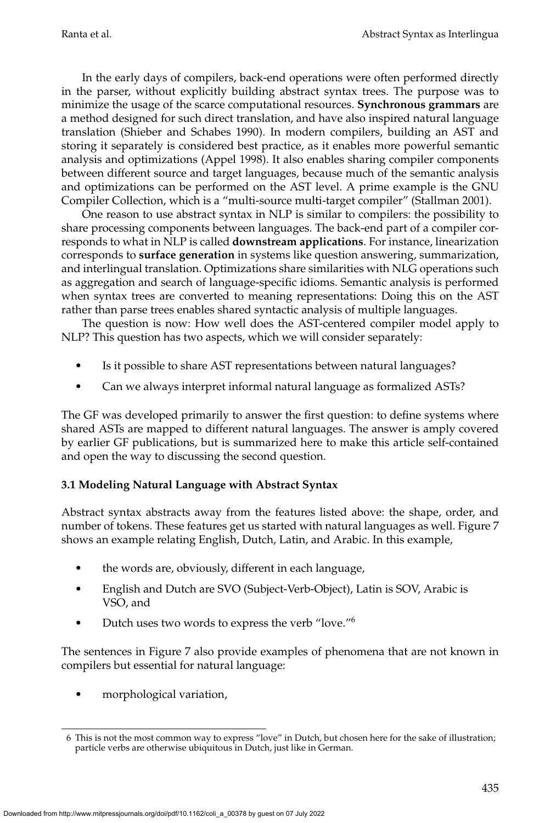In the early days of compilers, back-end operations were often performed directly in the parser, without explicitly building abstract syntax trees. The purpose was to minimize the usage of the scarce computational resources. **Synchronous grammars** are a method designed for such direct translation, and have also inspired natural language translation [\(Shieber and Schabes 1990\)](#page-0-0). In modern compilers, building an AST and storing it separately is considered best practice, as it enables more powerful semantic analysis and optimizations [\(Appel 1998\)](#page-0-0). It also enables sharing compiler components between different source and target languages, because much of the semantic analysis and optimizations can be performed on the AST level. A prime example is the GNU Compiler Collection, which is a "multi-source multi-target compiler" [\(Stallman 2001\)](#page-0-0).

One reason to use abstract syntax in NLP is similar to compilers: the possibility to share processing components between languages. The back-end part of a compiler corresponds to what in NLP is called **downstream applications**. For instance, linearization corresponds to **surface generation** in systems like question answering, summarization, and interlingual translation. Optimizations share similarities with NLG operations such as aggregation and search of language-specific idioms. Semantic analysis is performed when syntax trees are converted to meaning representations: Doing this on the AST rather than parse trees enables shared syntactic analysis of multiple languages.

The question is now: How well does the AST-centered compiler model apply to NLP? This question has two aspects, which we will consider separately:

- Is it possible to share AST representations between natural languages?
- Can we always interpret informal natural language as formalized ASTs?

The GF was developed primarily to answer the first question: to define systems where shared ASTs are mapped to different natural languages. The answer is amply covered by earlier GF publications, but is summarized here to make this article self-contained and open the way to discussing the second question.

# **3.1 Modeling Natural Language with Abstract Syntax**

Abstract syntax abstracts away from the features listed above: the shape, order, and number of tokens. These features get us started with natural languages as well. Figure [7](#page-11-0) shows an example relating English, Dutch, Latin, and Arabic. In this example,

- the words are, obviously, different in each language,
- English and Dutch are SVO (Subject-Verb-Object), Latin is SOV, Arabic is VSO, and
- Dutch uses two words to express the verb "love."[6](#page-10-0)

The sentences in Figure [7](#page-11-0) also provide examples of phenomena that are not known in compilers but essential for natural language:

• morphological variation,

<span id="page-10-0"></span><sup>6</sup> This is not the most common way to express "love" in Dutch, but chosen here for the sake of illustration; particle verbs are otherwise ubiquitous in Dutch, just like in German.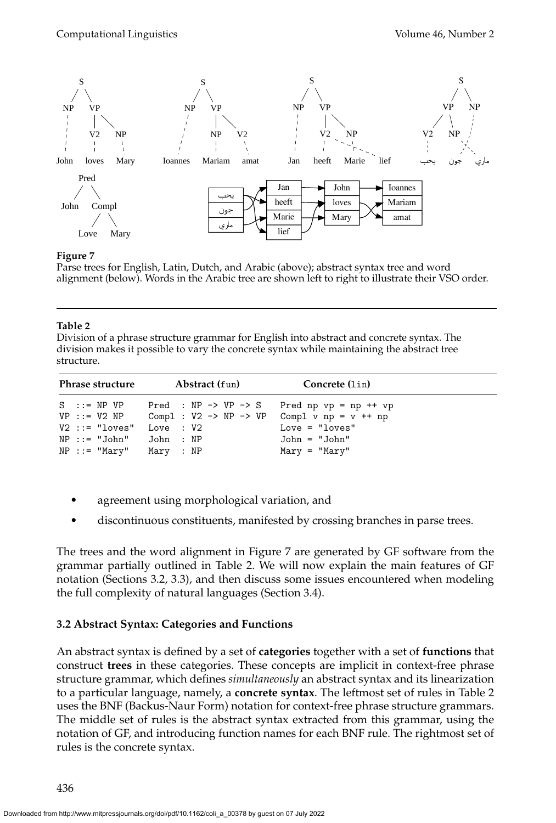

<span id="page-11-0"></span>Parse trees for English, Latin, Dutch, and Arabic (above); abstract syntax tree and word alignment (below). Words in the Arabic tree are shown left to right to illustrate their VSO order.

#### **Table 2**

<span id="page-11-1"></span>Division of a phrase structure grammar for English into abstract and concrete syntax. The division makes it possible to vary the concrete syntax while maintaining the abstract tree structure.

| Phrase structure                                                                                                               | Abstract (fun)                                                                                                | Concrete (lin)                                                                  |  |  |  |  |
|--------------------------------------------------------------------------------------------------------------------------------|---------------------------------------------------------------------------------------------------------------|---------------------------------------------------------------------------------|--|--|--|--|
| $S$ ::= NP VP<br>$VP : := V2 NP$<br>$V2 ::= "loves"$ Love : $V2$<br>$NP :: = "John"$ John : $NP$<br>$NP :: = "Mary"$ Mary : NP | Pred : NP $\rightarrow$ VP $\rightarrow$ S<br>Compl : $V2 \rightarrow NP \rightarrow VP$ Compl v np = v ++ np | Pred np $vp = np + fvp$<br>$Love = "loves"$<br>John = "John"<br>$Mary = "Mary"$ |  |  |  |  |

- agreement using morphological variation, and
- discontinuous constituents, manifested by crossing branches in parse trees.

The trees and the word alignment in Figure [7](#page-11-0) are generated by GF software from the grammar partially outlined in Table [2.](#page-11-1) We will now explain the main features of GF notation (Sections [3.2,](#page-11-2) [3.3\)](#page-12-0), and then discuss some issues encountered when modeling the full complexity of natural languages (Section [3.4\)](#page-13-0).

### <span id="page-11-2"></span>**3.2 Abstract Syntax: Categories and Functions**

An abstract syntax is defined by a set of **categories** together with a set of **functions** that construct **trees** in these categories. These concepts are implicit in context-free phrase structure grammar, which defines *simultaneously* an abstract syntax and its linearization to a particular language, namely, a **concrete syntax**. The leftmost set of rules in Table [2](#page-11-1) uses the BNF (Backus-Naur Form) notation for context-free phrase structure grammars. The middle set of rules is the abstract syntax extracted from this grammar, using the notation of GF, and introducing function names for each BNF rule. The rightmost set of rules is the concrete syntax.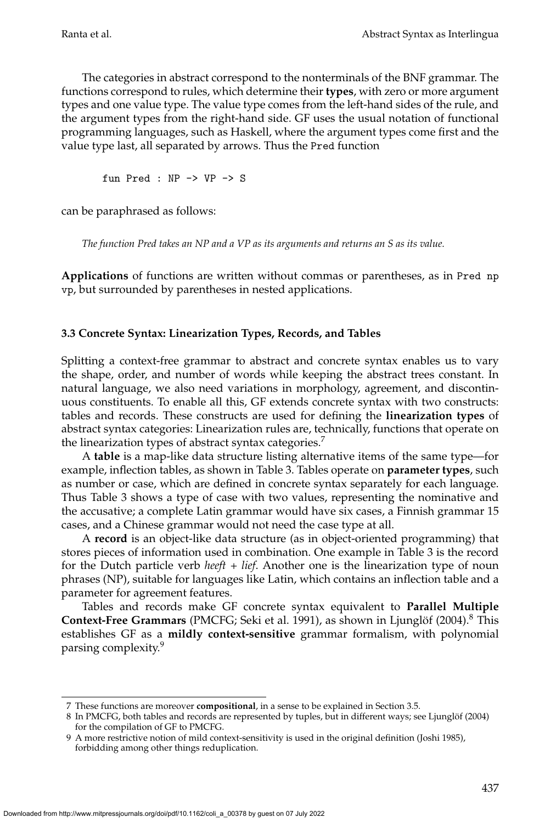The categories in abstract correspond to the nonterminals of the BNF grammar. The functions correspond to rules, which determine their **types**, with zero or more argument types and one value type. The value type comes from the left-hand sides of the rule, and the argument types from the right-hand side. GF uses the usual notation of functional programming languages, such as Haskell, where the argument types come first and the value type last, all separated by arrows. Thus the Pred function

fun Pred : NP -> VP -> S

can be paraphrased as follows:

*The function Pred takes an NP and a VP as its arguments and returns an S as its value.*

**Applications** of functions are written without commas or parentheses, as in Pred np vp, but surrounded by parentheses in nested applications.

### <span id="page-12-0"></span>**3.3 Concrete Syntax: Linearization Types, Records, and Tables**

Splitting a context-free grammar to abstract and concrete syntax enables us to vary the shape, order, and number of words while keeping the abstract trees constant. In natural language, we also need variations in morphology, agreement, and discontinuous constituents. To enable all this, GF extends concrete syntax with two constructs: tables and records. These constructs are used for defining the **linearization types** of abstract syntax categories: Linearization rules are, technically, functions that operate on the linearization types of abstract syntax categories.<sup>[7](#page-12-1)</sup>

A **table** is a map-like data structure listing alternative items of the same type—for example, inflection tables, as shown in Table [3.](#page-13-1) Tables operate on **parameter types**, such as number or case, which are defined in concrete syntax separately for each language. Thus Table [3](#page-13-1) shows a type of case with two values, representing the nominative and the accusative; a complete Latin grammar would have six cases, a Finnish grammar 15 cases, and a Chinese grammar would not need the case type at all.

A **record** is an object-like data structure (as in object-oriented programming) that stores pieces of information used in combination. One example in Table [3](#page-13-1) is the record for the Dutch particle verb *heeft + lief*. Another one is the linearization type of noun phrases (NP), suitable for languages like Latin, which contains an inflection table and a parameter for agreement features.

Tables and records make GF concrete syntax equivalent to **Parallel Multiple Context-Free Grammars** (PMCFG; Seki et al. [1991\)](#page-0-0), as shown in Ljunglöf (2004).<sup>[8](#page-12-2)</sup> This establishes GF as a **mildly context-sensitive** grammar formalism, with polynomial parsing complexity.<sup>[9](#page-12-3)</sup>

<span id="page-12-1"></span><sup>7</sup> These functions are moreover **compositional**, in a sense to be explained in Section [3.5.](#page-17-0)

<span id="page-12-2"></span><sup>8</sup> In PMCFG, both tables and records are represented by tuples, but in different ways; see Ljunglöf (2004) for the compilation of GF to PMCFG.

<span id="page-12-3"></span><sup>9</sup> A more restrictive notion of mild context-sensitivity is used in the original definition [\(Joshi 1985\)](#page-0-0), forbidding among other things reduplication.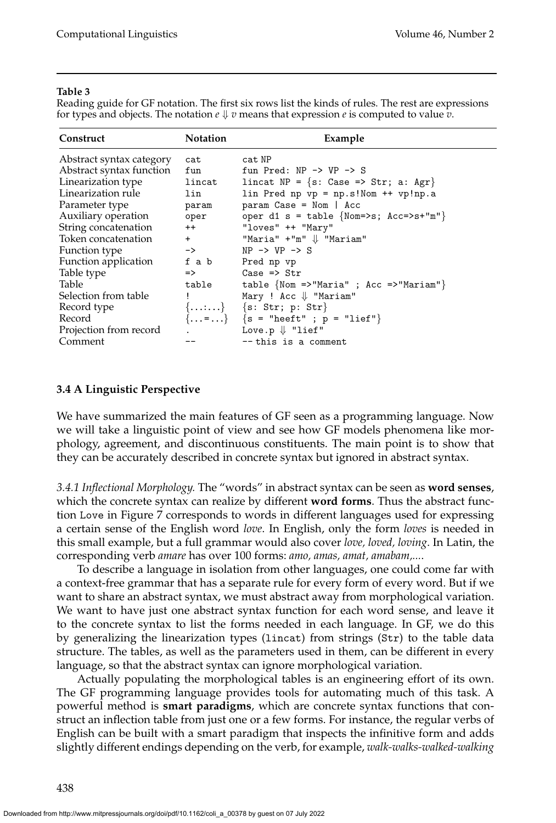#### **Table 3**

<span id="page-13-1"></span>Reading guide for GF notation. The first six rows list the kinds of rules. The rest are expressions for types and objects. The notation  $e \Downarrow v$  means that expression  $e$  is computed to value  $v$ .

| Construct                | <b>Notation</b> | Example                                                        |
|--------------------------|-----------------|----------------------------------------------------------------|
| Abstract syntax category | cat             | cat NP                                                         |
| Abstract syntax function | fun             | fun Pred: $NP \rightarrow VP \rightarrow S$                    |
| Linearization type       | lincat          | lincat NP = {s: Case => Str; a: Agr}                           |
| Linearization rule       | lin             | $lin$ Pred np vp = np.s!Nom ++ vp!np.a                         |
| Parameter type           | param           | $param Case = Nom   Acc$                                       |
| Auxiliary operation      | oper            | oper d1 s = table {Nom=>s; $Acc=>s+{^m}$ "}                    |
| String concatenation     | $++$            | "loves" ++ "Mary"                                              |
| Token concatenation      | $+$ $-$         | "Maria" $+$ "m" $\Downarrow$ "Mariam"                          |
| Function type            | $\rightarrow$   | $NP \rightarrow VP \rightarrow S$                              |
| Function application     |                 | f a b Pred np vp                                               |
| Table type               | $\Rightarrow$   | Case $\Rightarrow$ Str                                         |
| Table                    | table           | table $\{Nom \Rightarrow "Maria" ; Acc \Rightarrow "Mariam"\}$ |
| Selection from table     |                 | Mary ! Acc $\Downarrow$ "Mariam"                               |
| Record type              |                 | ${}$ {s: Str; p: Str}                                          |
| Record                   |                 | $\{ = \}$ {s = "heeft" ; p = "lief"}                           |
| Projection from record   | $\mathbf{r}$    | Love.p $\Downarrow$ "lief"                                     |
| Comment                  |                 | $--$ this is a comment                                         |

#### <span id="page-13-0"></span>**3.4 A Linguistic Perspective**

We have summarized the main features of GF seen as a programming language. Now we will take a linguistic point of view and see how GF models phenomena like morphology, agreement, and discontinuous constituents. The main point is to show that they can be accurately described in concrete syntax but ignored in abstract syntax.

<span id="page-13-2"></span>*3.4.1 Inflectional Morphology.* The "words" in abstract syntax can be seen as **word senses**, which the concrete syntax can realize by different **word forms**. Thus the abstract function Love in Figure [7](#page-11-0) corresponds to words in different languages used for expressing a certain sense of the English word *love*. In English, only the form *loves* is needed in this small example, but a full grammar would also cover *love, loved, loving*. In Latin, the corresponding verb *amare* has over 100 forms: *amo, amas, amat, amabam,...*.

To describe a language in isolation from other languages, one could come far with a context-free grammar that has a separate rule for every form of every word. But if we want to share an abstract syntax, we must abstract away from morphological variation. We want to have just one abstract syntax function for each word sense, and leave it to the concrete syntax to list the forms needed in each language. In GF, we do this by generalizing the linearization types (lincat) from strings (Str) to the table data structure. The tables, as well as the parameters used in them, can be different in every language, so that the abstract syntax can ignore morphological variation.

Actually populating the morphological tables is an engineering effort of its own. The GF programming language provides tools for automating much of this task. A powerful method is **smart paradigms**, which are concrete syntax functions that construct an inflection table from just one or a few forms. For instance, the regular verbs of English can be built with a smart paradigm that inspects the infinitive form and adds slightly different endings depending on the verb, for example, *walk-walks-walked-walking*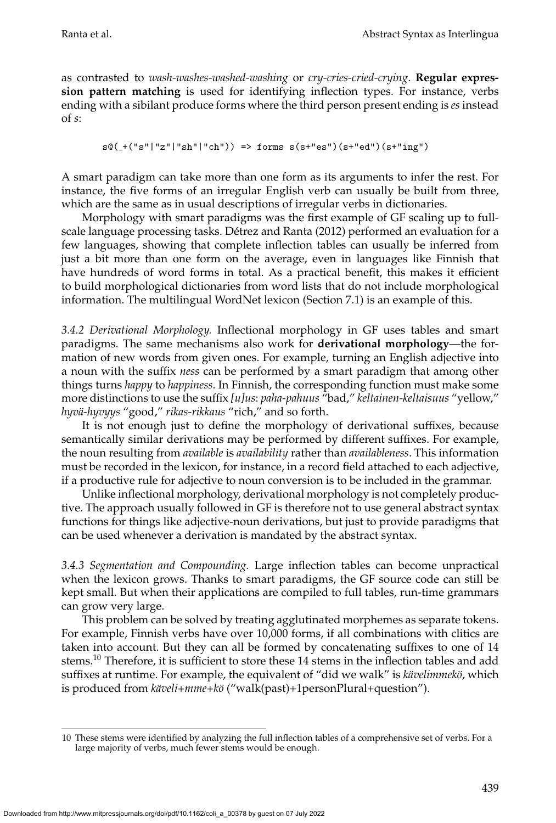as contrasted to *wash-washes-washed-washing* or *cry-cries-cried-crying*. **Regular expression pattern matching** is used for identifying inflection types. For instance, verbs ending with a sibilant produce forms where the third person present ending is *es* instead of *s*:

```
s@(+("s"|"z"|"sh"|"ch")) => forms s(s+"es")(s+"ed")(s+"ing")
```
A smart paradigm can take more than one form as its arguments to infer the rest. For instance, the five forms of an irregular English verb can usually be built from three, which are the same as in usual descriptions of irregular verbs in dictionaries.

Morphology with smart paradigms was the first example of GF scaling up to fullscale language processing tasks. Détrez and Ranta (2012) performed an evaluation for a few languages, showing that complete inflection tables can usually be inferred from just a bit more than one form on the average, even in languages like Finnish that have hundreds of word forms in total. As a practical benefit, this makes it efficient to build morphological dictionaries from word lists that do not include morphological information. The multilingual WordNet lexicon (Section [7.1\)](#page-41-1) is an example of this.

*3.4.2 Derivational Morphology.* Inflectional morphology in GF uses tables and smart paradigms. The same mechanisms also work for **derivational morphology**—the formation of new words from given ones. For example, turning an English adjective into a noun with the suffix *ness* can be performed by a smart paradigm that among other things turns *happy* to *happiness*. In Finnish, the corresponding function must make some more distinctions to use the suffix *[u]us*: *paha-pahuus* "bad," *keltainen-keltaisuus* "yellow," *hyv¨a-hyvyys* "good," *rikas-rikkaus* "rich," and so forth.

It is not enough just to define the morphology of derivational suffixes, because semantically similar derivations may be performed by different suffixes. For example, the noun resulting from *available* is *availability* rather than *availableness*. This information must be recorded in the lexicon, for instance, in a record field attached to each adjective, if a productive rule for adjective to noun conversion is to be included in the grammar.

Unlike inflectional morphology, derivational morphology is not completely productive. The approach usually followed in GF is therefore not to use general abstract syntax functions for things like adjective-noun derivations, but just to provide paradigms that can be used whenever a derivation is mandated by the abstract syntax.

<span id="page-14-1"></span>*3.4.3 Segmentation and Compounding.* Large inflection tables can become unpractical when the lexicon grows. Thanks to smart paradigms, the GF source code can still be kept small. But when their applications are compiled to full tables, run-time grammars can grow very large.

This problem can be solved by treating agglutinated morphemes as separate tokens. For example, Finnish verbs have over 10,000 forms, if all combinations with clitics are taken into account. But they can all be formed by concatenating suffixes to one of 14 stems.<sup>[10](#page-14-0)</sup> Therefore, it is sufficient to store these 14 stems in the inflection tables and add suffixes at runtime. For example, the equivalent of "did we walk" is *kävelimmekö*, which is produced from *käveli+mme+kö* ("walk(past)+1personPlural+question").

<span id="page-14-0"></span><sup>10</sup> These stems were identified by analyzing the full inflection tables of a comprehensive set of verbs. For a large majority of verbs, much fewer stems would be enough.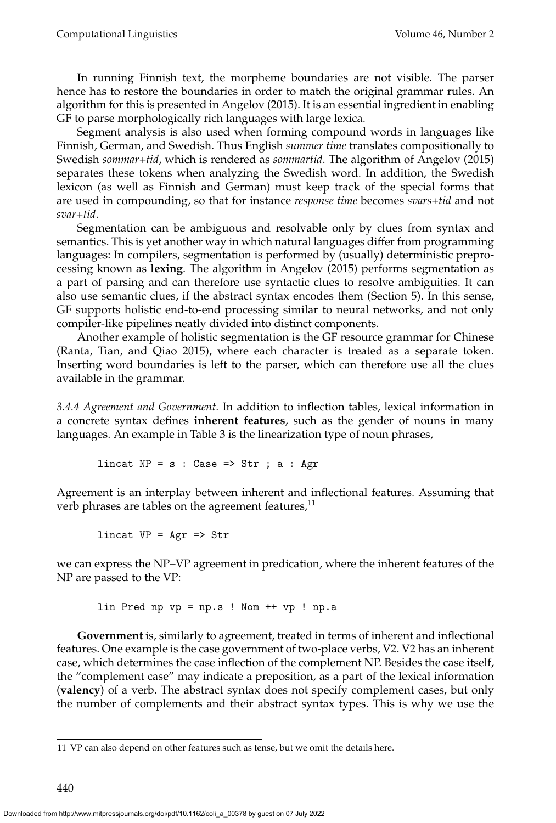In running Finnish text, the morpheme boundaries are not visible. The parser hence has to restore the boundaries in order to match the original grammar rules. An algorithm for this is presented in [Angelov \(2015\)](#page-0-0). It is an essential ingredient in enabling GF to parse morphologically rich languages with large lexica.

Segment analysis is also used when forming compound words in languages like Finnish, German, and Swedish. Thus English *summer time* translates compositionally to Swedish *sommar+tid*, which is rendered as *sommartid*. The algorithm of [Angelov \(2015\)](#page-0-0) separates these tokens when analyzing the Swedish word. In addition, the Swedish lexicon (as well as Finnish and German) must keep track of the special forms that are used in compounding, so that for instance *response time* becomes *svars+tid* and not *svar+tid*.

Segmentation can be ambiguous and resolvable only by clues from syntax and semantics. This is yet another way in which natural languages differ from programming languages: In compilers, segmentation is performed by (usually) deterministic preprocessing known as **lexing**. The algorithm in [Angelov \(2015\)](#page-0-0) performs segmentation as a part of parsing and can therefore use syntactic clues to resolve ambiguities. It can also use semantic clues, if the abstract syntax encodes them (Section [5\)](#page-27-0). In this sense, GF supports holistic end-to-end processing similar to neural networks, and not only compiler-like pipelines neatly divided into distinct components.

Another example of holistic segmentation is the GF resource grammar for Chinese [\(Ranta, Tian, and Qiao 2015\)](#page-0-0), where each character is treated as a separate token. Inserting word boundaries is left to the parser, which can therefore use all the clues available in the grammar.

<span id="page-15-1"></span>*3.4.4 Agreement and Government.* In addition to inflection tables, lexical information in a concrete syntax defines **inherent features**, such as the gender of nouns in many languages. An example in Table [3](#page-13-1) is the linearization type of noun phrases,

lincat  $NP = s : Case \implies Str ; a : Agr$ 

Agreement is an interplay between inherent and inflectional features. Assuming that verb phrases are tables on the agreement features, $11$ 

lincat  $VP = Agr \Rightarrow Str$ 

we can express the NP–VP agreement in predication, where the inherent features of the NP are passed to the VP:

lin Pred np vp = np.s ! Nom ++ vp ! np.a

**Government** is, similarly to agreement, treated in terms of inherent and inflectional features. One example is the case government of two-place verbs, V2. V2 has an inherent case, which determines the case inflection of the complement NP. Besides the case itself, the "complement case" may indicate a preposition, as a part of the lexical information (**valency**) of a verb. The abstract syntax does not specify complement cases, but only the number of complements and their abstract syntax types. This is why we use the

<span id="page-15-0"></span><sup>11</sup> VP can also depend on other features such as tense, but we omit the details here.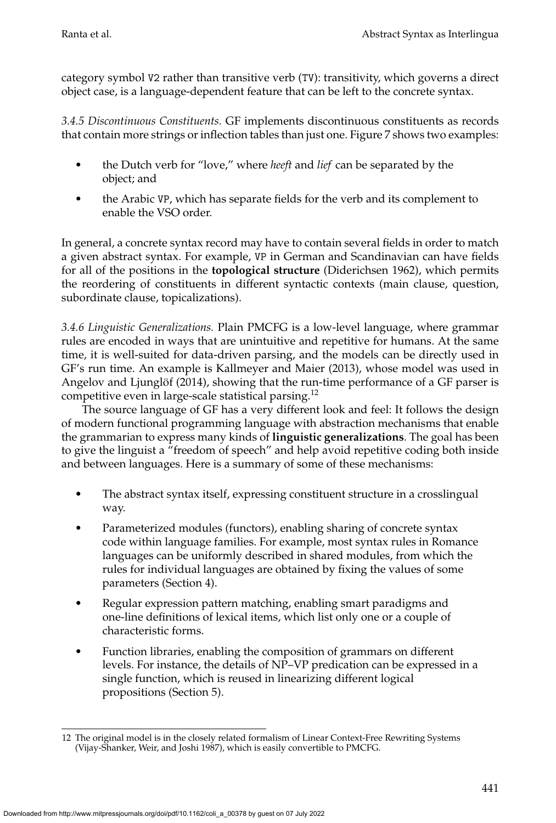category symbol V2 rather than transitive verb (TV): transitivity, which governs a direct object case, is a language-dependent feature that can be left to the concrete syntax.

*3.4.5 Discontinuous Constituents.* GF implements discontinuous constituents as records that contain more strings or inflection tables than just one. Figure [7](#page-11-0) shows two examples:

- the Dutch verb for "love," where *heeft* and *lief* can be separated by the object; and
- the Arabic VP, which has separate fields for the verb and its complement to enable the VSO order.

In general, a concrete syntax record may have to contain several fields in order to match a given abstract syntax. For example, VP in German and Scandinavian can have fields for all of the positions in the **topological structure** [\(Diderichsen 1962\)](#page-0-0), which permits the reordering of constituents in different syntactic contexts (main clause, question, subordinate clause, topicalizations).

*3.4.6 Linguistic Generalizations.* Plain PMCFG is a low-level language, where grammar rules are encoded in ways that are unintuitive and repetitive for humans. At the same time, it is well-suited for data-driven parsing, and the models can be directly used in GF's run time. An example is [Kallmeyer and Maier \(2013\)](#page-0-0), whose model was used in Angelov and Ljunglöf  $(2014)$ , showing that the run-time performance of a GF parser is competitive even in large-scale statistical parsing.[12](#page-16-0)

The source language of GF has a very different look and feel: It follows the design of modern functional programming language with abstraction mechanisms that enable the grammarian to express many kinds of **linguistic generalizations**. The goal has been to give the linguist a "freedom of speech" and help avoid repetitive coding both inside and between languages. Here is a summary of some of these mechanisms:

- The abstract syntax itself, expressing constituent structure in a crosslingual way.
- Parameterized modules (functors), enabling sharing of concrete syntax code within language families. For example, most syntax rules in Romance languages can be uniformly described in shared modules, from which the rules for individual languages are obtained by fixing the values of some parameters (Section [4\)](#page-19-0).
- Regular expression pattern matching, enabling smart paradigms and one-line definitions of lexical items, which list only one or a couple of characteristic forms.
- Function libraries, enabling the composition of grammars on different levels. For instance, the details of NP–VP predication can be expressed in a single function, which is reused in linearizing different logical propositions (Section [5\)](#page-27-0).

<span id="page-16-0"></span><sup>12</sup> The original model is in the closely related formalism of Linear Context-Free Rewriting Systems [\(Vijay-Shanker, Weir, and Joshi 1987\)](#page-0-0), which is easily convertible to PMCFG.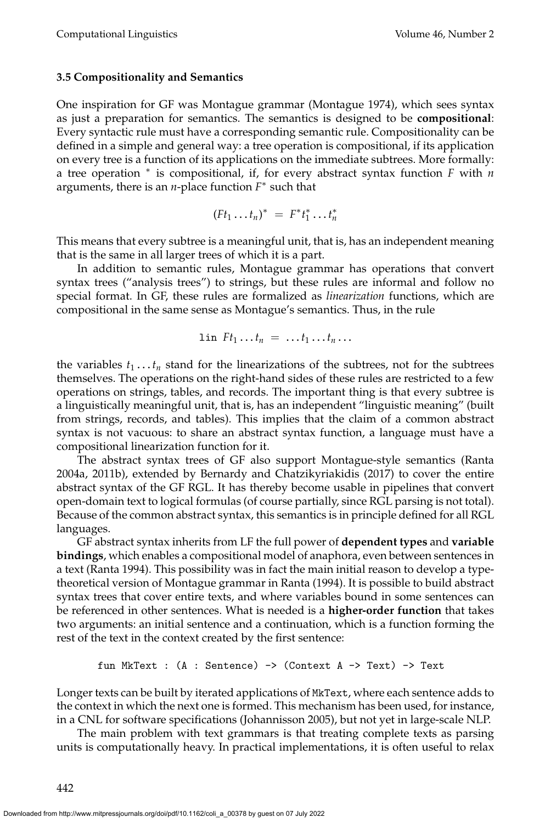#### <span id="page-17-0"></span>**3.5 Compositionality and Semantics**

One inspiration for GF was Montague grammar [\(Montague 1974\)](#page-0-0), which sees syntax as just a preparation for semantics. The semantics is designed to be **compositional**: Every syntactic rule must have a corresponding semantic rule. Compositionality can be defined in a simple and general way: a tree operation is compositional, if its application on every tree is a function of its applications on the immediate subtrees. More formally: a tree operation <sup>∗</sup> is compositional, if, for every abstract syntax function *F* with *n* arguments, there is an *n*-place function *F* ∗ such that

$$
(Ft_1 \ldots t_n)^* = F^*t_1^* \ldots t_n^*
$$

This means that every subtree is a meaningful unit, that is, has an independent meaning that is the same in all larger trees of which it is a part.

In addition to semantic rules, Montague grammar has operations that convert syntax trees ("analysis trees") to strings, but these rules are informal and follow no special format. In GF, these rules are formalized as *linearization* functions, which are compositional in the same sense as Montague's semantics. Thus, in the rule

$$
\text{lin } F t_1 \ldots t_n = \ldots t_1 \ldots t_n \ldots
$$

the variables  $t_1 \ldots t_n$  stand for the linearizations of the subtrees, not for the subtrees themselves. The operations on the right-hand sides of these rules are restricted to a few operations on strings, tables, and records. The important thing is that every subtree is a linguistically meaningful unit, that is, has an independent "linguistic meaning" (built from strings, records, and tables). This implies that the claim of a common abstract syntax is not vacuous: to share an abstract syntax function, a language must have a compositional linearization function for it.

The abstract syntax trees of GF also support Montague-style semantics [\(Ranta](#page-0-0) [2004a, 2011b\)](#page-0-0), extended by [Bernardy and Chatzikyriakidis \(2017\)](#page-0-0) to cover the entire abstract syntax of the GF RGL. It has thereby become usable in pipelines that convert open-domain text to logical formulas (of course partially, since RGL parsing is not total). Because of the common abstract syntax, this semantics is in principle defined for all RGL languages.

GF abstract syntax inherits from LF the full power of **dependent types** and **variable bindings**, which enables a compositional model of anaphora, even between sentences in a text [\(Ranta 1994\)](#page-0-0). This possibility was in fact the main initial reason to develop a typetheoretical version of Montague grammar in [Ranta \(1994\)](#page-0-0). It is possible to build abstract syntax trees that cover entire texts, and where variables bound in some sentences can be referenced in other sentences. What is needed is a **higher-order function** that takes two arguments: an initial sentence and a continuation, which is a function forming the rest of the text in the context created by the first sentence:

fun MKText : (A : Sentence) 
$$
\rightarrow
$$
 (Context A  $\rightarrow$  Text)  $\rightarrow$  Text

Longer texts can be built by iterated applications of MkText, where each sentence adds to the context in which the next one is formed. This mechanism has been used, for instance, in a CNL for software specifications [\(Johannisson 2005\)](#page-0-0), but not yet in large-scale NLP.

The main problem with text grammars is that treating complete texts as parsing units is computationally heavy. In practical implementations, it is often useful to relax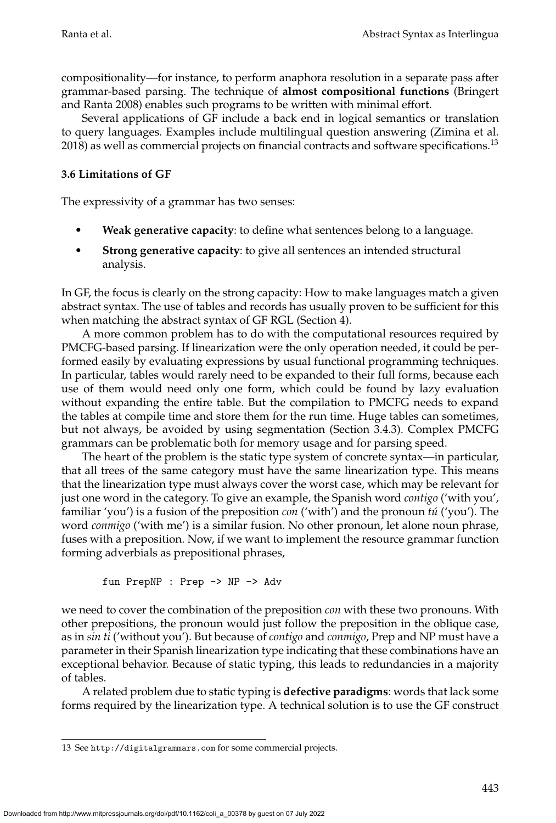compositionality—for instance, to perform anaphora resolution in a separate pass after grammar-based parsing. The technique of **almost compositional functions** [\(Bringert](#page-0-0) [and Ranta 2008\)](#page-0-0) enables such programs to be written with minimal effort.

Several applications of GF include a back end in logical semantics or translation to query languages. Examples include multilingual question answering [\(Zimina et al.](#page-0-0)  $2018$ ) as well as commercial projects on financial contracts and software specifications.<sup>[13](#page-18-0)</sup>

# <span id="page-18-1"></span>**3.6 Limitations of GF**

The expressivity of a grammar has two senses:

- **Weak generative capacity**: to define what sentences belong to a language.
- **Strong generative capacity**: to give all sentences an intended structural analysis.

In GF, the focus is clearly on the strong capacity: How to make languages match a given abstract syntax. The use of tables and records has usually proven to be sufficient for this when matching the abstract syntax of GF RGL (Section [4\)](#page-19-0).

A more common problem has to do with the computational resources required by PMCFG-based parsing. If linearization were the only operation needed, it could be performed easily by evaluating expressions by usual functional programming techniques. In particular, tables would rarely need to be expanded to their full forms, because each use of them would need only one form, which could be found by lazy evaluation without expanding the entire table. But the compilation to PMCFG needs to expand the tables at compile time and store them for the run time. Huge tables can sometimes, but not always, be avoided by using segmentation (Section [3.4.3\)](#page-14-1). Complex PMCFG grammars can be problematic both for memory usage and for parsing speed.

The heart of the problem is the static type system of concrete syntax—in particular, that all trees of the same category must have the same linearization type. This means that the linearization type must always cover the worst case, which may be relevant for just one word in the category. To give an example, the Spanish word *contigo* ('with you', familiar 'you') is a fusion of the preposition *con* ('with') and the pronoun *tú* ('you'). The word *conmigo* ('with me') is a similar fusion. No other pronoun, let alone noun phrase, fuses with a preposition. Now, if we want to implement the resource grammar function forming adverbials as prepositional phrases,

fun PrepNP : Prep -> NP -> Adv

we need to cover the combination of the preposition *con* with these two pronouns. With other prepositions, the pronoun would just follow the preposition in the oblique case, as in *sin ti* ('without you'). But because of *contigo* and *conmigo*, Prep and NP must have a parameter in their Spanish linearization type indicating that these combinations have an exceptional behavior. Because of static typing, this leads to redundancies in a majority of tables.

A related problem due to static typing is **defective paradigms**: words that lack some forms required by the linearization type. A technical solution is to use the GF construct

<span id="page-18-0"></span><sup>13</sup> See <http://digitalgrammars.com> for some commercial projects.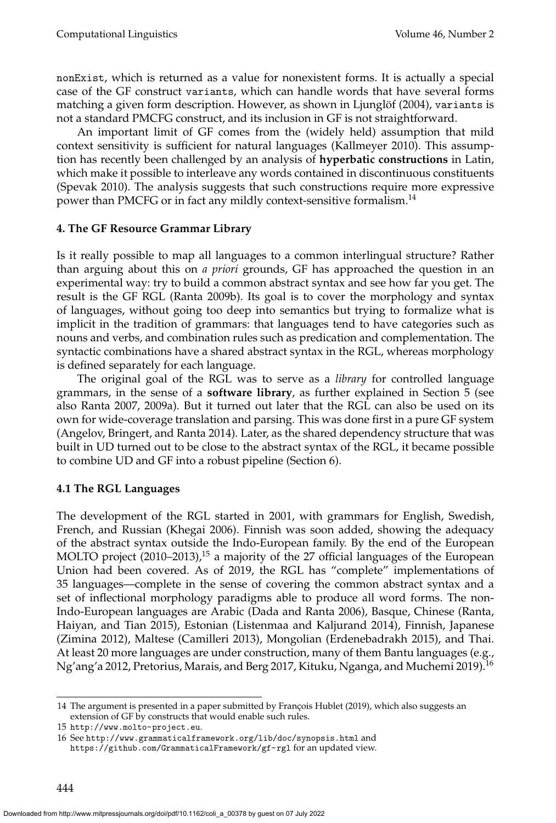nonExist, which is returned as a value for nonexistent forms. It is actually a special case of the GF construct variants, which can handle words that have several forms matching a given form description. However, as shown in Ljunglöf (2004), variants is not a standard PMCFG construct, and its inclusion in GF is not straightforward.

An important limit of GF comes from the (widely held) assumption that mild context sensitivity is sufficient for natural languages [\(Kallmeyer 2010\)](#page-0-0). This assumption has recently been challenged by an analysis of **hyperbatic constructions** in Latin, which make it possible to interleave any words contained in discontinuous constituents [\(Spevak 2010\)](#page-0-0). The analysis suggests that such constructions require more expressive power than PMCFG or in fact any mildly context-sensitive formalism.<sup>[14](#page-19-1)</sup>

### <span id="page-19-0"></span>**4. The GF Resource Grammar Library**

Is it really possible to map all languages to a common interlingual structure? Rather than arguing about this on *a priori* grounds, GF has approached the question in an experimental way: try to build a common abstract syntax and see how far you get. The result is the GF RGL [\(Ranta 2009b\)](#page-0-0). Its goal is to cover the morphology and syntax of languages, without going too deep into semantics but trying to formalize what is implicit in the tradition of grammars: that languages tend to have categories such as nouns and verbs, and combination rules such as predication and complementation. The syntactic combinations have a shared abstract syntax in the RGL, whereas morphology is defined separately for each language.

The original goal of the RGL was to serve as a *library* for controlled language grammars, in the sense of a **software library**, as further explained in Section [5](#page-27-0) (see also Ranta [2007, 2009a\)](#page-0-0). But it turned out later that the RGL can also be used on its own for wide-coverage translation and parsing. This was done first in a pure GF system [\(Angelov, Bringert, and Ranta 2014\)](#page-0-0). Later, as the shared dependency structure that was built in UD turned out to be close to the abstract syntax of the RGL, it became possible to combine UD and GF into a robust pipeline (Section [6\)](#page-33-0).

### **4.1 The RGL Languages**

The development of the RGL started in 2001, with grammars for English, Swedish, French, and Russian [\(Khegai 2006\)](#page-0-0). Finnish was soon added, showing the adequacy of the abstract syntax outside the Indo-European family. By the end of the European MOLTO project  $(2010-2013)$ ,<sup>[15](#page-19-2)</sup> a majority of the 27 official languages of the European Union had been covered. As of 2019, the RGL has "complete" implementations of 35 languages—complete in the sense of covering the common abstract syntax and a set of inflectional morphology paradigms able to produce all word forms. The non-Indo-European languages are Arabic [\(Dada and Ranta 2006\)](#page-0-0), Basque, Chinese [\(Ranta,](#page-0-0) [Haiyan, and Tian 2015\)](#page-0-0), Estonian [\(Listenmaa and Kaljurand 2014\)](#page-0-0), Finnish, Japanese [\(Zimina 2012\)](#page-0-0), Maltese [\(Camilleri 2013\)](#page-0-0), Mongolian [\(Erdenebadrakh 2015\)](#page-0-0), and Thai. At least 20 more languages are under construction, many of them Bantu languages (e.g., Ng'ang'a [2012,](#page-0-0) Pretorius, Marais, and Berg [2017,](#page-0-0) Kituku, Nganga, and Muchemi [2019\)](#page-0-0).[16](#page-19-3)

<span id="page-19-1"></span><sup>14</sup> The argument is presented in a paper submitted by François [Hublet \(2019\)](#page-0-0), which also suggests an extension of GF by constructs that would enable such rules.

<span id="page-19-2"></span><sup>15</sup> <http://www.molto-project.eu>.

<span id="page-19-3"></span><sup>16</sup> See <http://www.grammaticalframework.org/lib/doc/synopsis.html> and <https://github.com/GrammaticalFramework/gf-rgl> for an updated view.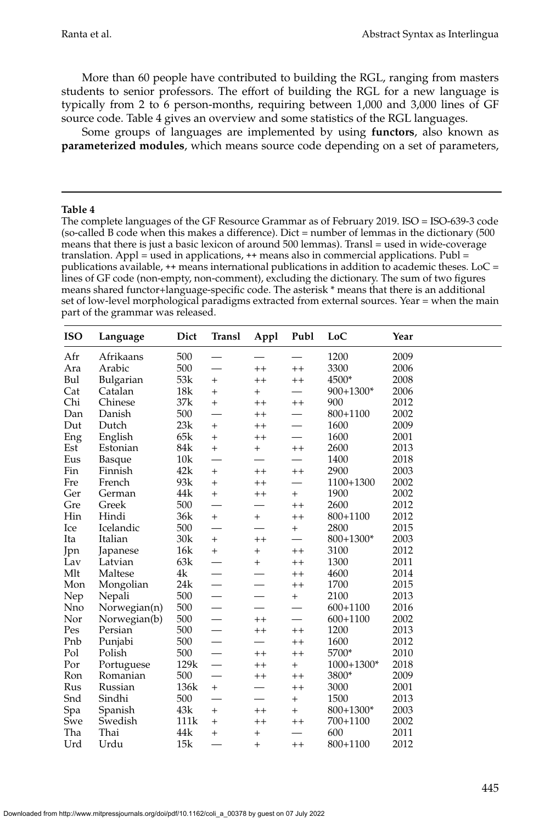More than 60 people have contributed to building the RGL, ranging from masters students to senior professors. The effort of building the RGL for a new language is typically from 2 to 6 person-months, requiring between 1,000 and 3,000 lines of GF source code. Table [4](#page-20-0) gives an overview and some statistics of the RGL languages.

Some groups of languages are implemented by using **functors**, also known as **parameterized modules**, which means source code depending on a set of parameters,

#### **Table 4**

<span id="page-20-0"></span>The complete languages of the GF Resource Grammar as of February 2019. ISO = ISO-639-3 code (so-called B code when this makes a difference). Dict = number of lemmas in the dictionary (500 means that there is just a basic lexicon of around 500 lemmas). Transl = used in wide-coverage translation. Appl = used in applications,  $++$  means also in commercial applications. Publ = publications available,  $++$  means international publications in addition to academic theses. LoC = lines of GF code (non-empty, non-comment), excluding the dictionary. The sum of two figures means shared functor+language-specific code. The asterisk \* means that there is an additional set of low-level morphological paradigms extracted from external sources. Year = when the main part of the grammar was released.

| <b>ISO</b> | Dict<br>Language |      | Transl                   | Publ<br>Appl    |         | LoC          | Year |
|------------|------------------|------|--------------------------|-----------------|---------|--------------|------|
| Afr        | Afrikaans        | 500  |                          |                 |         | 1200         | 2009 |
| Ara        | Arabic           | 500  |                          | $^{++}$         | $^{++}$ | 3300         | 2006 |
| Bul        | Bulgarian        | 53k  | $+$                      | $^{++}$         | $^{++}$ | 4500*        | 2008 |
| Cat        | Catalan          | 18k  | $+$                      | $\hbox{+}$      |         | 900+1300*    | 2006 |
| Chi        | Chinese          | 37k  | $+$                      | $^{\mathrm{+}}$ | $^{++}$ | 900          | 2012 |
| Dan        | Danish           | 500  | $\overline{\phantom{0}}$ | $^{++}$         |         | 800+1100     | 2002 |
| Dut        | Dutch            | 23k  | $^{+}$                   | $^{++}$         |         | 1600         | 2009 |
| Eng        | English          | 65k  | $\ddot{}$                | $^{++}$         |         | 1600         | 2001 |
| Est        | Estonian         | 84k  | $+$                      | $+$             | $^{++}$ | 2600         | 2013 |
| Eus        | Basque           | 10k  | $\overline{\phantom{0}}$ |                 |         | 1400         | 2018 |
| Fin        | Finnish          | 42k  | $^+$                     | $^{++}$         | $^{++}$ | 2900         | 2003 |
| Fre        | French           | 93k  | $\ddot{}$                | $^{++}$         |         | 1100+1300    | 2002 |
| Ger        | German           | 44k  | $+$                      | $^{++}$         | $^{+}$  | 1900         | 2002 |
| Gre        | Greek            | 500  |                          |                 | $^{++}$ | 2600         | 2012 |
| Hin        | Hindi            | 36k  | $+$                      | $+$             | $^{++}$ | 800+1100     | 2012 |
| Ice        | Icelandic        | 500  | $\overline{\phantom{0}}$ |                 | $^{+}$  | 2800         | 2015 |
| Ita        | Italian          | 30k  | $+$                      | $^{++}$         |         | $800+1300*$  | 2003 |
| Jpn        | Japanese         | 16k  | $+$                      | $+$             | $^{++}$ | 3100         | 2012 |
| Lav        | Latvian          | 63k  |                          | $+$             | $^{++}$ | 1300         | 2011 |
| Mlt        | Maltese          | 4k   |                          |                 | $^{++}$ | 4600         | 2014 |
| Mon        | Mongolian        | 24k  | $\overline{\phantom{0}}$ |                 | $^{++}$ | 1700         | 2015 |
| Nep        | Nepali           | 500  |                          |                 | $^{+}$  | 2100         | 2013 |
| Nno        | Norwegian(n)     | 500  |                          |                 |         | $600 + 1100$ | 2016 |
| Nor        | Norwegian(b)     | 500  |                          | $^{++}$         |         | $600 + 1100$ | 2002 |
| Pes        | Persian          | 500  |                          | $^{++}$         | $^{++}$ | 1200         | 2013 |
| Pnb        | Punjabi          | 500  |                          |                 | $^{++}$ | 1600         | 2012 |
| Pol        | Polish           | 500  |                          | $++$            | $^{++}$ | 5700*        | 2010 |
| Por        | Portuguese       | 129k | $\overline{\phantom{0}}$ | $++$            | $^{+}$  | 1000+1300*   | 2018 |
| Ron        | Romanian         | 500  |                          | $^{++}$         | $^{++}$ | 3800*        | 2009 |
| Rus        | Russian          | 136k | $+$                      |                 | $^{++}$ | 3000         | 2001 |
| Snd        | Sindhi           | 500  |                          |                 | $^{+}$  | 1500         | 2013 |
| Spa        | Spanish          | 43k  | $\ddot{}$                | $^{++}$         | $^{+}$  | $800+1300*$  | 2003 |
| Swe        | Swedish          | 111k | $\ddot{}$                | $^{++}$         | $^{++}$ | 700+1100     | 2002 |
| Tha        | Thai             | 44k  | $^{+}$                   | $^{+}$          |         | 600          | 2011 |
| Urd        | Urdu             | 15k  |                          | $\ddot{}$       | $^{++}$ | 800+1100     | 2012 |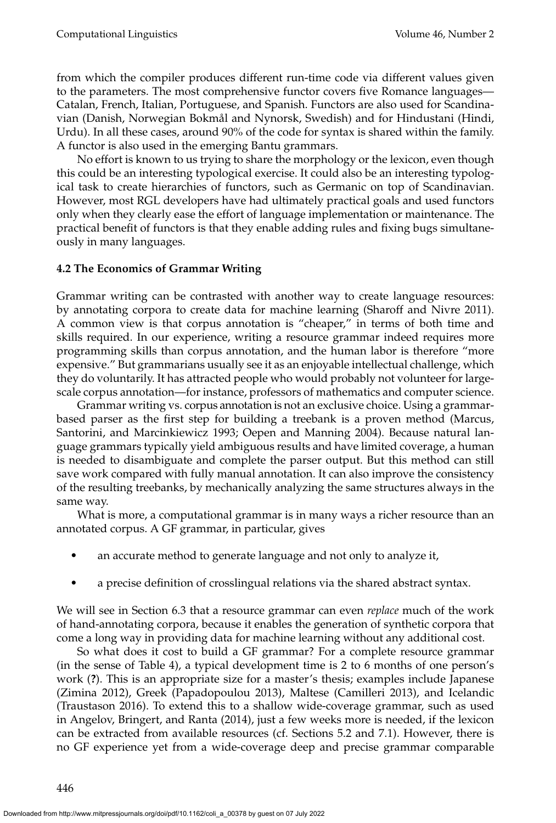from which the compiler produces different run-time code via different values given to the parameters. The most comprehensive functor covers five Romance languages— Catalan, French, Italian, Portuguese, and Spanish. Functors are also used for Scandinavian (Danish, Norwegian Bokmal and Nynorsk, Swedish) and for Hindustani (Hindi, ˚ Urdu). In all these cases, around 90% of the code for syntax is shared within the family. A functor is also used in the emerging Bantu grammars.

No effort is known to us trying to share the morphology or the lexicon, even though this could be an interesting typological exercise. It could also be an interesting typological task to create hierarchies of functors, such as Germanic on top of Scandinavian. However, most RGL developers have had ultimately practical goals and used functors only when they clearly ease the effort of language implementation or maintenance. The practical benefit of functors is that they enable adding rules and fixing bugs simultaneously in many languages.

### **4.2 The Economics of Grammar Writing**

Grammar writing can be contrasted with another way to create language resources: by annotating corpora to create data for machine learning [\(Sharoff and Nivre 2011\)](#page-0-0). A common view is that corpus annotation is "cheaper," in terms of both time and skills required. In our experience, writing a resource grammar indeed requires more programming skills than corpus annotation, and the human labor is therefore "more expensive." But grammarians usually see it as an enjoyable intellectual challenge, which they do voluntarily. It has attracted people who would probably not volunteer for largescale corpus annotation—for instance, professors of mathematics and computer science.

Grammar writing vs. corpus annotation is not an exclusive choice. Using a grammarbased parser as the first step for building a treebank is a proven method (Marcus, Santorini, and Marcinkiewicz [1993;](#page-0-0) Oepen and Manning [2004\)](#page-0-0). Because natural language grammars typically yield ambiguous results and have limited coverage, a human is needed to disambiguate and complete the parser output. But this method can still save work compared with fully manual annotation. It can also improve the consistency of the resulting treebanks, by mechanically analyzing the same structures always in the same way.

What is more, a computational grammar is in many ways a richer resource than an annotated corpus. A GF grammar, in particular, gives

- an accurate method to generate language and not only to analyze it,
- a precise definition of crosslingual relations via the shared abstract syntax.

We will see in Section [6.3](#page-37-0) that a resource grammar can even *replace* much of the work of hand-annotating corpora, because it enables the generation of synthetic corpora that come a long way in providing data for machine learning without any additional cost.

So what does it cost to build a GF grammar? For a complete resource grammar (in the sense of Table [4\)](#page-20-0), a typical development time is 2 to 6 months of one person's work (**?**). This is an appropriate size for a master's thesis; examples include Japanese [\(Zimina 2012\)](#page-0-0), Greek [\(Papadopoulou 2013\)](#page-0-0), Maltese [\(Camilleri 2013\)](#page-0-0), and Icelandic [\(Traustason 2016\)](#page-0-0). To extend this to a shallow wide-coverage grammar, such as used in [Angelov, Bringert, and Ranta \(2014\)](#page-0-0), just a few weeks more is needed, if the lexicon can be extracted from available resources (cf. Sections [5.2](#page-29-0) and [7.1\)](#page-41-1). However, there is no GF experience yet from a wide-coverage deep and precise grammar comparable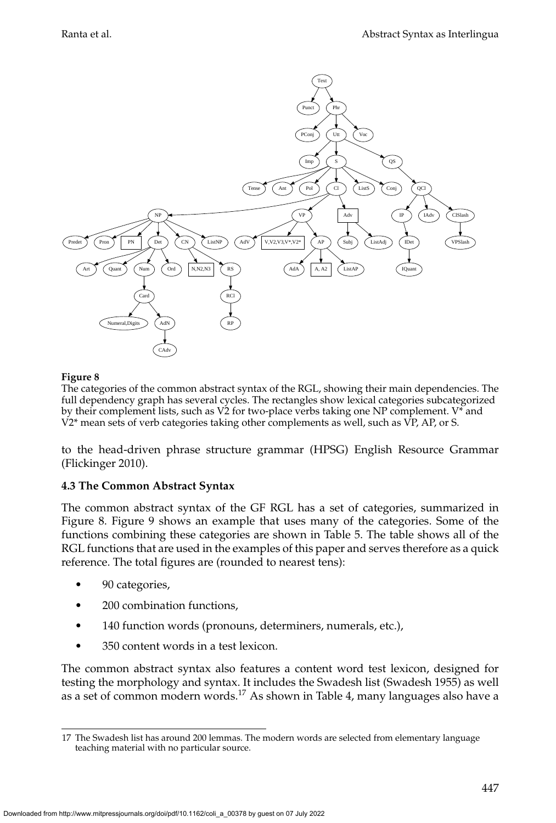

<span id="page-22-0"></span>The categories of the common abstract syntax of the RGL, showing their main dependencies. The full dependency graph has several cycles. The rectangles show lexical categories subcategorized by their complement lists, such as V2 for two-place verbs taking one NP complement. V\* and V2\* mean sets of verb categories taking other complements as well, such as VP, AP, or S.

to the head-driven phrase structure grammar (HPSG) English Resource Grammar [\(Flickinger 2010\)](#page-0-0).

### <span id="page-22-2"></span>**4.3 The Common Abstract Syntax**

The common abstract syntax of the GF RGL has a set of categories, summarized in Figure [8.](#page-22-0) Figure 9 shows an example that uses many of the categories. Some of the functions combining these categories are shown in Table [5.](#page-24-0) The table shows all of the RGL functions that are used in the examples of this paper and serves therefore as a quick reference. The total figures are (rounded to nearest tens):

- 90 categories,
- 200 combination functions,
- 140 function words (pronouns, determiners, numerals, etc.),
- 350 content words in a test lexicon.

The common abstract syntax also features a content word test lexicon, designed for testing the morphology and syntax. It includes the Swadesh list [\(Swadesh 1955\)](#page-0-0) as well as a set of common modern words.[17](#page-22-1) As shown in Table [4,](#page-20-0) many languages also have a

<span id="page-22-1"></span><sup>17</sup> The Swadesh list has around 200 lemmas. The modern words are selected from elementary language teaching material with no particular source.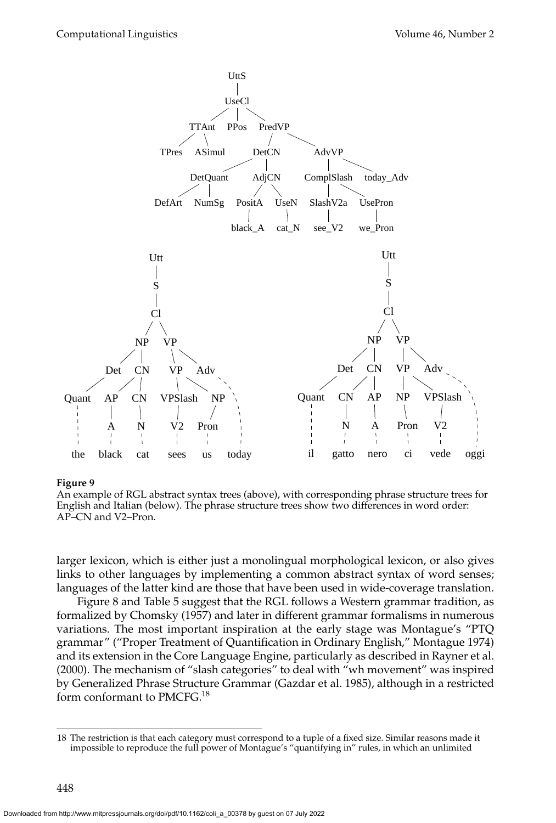

An example of RGL abstract syntax trees (above), with corresponding phrase structure trees for English and Italian (below). The phrase structure trees show two differences in word order: AP–CN and V2–Pron.

larger lexicon, which is either just a monolingual morphological lexicon, or also gives links to other languages by implementing a common abstract syntax of word senses; languages of the latter kind are those that have been used in wide-coverage translation.

Figure [8](#page-22-0) and Table [5](#page-24-0) suggest that the RGL follows a Western grammar tradition, as formalized by [Chomsky \(1957\)](#page-0-0) and later in different grammar formalisms in numerous variations. The most important inspiration at the early stage was Montague's "PTQ grammar" ("Proper Treatment of Quantification in Ordinary English," Montague [1974\)](#page-0-0) and its extension in the Core Language Engine, particularly as described in [Rayner et al.](#page-0-0) [\(2000\)](#page-0-0). The mechanism of "slash categories" to deal with "wh movement" was inspired by Generalized Phrase Structure Grammar [\(Gazdar et al. 1985\)](#page-0-0), although in a restricted form conformant to PMCFG.<sup>[18](#page-23-0)</sup>

<span id="page-23-0"></span><sup>18</sup> The restriction is that each category must correspond to a tuple of a fixed size. Similar reasons made it impossible to reproduce the full power of Montague's "quantifying in" rules, in which an unlimited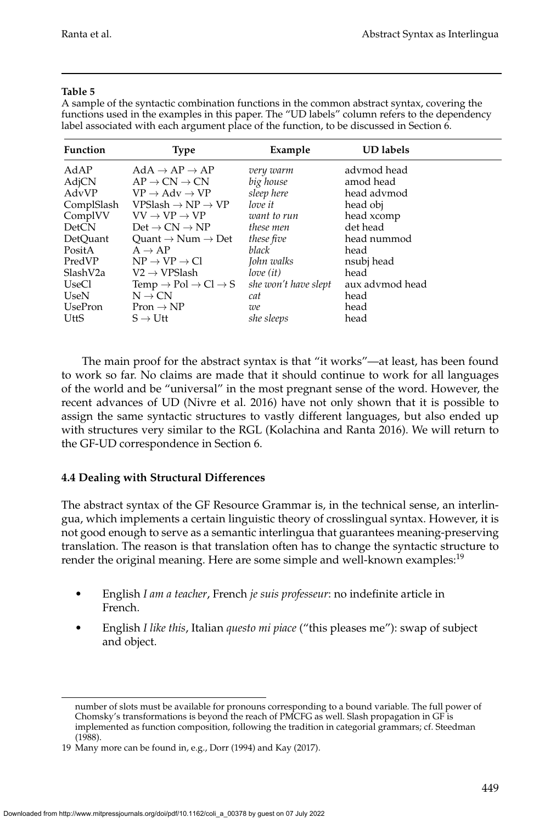### **Table 5**

<span id="page-24-0"></span>A sample of the syntactic combination functions in the common abstract syntax, covering the functions used in the examples in this paper. The "UD labels" column refers to the dependency label associated with each argument place of the function, to be discussed in Section [6.](#page-33-0)

| Function              | <b>Type</b>                                                                          | Example                               | <b>UD</b> labels         |
|-----------------------|--------------------------------------------------------------------------------------|---------------------------------------|--------------------------|
| AdAP                  | $AdA \rightarrow AP \rightarrow AP$                                                  | very warm                             | advmod head              |
| AdjCN<br>AdvVP        | $AP \rightarrow CN \rightarrow CN$<br>$VP \rightarrow Adv \rightarrow VP$            | big house<br>sleep here               | amod head<br>head advmod |
| ComplSlash<br>ComplVV | $VPSlash \rightarrow NP \rightarrow VP$<br>$VV \rightarrow VP \rightarrow VP$        | love it<br>want to run                | head obj<br>head xcomp   |
| <b>DetCN</b>          | $Det \rightarrow CN \rightarrow NP$                                                  | these men                             | det head                 |
| DetOuant<br>PositA    | Ouant $\rightarrow$ Num $\rightarrow$ Det<br>$A \rightarrow AP$                      | these five<br>black                   | head nummod<br>head      |
| PredVP                | $NP \rightarrow VP \rightarrow Cl$                                                   | John walks                            | nsubj head               |
| SlashV2a<br>UseCl     | $V2 \rightarrow VPS$ lash<br>Temp $\rightarrow$ Pol $\rightarrow$ Cl $\rightarrow$ S | $love$ $(it)$<br>she won't have slept | head<br>aux advmod head  |
| UseN<br>UsePron       | $N \rightarrow CN$                                                                   | cat                                   | head<br>head             |
| UttS                  | $Pron \rightarrow NP$<br>$S \rightarrow Utt$                                         | we<br>she sleeps                      | head                     |

The main proof for the abstract syntax is that "it works"—at least, has been found to work so far. No claims are made that it should continue to work for all languages of the world and be "universal" in the most pregnant sense of the word. However, the recent advances of UD [\(Nivre et al. 2016\)](#page-0-0) have not only shown that it is possible to assign the same syntactic structures to vastly different languages, but also ended up with structures very similar to the RGL [\(Kolachina and Ranta 2016\)](#page-0-0). We will return to the GF-UD correspondence in Section [6.](#page-33-0)

### <span id="page-24-2"></span>**4.4 Dealing with Structural Differences**

The abstract syntax of the GF Resource Grammar is, in the technical sense, an interlingua, which implements a certain linguistic theory of crosslingual syntax. However, it is not good enough to serve as a semantic interlingua that guarantees meaning-preserving translation. The reason is that translation often has to change the syntactic structure to render the original meaning. Here are some simple and well-known examples:<sup>[19](#page-24-1)</sup>

- English *I am a teacher*, French *je suis professeur*: no indefinite article in French.
- English *I like this*, Italian *questo mi piace* ("this pleases me"): swap of subject and object.

number of slots must be available for pronouns corresponding to a bound variable. The full power of Chomsky's transformations is beyond the reach of PMCFG as well. Slash propagation in GF is implemented as function composition, following the tradition in categorial grammars; cf. [Steedman](#page-0-0) [\(1988\)](#page-0-0).

<span id="page-24-1"></span><sup>19</sup> Many more can be found in, e.g., [Dorr \(1994\)](#page-0-0) and [Kay \(2017\)](#page-0-0).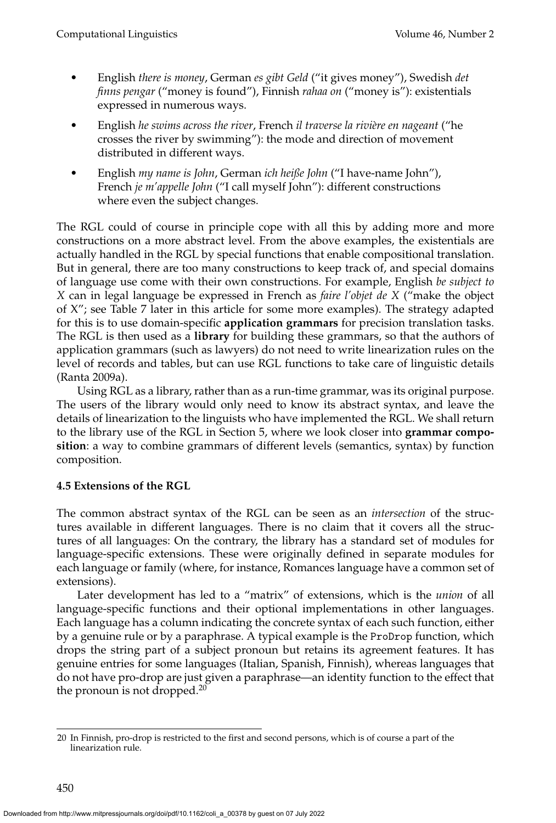- English *there is money*, German *es gibt Geld* ("it gives money"), Swedish *det finns pengar* ("money is found"), Finnish *rahaa on* ("money is"): existentials expressed in numerous ways.
- English *he swims across the river*, French *il traverse la rivi`ere en nageant* ("he crosses the river by swimming"): the mode and direction of movement distributed in different ways.
- English *my name is John*, German *ich heiße John* ("I have-name John"), French *je m'appelle John* ("I call myself John"): different constructions where even the subject changes.

The RGL could of course in principle cope with all this by adding more and more constructions on a more abstract level. From the above examples, the existentials are actually handled in the RGL by special functions that enable compositional translation. But in general, there are too many constructions to keep track of, and special domains of language use come with their own constructions. For example, English *be subject to X* can in legal language be expressed in French as *faire l'objet de X* ("make the object of X"; see Table [7](#page-32-0) later in this article for some more examples). The strategy adapted for this is to use domain-specific **application grammars** for precision translation tasks. The RGL is then used as a **library** for building these grammars, so that the authors of application grammars (such as lawyers) do not need to write linearization rules on the level of records and tables, but can use RGL functions to take care of linguistic details [\(Ranta 2009a\)](#page-0-0).

Using RGL as a library, rather than as a run-time grammar, was its original purpose. The users of the library would only need to know its abstract syntax, and leave the details of linearization to the linguists who have implemented the RGL. We shall return to the library use of the RGL in Section [5,](#page-27-0) where we look closer into **grammar composition**: a way to combine grammars of different levels (semantics, syntax) by function composition.

### <span id="page-25-1"></span>**4.5 Extensions of the RGL**

The common abstract syntax of the RGL can be seen as an *intersection* of the structures available in different languages. There is no claim that it covers all the structures of all languages: On the contrary, the library has a standard set of modules for language-specific extensions. These were originally defined in separate modules for each language or family (where, for instance, Romances language have a common set of extensions).

Later development has led to a "matrix" of extensions, which is the *union* of all language-specific functions and their optional implementations in other languages. Each language has a column indicating the concrete syntax of each such function, either by a genuine rule or by a paraphrase. A typical example is the ProDrop function, which drops the string part of a subject pronoun but retains its agreement features. It has genuine entries for some languages (Italian, Spanish, Finnish), whereas languages that do not have pro-drop are just given a paraphrase—an identity function to the effect that the pronoun is not dropped.<sup>[20](#page-25-0)</sup>

<span id="page-25-0"></span><sup>20</sup> In Finnish, pro-drop is restricted to the first and second persons, which is of course a part of the linearization rule.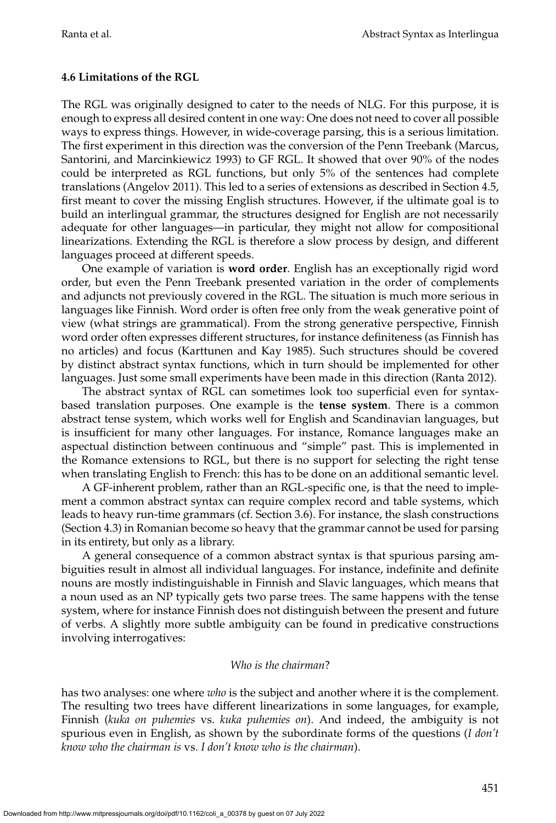### <span id="page-26-0"></span>**4.6 Limitations of the RGL**

The RGL was originally designed to cater to the needs of NLG. For this purpose, it is enough to express all desired content in one way: One does not need to cover all possible ways to express things. However, in wide-coverage parsing, this is a serious limitation. The first experiment in this direction was the conversion of the Penn Treebank [\(Marcus,](#page-0-0) [Santorini, and Marcinkiewicz 1993\)](#page-0-0) to GF RGL. It showed that over 90% of the nodes could be interpreted as RGL functions, but only 5% of the sentences had complete translations [\(Angelov 2011\)](#page-0-0). This led to a series of extensions as described in Section [4.5,](#page-25-1) first meant to cover the missing English structures. However, if the ultimate goal is to build an interlingual grammar, the structures designed for English are not necessarily adequate for other languages—in particular, they might not allow for compositional linearizations. Extending the RGL is therefore a slow process by design, and different languages proceed at different speeds.

One example of variation is **word order**. English has an exceptionally rigid word order, but even the Penn Treebank presented variation in the order of complements and adjuncts not previously covered in the RGL. The situation is much more serious in languages like Finnish. Word order is often free only from the weak generative point of view (what strings are grammatical). From the strong generative perspective, Finnish word order often expresses different structures, for instance definiteness (as Finnish has no articles) and focus [\(Karttunen and Kay 1985\)](#page-0-0). Such structures should be covered by distinct abstract syntax functions, which in turn should be implemented for other languages. Just some small experiments have been made in this direction [\(Ranta 2012\)](#page-0-0).

The abstract syntax of RGL can sometimes look too superficial even for syntaxbased translation purposes. One example is the **tense system**. There is a common abstract tense system, which works well for English and Scandinavian languages, but is insufficient for many other languages. For instance, Romance languages make an aspectual distinction between continuous and "simple" past. This is implemented in the Romance extensions to RGL, but there is no support for selecting the right tense when translating English to French: this has to be done on an additional semantic level.

A GF-inherent problem, rather than an RGL-specific one, is that the need to implement a common abstract syntax can require complex record and table systems, which leads to heavy run-time grammars (cf. Section [3.6\)](#page-18-1). For instance, the slash constructions (Section [4.3\)](#page-22-2) in Romanian become so heavy that the grammar cannot be used for parsing in its entirety, but only as a library.

A general consequence of a common abstract syntax is that spurious parsing ambiguities result in almost all individual languages. For instance, indefinite and definite nouns are mostly indistinguishable in Finnish and Slavic languages, which means that a noun used as an NP typically gets two parse trees. The same happens with the tense system, where for instance Finnish does not distinguish between the present and future of verbs. A slightly more subtle ambiguity can be found in predicative constructions involving interrogatives:

#### *Who is the chairman*?

has two analyses: one where *who* is the subject and another where it is the complement. The resulting two trees have different linearizations in some languages, for example, Finnish (*kuka on puhemies* vs. *kuka puhemies on*). And indeed, the ambiguity is not spurious even in English, as shown by the subordinate forms of the questions (*I don't know who the chairman is* vs. *I don't know who is the chairman*).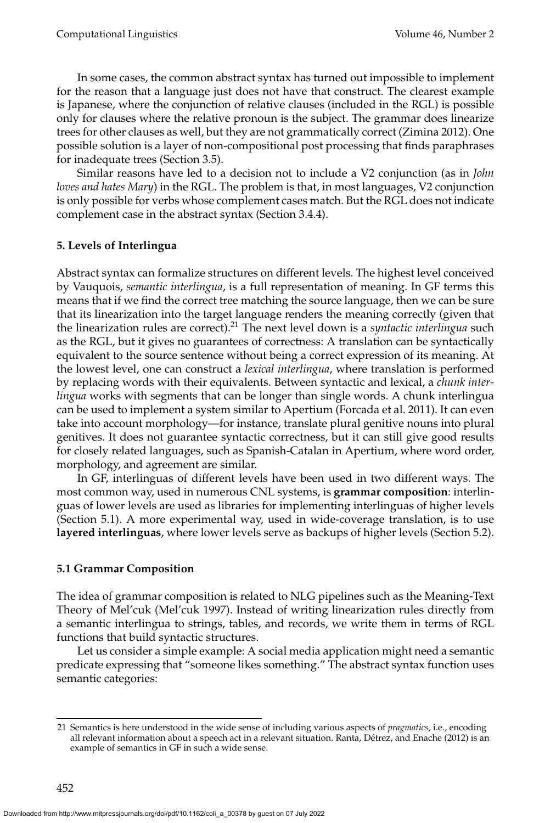In some cases, the common abstract syntax has turned out impossible to implement for the reason that a language just does not have that construct. The clearest example is Japanese, where the conjunction of relative clauses (included in the RGL) is possible only for clauses where the relative pronoun is the subject. The grammar does linearize trees for other clauses as well, but they are not grammatically correct [\(Zimina 2012\)](#page-0-0). One possible solution is a layer of non-compositional post processing that finds paraphrases for inadequate trees (Section [3.5\)](#page-17-0).

Similar reasons have led to a decision not to include a V2 conjunction (as in *John loves and hates Mary*) in the RGL. The problem is that, in most languages, V2 conjunction is only possible for verbs whose complement cases match. But the RGL does not indicate complement case in the abstract syntax (Section [3.4.4\)](#page-15-1).

### <span id="page-27-0"></span>**5. Levels of Interlingua**

Abstract syntax can formalize structures on different levels. The highest level conceived by Vauquois, *semantic interlingua*, is a full representation of meaning. In GF terms this means that if we find the correct tree matching the source language, then we can be sure that its linearization into the target language renders the meaning correctly (given that the linearization rules are correct).[21](#page-27-1) The next level down is a *syntactic interlingua* such as the RGL, but it gives no guarantees of correctness: A translation can be syntactically equivalent to the source sentence without being a correct expression of its meaning. At the lowest level, one can construct a *lexical interlingua*, where translation is performed by replacing words with their equivalents. Between syntactic and lexical, a *chunk interlingua* works with segments that can be longer than single words. A chunk interlingua can be used to implement a system similar to Apertium [\(Forcada et al. 2011\)](#page-0-0). It can even take into account morphology—for instance, translate plural genitive nouns into plural genitives. It does not guarantee syntactic correctness, but it can still give good results for closely related languages, such as Spanish-Catalan in Apertium, where word order, morphology, and agreement are similar.

In GF, interlinguas of different levels have been used in two different ways. The most common way, used in numerous CNL systems, is **grammar composition**: interlinguas of lower levels are used as libraries for implementing interlinguas of higher levels (Section [5.1\)](#page-27-2). A more experimental way, used in wide-coverage translation, is to use **layered interlinguas**, where lower levels serve as backups of higher levels (Section [5.2\)](#page-29-0).

### <span id="page-27-2"></span>**5.1 Grammar Composition**

The idea of grammar composition is related to NLG pipelines such as the Meaning-Text Theory of Mel'cuk [\(Mel'cuk 1997\)](#page-0-0). Instead of writing linearization rules directly from a semantic interlingua to strings, tables, and records, we write them in terms of RGL functions that build syntactic structures.

Let us consider a simple example: A social media application might need a semantic predicate expressing that "someone likes something." The abstract syntax function uses semantic categories:

<span id="page-27-1"></span><sup>21</sup> Semantics is here understood in the wide sense of including various aspects of *pragmatics*, i.e., encoding all relevant information about a speech act in a relevant situation. Ranta, Détrez, and Enache (2012) is an example of semantics in GF in such a wide sense.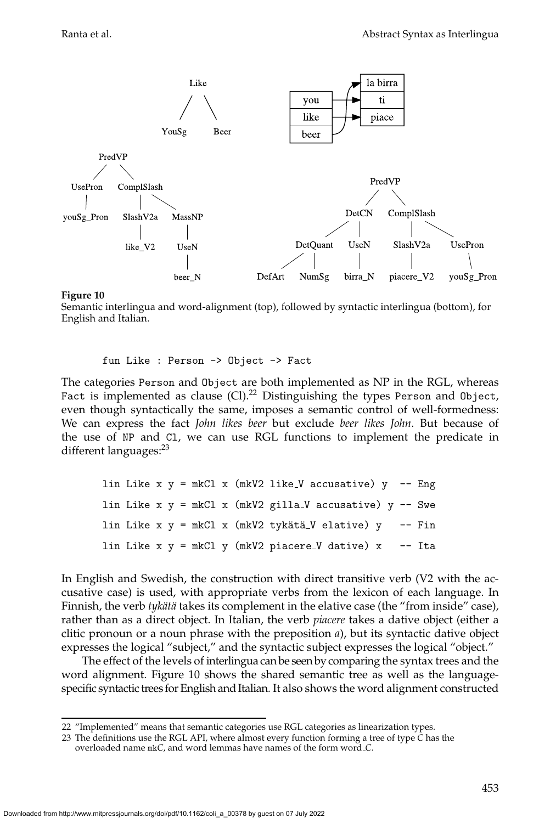

<span id="page-28-2"></span>Semantic interlingua and word-alignment (top), followed by syntactic interlingua (bottom), for English and Italian.

fun Like : Person -> Object -> Fact

The categories Person and Object are both implemented as NP in the RGL, whereas Fact is implemented as clause (Cl).<sup>[22](#page-28-0)</sup> Distinguishing the types Person and 0bject, even though syntactically the same, imposes a semantic control of well-formedness: We can express the fact *John likes beer* but exclude *beer likes John*. But because of the use of NP and Cl, we can use RGL functions to implement the predicate in different languages:<sup>[23](#page-28-1)</sup>

|  |  |  |  | lin Like x $y = mkCl x$ (mkV2 like_V accusative) $y$ -- Eng   |  |
|--|--|--|--|---------------------------------------------------------------|--|
|  |  |  |  | lin Like x $y = mkCl x$ (mkV2 gilla_V accusative) $y - Sw$ e  |  |
|  |  |  |  | lin Like x y = mkCl x (mkV2 tykätä_V elative) y -- Fin        |  |
|  |  |  |  | lin Like $x \, y = mkCl$ y (mkV2 piacere_V dative) $x$ -- Ita |  |

In English and Swedish, the construction with direct transitive verb (V2 with the accusative case) is used, with appropriate verbs from the lexicon of each language. In Finnish, the verb *tykätä* takes its complement in the elative case (the "from inside" case), rather than as a direct object. In Italian, the verb *piacere* takes a dative object (either a clitic pronoun or a noun phrase with the preposition *a*), but its syntactic dative object expresses the logical "subject," and the syntactic subject expresses the logical "object."

The effect of the levels of interlingua can be seen by comparing the syntax trees and the word alignment. Figure [10](#page-28-2) shows the shared semantic tree as well as the languagespecific syntactic trees for English and Italian. It also shows the word alignment constructed

<span id="page-28-0"></span><sup>22 &</sup>quot;Implemented" means that semantic categories use RGL categories as linearization types.

<span id="page-28-1"></span><sup>23</sup> The definitions use the RGL API, where almost every function forming a tree of type *C* has the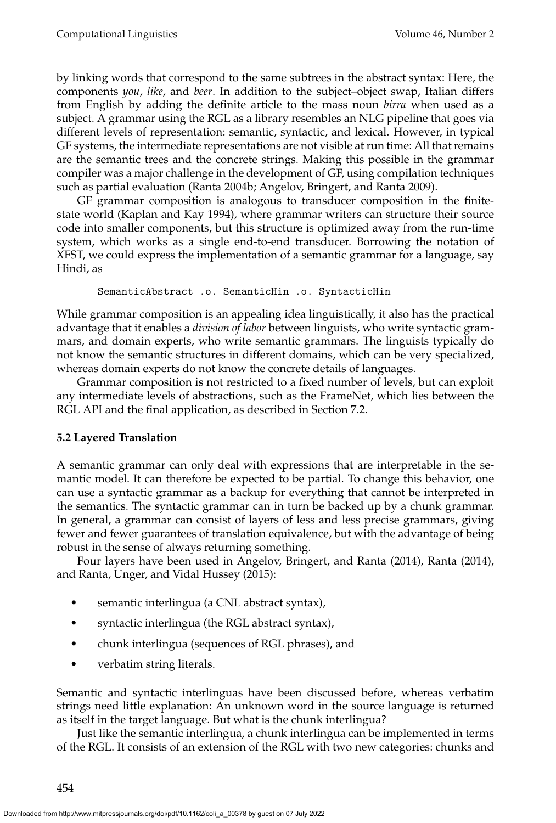by linking words that correspond to the same subtrees in the abstract syntax: Here, the components *you*, *like*, and *beer*. In addition to the subject–object swap, Italian differs from English by adding the definite article to the mass noun *birra* when used as a subject. A grammar using the RGL as a library resembles an NLG pipeline that goes via different levels of representation: semantic, syntactic, and lexical. However, in typical GF systems, the intermediate representations are not visible at run time: All that remains are the semantic trees and the concrete strings. Making this possible in the grammar compiler was a major challenge in the development of GF, using compilation techniques such as partial evaluation [\(Ranta 2004b; Angelov, Bringert, and Ranta 2009\)](#page-0-0).

GF grammar composition is analogous to transducer composition in the finitestate world [\(Kaplan and Kay 1994\)](#page-0-0), where grammar writers can structure their source code into smaller components, but this structure is optimized away from the run-time system, which works as a single end-to-end transducer. Borrowing the notation of XFST, we could express the implementation of a semantic grammar for a language, say Hindi, as

```
SemanticAbstract .o. SemanticHin .o. SyntacticHin
```
While grammar composition is an appealing idea linguistically, it also has the practical advantage that it enables a *division of labor* between linguists, who write syntactic grammars, and domain experts, who write semantic grammars. The linguists typically do not know the semantic structures in different domains, which can be very specialized, whereas domain experts do not know the concrete details of languages.

Grammar composition is not restricted to a fixed number of levels, but can exploit any intermediate levels of abstractions, such as the FrameNet, which lies between the RGL API and the final application, as described in Section [7.2.](#page-48-0)

### <span id="page-29-0"></span>**5.2 Layered Translation**

A semantic grammar can only deal with expressions that are interpretable in the semantic model. It can therefore be expected to be partial. To change this behavior, one can use a syntactic grammar as a backup for everything that cannot be interpreted in the semantics. The syntactic grammar can in turn be backed up by a chunk grammar. In general, a grammar can consist of layers of less and less precise grammars, giving fewer and fewer guarantees of translation equivalence, but with the advantage of being robust in the sense of always returning something.

Four layers have been used in [Angelov, Bringert, and Ranta \(2014\)](#page-0-0), [Ranta \(2014\)](#page-0-0), and [Ranta, Unger, and Vidal Hussey \(2015\)](#page-0-0):

- semantic interlingua (a CNL abstract syntax),
- syntactic interlingua (the RGL abstract syntax),
- chunk interlingua (sequences of RGL phrases), and
- verbatim string literals.

Semantic and syntactic interlinguas have been discussed before, whereas verbatim strings need little explanation: An unknown word in the source language is returned as itself in the target language. But what is the chunk interlingua?

Just like the semantic interlingua, a chunk interlingua can be implemented in terms of the RGL. It consists of an extension of the RGL with two new categories: chunks and

454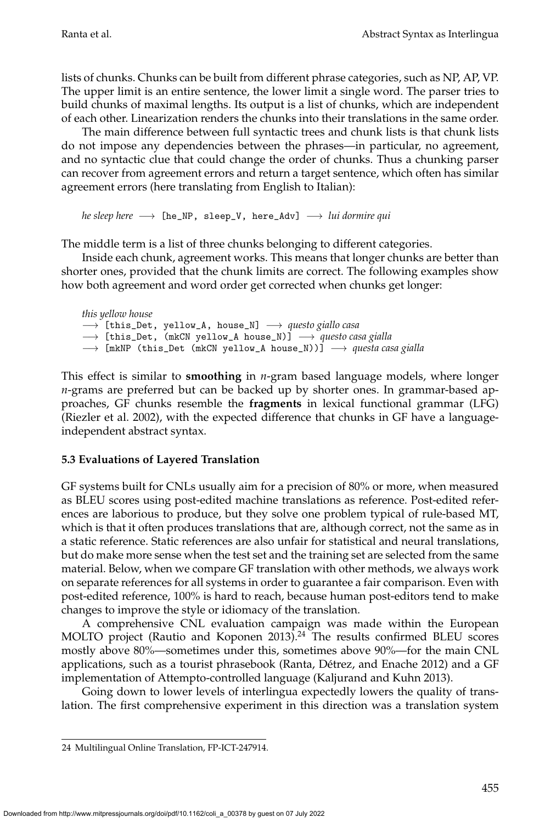lists of chunks. Chunks can be built from different phrase categories, such as NP, AP, VP. The upper limit is an entire sentence, the lower limit a single word. The parser tries to build chunks of maximal lengths. Its output is a list of chunks, which are independent of each other. Linearization renders the chunks into their translations in the same order.

The main difference between full syntactic trees and chunk lists is that chunk lists do not impose any dependencies between the phrases—in particular, no agreement, and no syntactic clue that could change the order of chunks. Thus a chunking parser can recover from agreement errors and return a target sentence, which often has similar agreement errors (here translating from English to Italian):

*he sleep here* → [he\_NP, sleep\_V, here\_Adv] → *lui dormire qui* 

The middle term is a list of three chunks belonging to different categories.

Inside each chunk, agreement works. This means that longer chunks are better than shorter ones, provided that the chunk limits are correct. The following examples show how both agreement and word order get corrected when chunks get longer:

*this yellow house* −→ [this\_Det, yellow\_A, house\_N] −→ *questo giallo casa* −→ [this\_Det, (mkCN yellow\_A house\_N)] −→ *questo casa gialla* → [mkNP (this\_Det (mkCN yellow\_A house\_N))] → *questa casa gialla* 

This effect is similar to **smoothing** in *n*-gram based language models, where longer *n*-grams are preferred but can be backed up by shorter ones. In grammar-based approaches, GF chunks resemble the **fragments** in lexical functional grammar (LFG) [\(Riezler et al. 2002\)](#page-0-0), with the expected difference that chunks in GF have a languageindependent abstract syntax.

### **5.3 Evaluations of Layered Translation**

GF systems built for CNLs usually aim for a precision of 80% or more, when measured as BLEU scores using post-edited machine translations as reference. Post-edited references are laborious to produce, but they solve one problem typical of rule-based MT, which is that it often produces translations that are, although correct, not the same as in a static reference. Static references are also unfair for statistical and neural translations, but do make more sense when the test set and the training set are selected from the same material. Below, when we compare GF translation with other methods, we always work on separate references for all systems in order to guarantee a fair comparison. Even with post-edited reference, 100% is hard to reach, because human post-editors tend to make changes to improve the style or idiomacy of the translation.

A comprehensive CNL evaluation campaign was made within the European MOLTO project [\(Rautio and Koponen 2013\)](#page-0-0).<sup>[24](#page-30-0)</sup> The results confirmed BLEU scores mostly above 80%—sometimes under this, sometimes above 90%—for the main CNL applications, such as a tourist phrasebook (Ranta, Détrez, and Enache 2012) and a GF implementation of Attempto-controlled language [\(Kaljurand and Kuhn 2013\)](#page-0-0).

Going down to lower levels of interlingua expectedly lowers the quality of translation. The first comprehensive experiment in this direction was a translation system

<span id="page-30-0"></span><sup>24</sup> Multilingual Online Translation, FP-ICT-247914.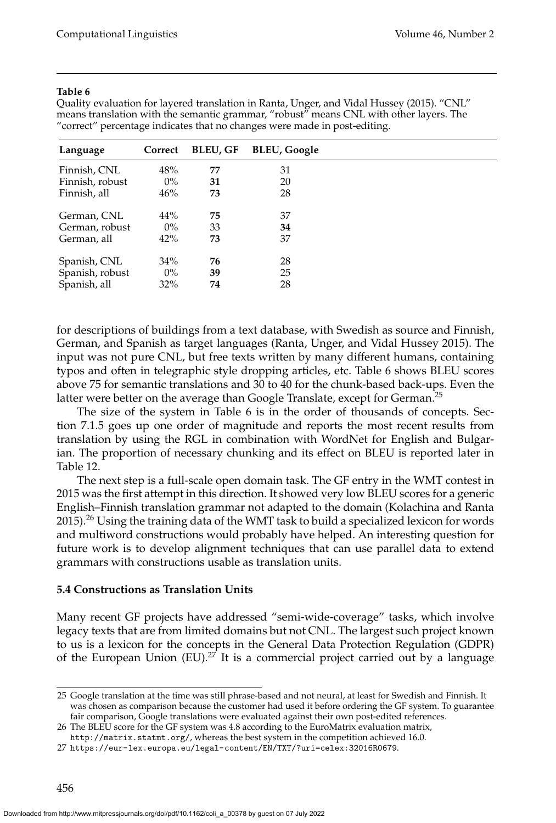#### **Table 6**

<span id="page-31-1"></span>Quality evaluation for layered translation in [Ranta, Unger, and Vidal Hussey \(2015\)](#page-0-0). "CNL" means translation with the semantic grammar, "robust" means CNL with other layers. The "correct" percentage indicates that no changes were made in post-editing.

| Language        | Correct | <b>BLEU, GF</b> | <b>BLEU, Google</b> |
|-----------------|---------|-----------------|---------------------|
| Finnish, CNL    | 48%     | 77              | 31                  |
| Finnish, robust | $0\%$   | 31              | 20                  |
| Finnish, all    | 46%     | 73              | 28                  |
| German, CNL     | 44%     | 75              | 37                  |
| German, robust  | $0\%$   | 33              | 34                  |
| German, all     | 42%     | 73              | 37                  |
| Spanish, CNL    | 34%     | 76              | 28                  |
| Spanish, robust | $0\%$   | 39              | 25                  |
| Spanish, all    | 32%     | 74              | 28                  |

for descriptions of buildings from a text database, with Swedish as source and Finnish, German, and Spanish as target languages [\(Ranta, Unger, and Vidal Hussey 2015\)](#page-0-0). The input was not pure CNL, but free texts written by many different humans, containing typos and often in telegraphic style dropping articles, etc. Table [6](#page-31-1) shows BLEU scores above 75 for semantic translations and 30 to 40 for the chunk-based back-ups. Even the latter were better on the average than Google Translate, except for German.<sup>[25](#page-31-2)</sup>

The size of the system in Table [6](#page-31-1) is in the order of thousands of concepts. Section [7.1.5](#page-47-0) goes up one order of magnitude and reports the most recent results from translation by using the RGL in combination with WordNet for English and Bulgarian. The proportion of necessary chunking and its effect on BLEU is reported later in Table [12.](#page-47-1)

The next step is a full-scale open domain task. The GF entry in the WMT contest in 2015 was the first attempt in this direction. It showed very low BLEU scores for a generic English–Finnish translation grammar not adapted to the domain [\(Kolachina and Ranta](#page-0-0)  $2015$ .<sup>[26](#page-31-3)</sup> Using the training data of the WMT task to build a specialized lexicon for words and multiword constructions would probably have helped. An interesting question for future work is to develop alignment techniques that can use parallel data to extend grammars with constructions usable as translation units.

### <span id="page-31-0"></span>**5.4 Constructions as Translation Units**

Many recent GF projects have addressed "semi-wide-coverage" tasks, which involve legacy texts that are from limited domains but not CNL. The largest such project known to us is a lexicon for the concepts in the General Data Protection Regulation (GDPR) of the European Union (EU).<sup>[27](#page-31-4)</sup> It is a commercial project carried out by a language

<span id="page-31-2"></span><sup>25</sup> Google translation at the time was still phrase-based and not neural, at least for Swedish and Finnish. It was chosen as comparison because the customer had used it before ordering the GF system. To guarantee fair comparison, Google translations were evaluated against their own post-edited references.

<span id="page-31-3"></span><sup>26</sup> The BLEU score for the GF system was 4.8 according to the EuroMatrix evaluation matrix,

<span id="page-31-4"></span><http://matrix.statmt.org/>, whereas the best system in the competition achieved 16.0.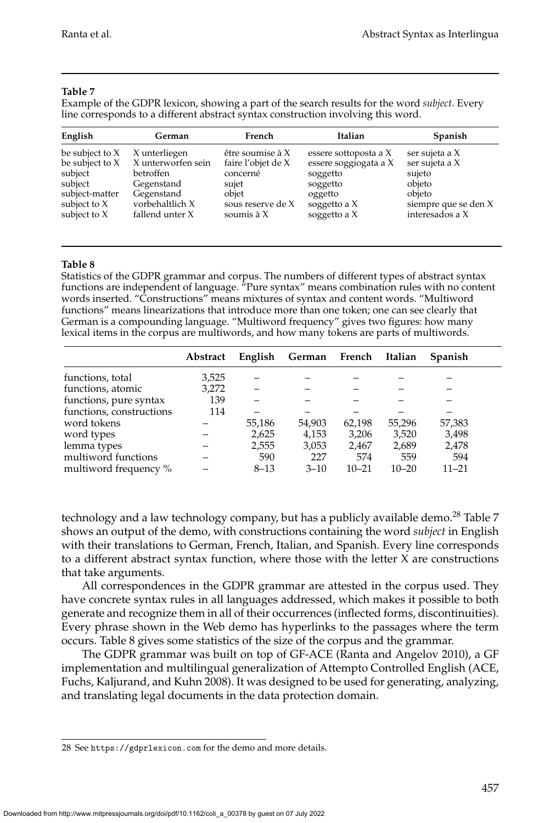#### **Table 7**

<span id="page-32-0"></span>Example of the GDPR lexicon, showing a part of the search results for the word *subject*. Every line corresponds to a different abstract syntax construction involving this word.

| English           | German             | French             | Italian               | <b>Spanish</b>       |
|-------------------|--------------------|--------------------|-----------------------|----------------------|
| be subject to $X$ | X unterliegen      | être soumise à $X$ | essere sottoposta a X | ser sujeta a X       |
| be subject to X   | X unterworfen sein | faire l'objet de X | essere soggiogata a X | ser sujeta a X       |
| subject           | betroffen          | concerné           | soggetto              | sujeto               |
| subject           | Gegenstand         | sujet              | soggetto              | objeto               |
| subject-matter    | Gegenstand         | objet              | oggetto               | objeto               |
| subject to X      | vorbehaltlich X    | sous reserve de X  | soggetto a X          | siempre que se den X |
| subject to X      | fallend unter X    | soumis $\lambda$ X | soggetto a X          | interesados a X      |

#### **Table 8**

<span id="page-32-2"></span>Statistics of the GDPR grammar and corpus. The numbers of different types of abstract syntax functions are independent of language. "Pure syntax" means combination rules with no content words inserted. "Constructions" means mixtures of syntax and content words. "Multiword functions" means linearizations that introduce more than one token; one can see clearly that German is a compounding language. "Multiword frequency" gives two figures: how many lexical items in the corpus are multiwords, and how many tokens are parts of multiwords.

|                          | Abstract | English  | German French |           | Italian   | <b>Spanish</b> |
|--------------------------|----------|----------|---------------|-----------|-----------|----------------|
| functions, total         | 3,525    |          |               |           |           |                |
| functions, atomic        | 3,272    |          |               |           |           |                |
| functions, pure syntax   | 139      |          |               |           |           |                |
| functions, constructions | 114      |          |               |           |           |                |
| word tokens              |          | 55,186   | 54,903        | 62,198    | 55.296    | 57,383         |
| word types               |          | 2,625    | 4,153         | 3,206     | 3,520     | 3,498          |
| lemma types              |          | 2,555    | 3,053         | 2,467     | 2,689     | 2,478          |
| multiword functions      |          | 590      | 227           | 574       | 559       | 594            |
| multiword frequency %    |          | $8 - 13$ | $3 - 10$      | $10 - 21$ | $10 - 20$ | $11 - 21$      |

technology and a law technology company, but has a publicly available demo.<sup>[28](#page-32-1)</sup> Table [7](#page-32-0) shows an output of the demo, with constructions containing the word *subject* in English with their translations to German, French, Italian, and Spanish. Every line corresponds to a different abstract syntax function, where those with the letter X are constructions that take arguments.

All correspondences in the GDPR grammar are attested in the corpus used. They have concrete syntax rules in all languages addressed, which makes it possible to both generate and recognize them in all of their occurrences (inflected forms, discontinuities). Every phrase shown in the Web demo has hyperlinks to the passages where the term occurs. Table [8](#page-32-2) gives some statistics of the size of the corpus and the grammar.

The GDPR grammar was built on top of GF-ACE [\(Ranta and Angelov 2010\)](#page-0-0), a GF implementation and multilingual generalization of Attempto Controlled English (ACE, Fuchs, Kaljurand, and Kuhn [2008\)](#page-0-0). It was designed to be used for generating, analyzing, and translating legal documents in the data protection domain.

<span id="page-32-1"></span><sup>28</sup> See <https://gdprlexicon.com> for the demo and more details.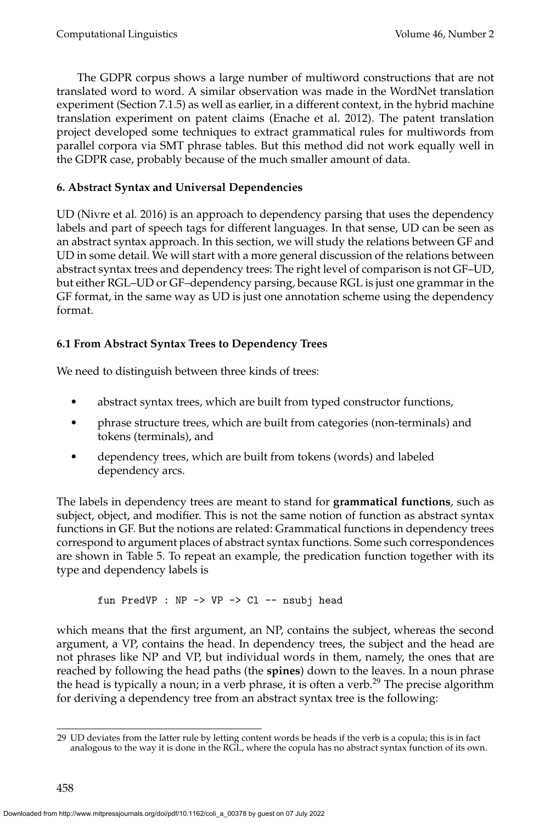The GDPR corpus shows a large number of multiword constructions that are not translated word to word. A similar observation was made in the WordNet translation experiment (Section [7.1.5\)](#page-47-0) as well as earlier, in a different context, in the hybrid machine translation experiment on patent claims [\(Enache et al. 2012\)](#page-0-0). The patent translation project developed some techniques to extract grammatical rules for multiwords from parallel corpora via SMT phrase tables. But this method did not work equally well in the GDPR case, probably because of the much smaller amount of data.

# <span id="page-33-0"></span>**6. Abstract Syntax and Universal Dependencies**

UD [\(Nivre et al. 2016\)](#page-0-0) is an approach to dependency parsing that uses the dependency labels and part of speech tags for different languages. In that sense, UD can be seen as an abstract syntax approach. In this section, we will study the relations between GF and UD in some detail. We will start with a more general discussion of the relations between abstract syntax trees and dependency trees: The right level of comparison is not GF–UD, but either RGL–UD or GF–dependency parsing, because RGL is just one grammar in the GF format, in the same way as UD is just one annotation scheme using the dependency format.

# **6.1 From Abstract Syntax Trees to Dependency Trees**

We need to distinguish between three kinds of trees:

- abstract syntax trees, which are built from typed constructor functions,
- phrase structure trees, which are built from categories (non-terminals) and tokens (terminals), and
- dependency trees, which are built from tokens (words) and labeled dependency arcs.

The labels in dependency trees are meant to stand for **grammatical functions**, such as subject, object, and modifier. This is not the same notion of function as abstract syntax functions in GF. But the notions are related: Grammatical functions in dependency trees correspond to argument places of abstract syntax functions. Some such correspondences are shown in Table [5.](#page-24-0) To repeat an example, the predication function together with its type and dependency labels is

fun PredVP : NP -> VP -> Cl -- nsubj head

which means that the first argument, an NP, contains the subject, whereas the second argument, a VP, contains the head. In dependency trees, the subject and the head are not phrases like NP and VP, but individual words in them, namely, the ones that are reached by following the head paths (the **spines**) down to the leaves. In a noun phrase the head is typically a noun; in a verb phrase, it is often a verb.<sup>[29](#page-33-1)</sup> The precise algorithm for deriving a dependency tree from an abstract syntax tree is the following:

<span id="page-33-1"></span><sup>29</sup> UD deviates from the latter rule by letting content words be heads if the verb is a copula; this is in fact analogous to the way it is done in the RGL, where the copula has no abstract syntax function of its own.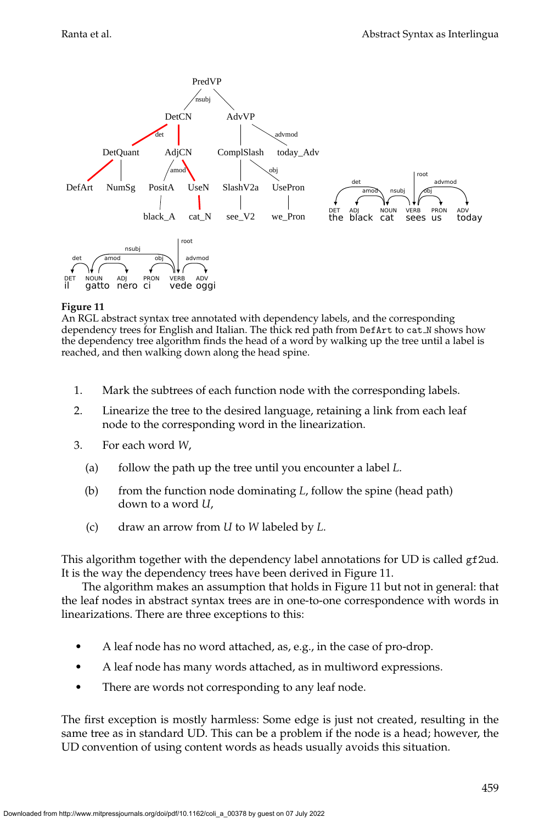

<span id="page-34-0"></span>An RGL abstract syntax tree annotated with dependency labels, and the corresponding dependency trees for English and Italian. The thick red path from DefArt to cat N shows how the dependency tree algorithm finds the head of a word by walking up the tree until a label is reached, and then walking down along the head spine.

- 1. Mark the subtrees of each function node with the corresponding labels.
- 2. Linearize the tree to the desired language, retaining a link from each leaf node to the corresponding word in the linearization.
- 3. For each word *W*,
	- (a) follow the path up the tree until you encounter a label *L*.
	- (b) from the function node dominating *L*, follow the spine (head path) down to a word *U*,
	- (c) draw an arrow from *U* to *W* labeled by *L*.

This algorithm together with the dependency label annotations for UD is called gf2ud. It is the way the dependency trees have been derived in Figure [11.](#page-34-0)

The algorithm makes an assumption that holds in Figure [11](#page-34-0) but not in general: that the leaf nodes in abstract syntax trees are in one-to-one correspondence with words in linearizations. There are three exceptions to this:

- A leaf node has no word attached, as, e.g., in the case of pro-drop.
- A leaf node has many words attached, as in multiword expressions.
- There are words not corresponding to any leaf node.

The first exception is mostly harmless: Some edge is just not created, resulting in the same tree as in standard UD. This can be a problem if the node is a head; however, the UD convention of using content words as heads usually avoids this situation.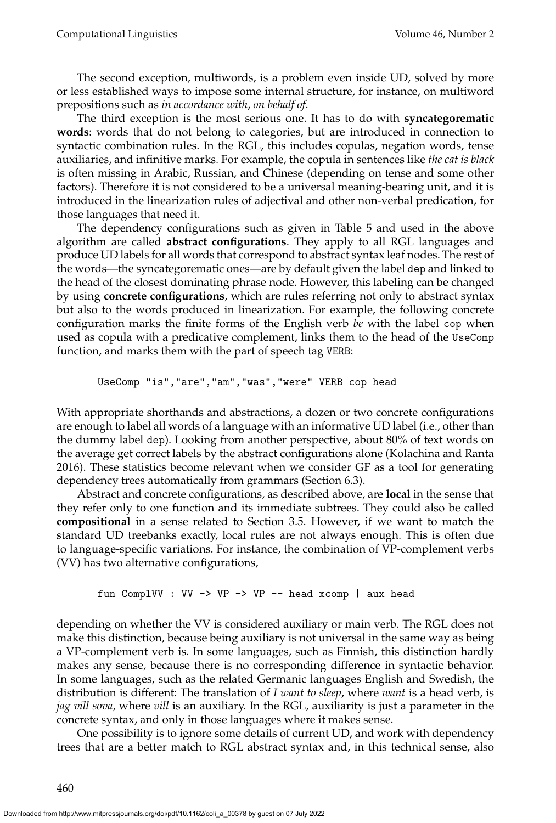The second exception, multiwords, is a problem even inside UD, solved by more or less established ways to impose some internal structure, for instance, on multiword prepositions such as *in accordance with*, *on behalf of*.

The third exception is the most serious one. It has to do with **syncategorematic words**: words that do not belong to categories, but are introduced in connection to syntactic combination rules. In the RGL, this includes copulas, negation words, tense auxiliaries, and infinitive marks. For example, the copula in sentences like *the cat is black* is often missing in Arabic, Russian, and Chinese (depending on tense and some other factors). Therefore it is not considered to be a universal meaning-bearing unit, and it is introduced in the linearization rules of adjectival and other non-verbal predication, for those languages that need it.

The dependency configurations such as given in Table [5](#page-24-0) and used in the above algorithm are called **abstract configurations**. They apply to all RGL languages and produce UD labels for all words that correspond to abstract syntax leaf nodes. The rest of the words—the syncategorematic ones—are by default given the label dep and linked to the head of the closest dominating phrase node. However, this labeling can be changed by using **concrete configurations**, which are rules referring not only to abstract syntax but also to the words produced in linearization. For example, the following concrete configuration marks the finite forms of the English verb *be* with the label cop when used as copula with a predicative complement, links them to the head of the UseComp function, and marks them with the part of speech tag VERB:

UseComp "is","are","am","was","were" VERB cop head

With appropriate shorthands and abstractions, a dozen or two concrete configurations are enough to label all words of a language with an informative UD label (i.e., other than the dummy label dep). Looking from another perspective, about 80% of text words on the average get correct labels by the abstract configurations alone [\(Kolachina and Ranta](#page-0-0) [2016\)](#page-0-0). These statistics become relevant when we consider GF as a tool for generating dependency trees automatically from grammars (Section [6.3\)](#page-37-0).

Abstract and concrete configurations, as described above, are **local** in the sense that they refer only to one function and its immediate subtrees. They could also be called **compositional** in a sense related to Section [3.5.](#page-17-0) However, if we want to match the standard UD treebanks exactly, local rules are not always enough. This is often due to language-specific variations. For instance, the combination of VP-complement verbs (VV) has two alternative configurations,

fun ComplVV : VV -> VP -> VP -- head xcomp | aux head

depending on whether the VV is considered auxiliary or main verb. The RGL does not make this distinction, because being auxiliary is not universal in the same way as being a VP-complement verb is. In some languages, such as Finnish, this distinction hardly makes any sense, because there is no corresponding difference in syntactic behavior. In some languages, such as the related Germanic languages English and Swedish, the distribution is different: The translation of *I want to sleep*, where *want* is a head verb, is *jag vill sova*, where *vill* is an auxiliary. In the RGL, auxiliarity is just a parameter in the concrete syntax, and only in those languages where it makes sense.

One possibility is to ignore some details of current UD, and work with dependency trees that are a better match to RGL abstract syntax and, in this technical sense, also

460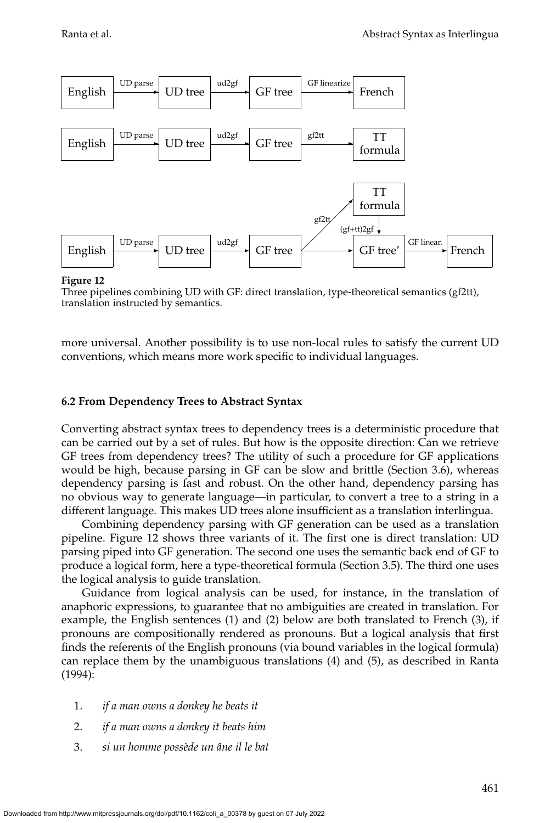

<span id="page-36-0"></span>Three pipelines combining UD with GF: direct translation, type-theoretical semantics (gf2tt), translation instructed by semantics.

more universal. Another possibility is to use non-local rules to satisfy the current UD conventions, which means more work specific to individual languages.

#### **6.2 From Dependency Trees to Abstract Syntax**

Converting abstract syntax trees to dependency trees is a deterministic procedure that can be carried out by a set of rules. But how is the opposite direction: Can we retrieve GF trees from dependency trees? The utility of such a procedure for GF applications would be high, because parsing in GF can be slow and brittle (Section [3.6\)](#page-18-1), whereas dependency parsing is fast and robust. On the other hand, dependency parsing has no obvious way to generate language—in particular, to convert a tree to a string in a different language. This makes UD trees alone insufficient as a translation interlingua.

Combining dependency parsing with GF generation can be used as a translation pipeline. Figure [12](#page-36-0) shows three variants of it. The first one is direct translation: UD parsing piped into GF generation. The second one uses the semantic back end of GF to produce a logical form, here a type-theoretical formula (Section [3.5\)](#page-17-0). The third one uses the logical analysis to guide translation.

Guidance from logical analysis can be used, for instance, in the translation of anaphoric expressions, to guarantee that no ambiguities are created in translation. For example, the English sentences (1) and (2) below are both translated to French (3), if pronouns are compositionally rendered as pronouns. But a logical analysis that first finds the referents of the English pronouns (via bound variables in the logical formula) can replace them by the unambiguous translations (4) and (5), as described in [Ranta](#page-0-0) [\(1994\)](#page-0-0):

- 1. *if a man owns a donkey he beats it*
- 2. *if a man owns a donkey it beats him*
- 3. *si un homme poss`ede un ˆane il le bat*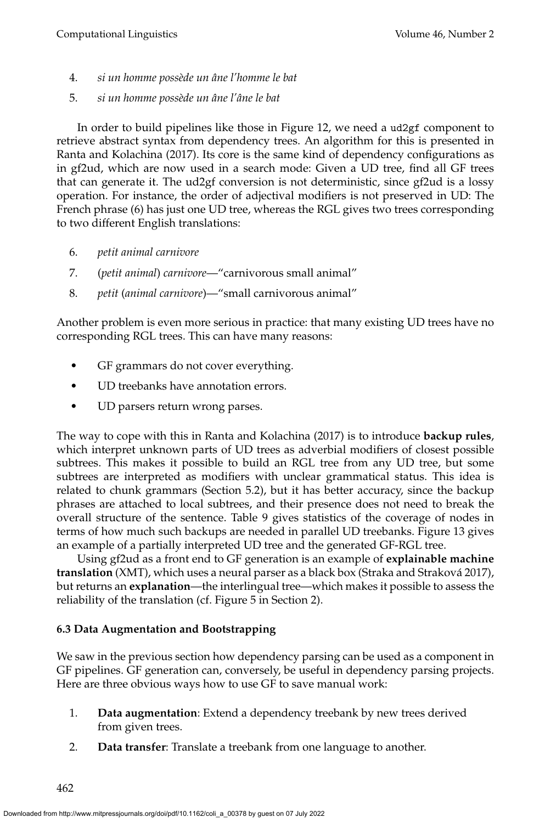- 4. *si un homme poss`ede un ˆane l'homme le bat*
- 5. *si un homme poss`ede un ˆane l'ˆane le bat*

In order to build pipelines like those in Figure [12,](#page-36-0) we need a ud2gf component to retrieve abstract syntax from dependency trees. An algorithm for this is presented in [Ranta and Kolachina \(2017\)](#page-0-0). Its core is the same kind of dependency configurations as in gf2ud, which are now used in a search mode: Given a UD tree, find all GF trees that can generate it. The ud2gf conversion is not deterministic, since gf2ud is a lossy operation. For instance, the order of adjectival modifiers is not preserved in UD: The French phrase (6) has just one UD tree, whereas the RGL gives two trees corresponding to two different English translations:

- 6. *petit animal carnivore*
- 7. (*petit animal*) *carnivore*—"carnivorous small animal"
- 8. *petit* (*animal carnivore*)—"small carnivorous animal"

Another problem is even more serious in practice: that many existing UD trees have no corresponding RGL trees. This can have many reasons:

- GF grammars do not cover everything.
- UD treebanks have annotation errors.
- UD parsers return wrong parses.

The way to cope with this in [Ranta and Kolachina \(2017\)](#page-0-0) is to introduce **backup rules**, which interpret unknown parts of UD trees as adverbial modifiers of closest possible subtrees. This makes it possible to build an RGL tree from any UD tree, but some subtrees are interpreted as modifiers with unclear grammatical status. This idea is related to chunk grammars (Section [5.2\)](#page-29-0), but it has better accuracy, since the backup phrases are attached to local subtrees, and their presence does not need to break the overall structure of the sentence. Table [9](#page-38-0) gives statistics of the coverage of nodes in terms of how much such backups are needed in parallel UD treebanks. Figure [13](#page-38-1) gives an example of a partially interpreted UD tree and the generated GF-RGL tree.

Using gf2ud as a front end to GF generation is an example of **explainable machine translation** (XMT), which uses a neural parser as a black box [\(Straka and Strakova 2017\)](#page-0-0), ´ but returns an **explanation**—the interlingual tree—which makes it possible to assess the reliability of the translation (cf. Figure [5](#page-8-0) in Section [2\)](#page-4-1).

# <span id="page-37-0"></span>**6.3 Data Augmentation and Bootstrapping**

We saw in the previous section how dependency parsing can be used as a component in GF pipelines. GF generation can, conversely, be useful in dependency parsing projects. Here are three obvious ways how to use GF to save manual work:

- 1. **Data augmentation**: Extend a dependency treebank by new trees derived from given trees.
- 2. **Data transfer**: Translate a treebank from one language to another.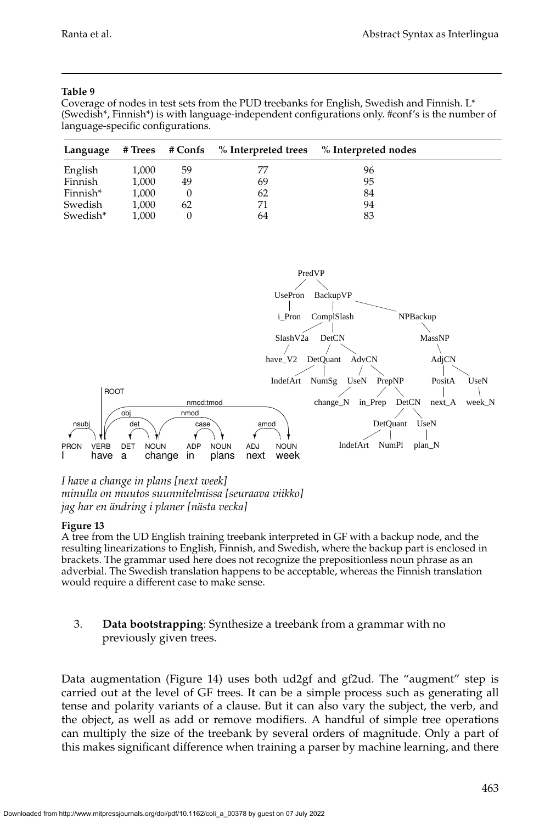#### **Table 9**

<span id="page-38-0"></span>Coverage of nodes in test sets from the PUD treebanks for English, Swedish and Finnish. L\* (Swedish\*, Finnish\*) is with language-independent configurations only. #conf's is the number of language-specific configurations.

| Language |       | # Trees # Confs | $\%$ Interpreted trees | % Interpreted nodes |  |
|----------|-------|-----------------|------------------------|---------------------|--|
| English  | 1,000 | 59              | 77                     | 96                  |  |
| Finnish  | 1,000 | 49              | 69                     | 95                  |  |
| Finnish* | 1,000 |                 | 62                     | 84                  |  |
| Swedish  | 1,000 | 62              | 71                     | 94                  |  |
| Swedish* | 1.000 |                 | 64                     | 83                  |  |



### *I have a change in plans [next week] minulla on muutos suunnitelmissa [seuraava viikko] jag har en ¨andring i planer [n¨asta vecka]*

#### **Figure 13**

<span id="page-38-1"></span>A tree from the UD English training treebank interpreted in GF with a backup node, and the resulting linearizations to English, Finnish, and Swedish, where the backup part is enclosed in brackets. The grammar used here does not recognize the prepositionless noun phrase as an adverbial. The Swedish translation happens to be acceptable, whereas the Finnish translation would require a different case to make sense.

### 3. **Data bootstrapping**: Synthesize a treebank from a grammar with no previously given trees.

Data augmentation (Figure [14\)](#page-39-0) uses both ud2gf and gf2ud. The "augment" step is carried out at the level of GF trees. It can be a simple process such as generating all tense and polarity variants of a clause. But it can also vary the subject, the verb, and the object, as well as add or remove modifiers. A handful of simple tree operations can multiply the size of the treebank by several orders of magnitude. Only a part of this makes significant difference when training a parser by machine learning, and there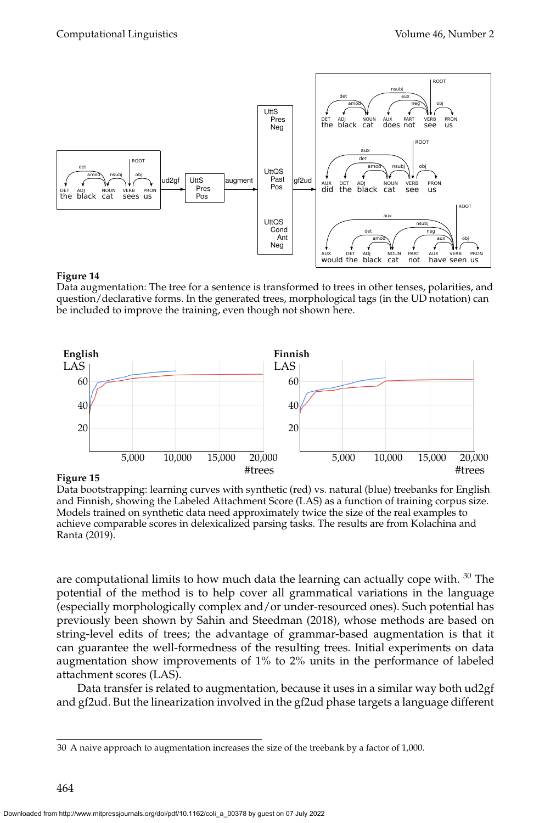

<span id="page-39-0"></span>Data augmentation: The tree for a sentence is transformed to trees in other tenses, polarities, and question/declarative forms. In the generated trees, morphological tags (in the UD notation) can be included to improve the training, even though not shown here.



**Figure 15**

<span id="page-39-2"></span>Data bootstrapping: learning curves with synthetic (red) vs. natural (blue) treebanks for English and Finnish, showing the Labeled Attachment Score (LAS) as a function of training corpus size. Models trained on synthetic data need approximately twice the size of the real examples to achieve comparable scores in delexicalized parsing tasks. The results are from [Kolachina and](#page-0-0) [Ranta \(2019\)](#page-0-0).

are computational limits to how much data the learning can actually cope with.  $30$  The potential of the method is to help cover all grammatical variations in the language (especially morphologically complex and/or under-resourced ones). Such potential has previously been shown by [Sahin and Steedman \(2018\)](#page-0-0), whose methods are based on string-level edits of trees; the advantage of grammar-based augmentation is that it can guarantee the well-formedness of the resulting trees. Initial experiments on data augmentation show improvements of 1% to 2% units in the performance of labeled attachment scores (LAS).

Data transfer is related to augmentation, because it uses in a similar way both ud2gf and gf2ud. But the linearization involved in the gf2ud phase targets a language different

<span id="page-39-1"></span><sup>30</sup> A naive approach to augmentation increases the size of the treebank by a factor of 1,000.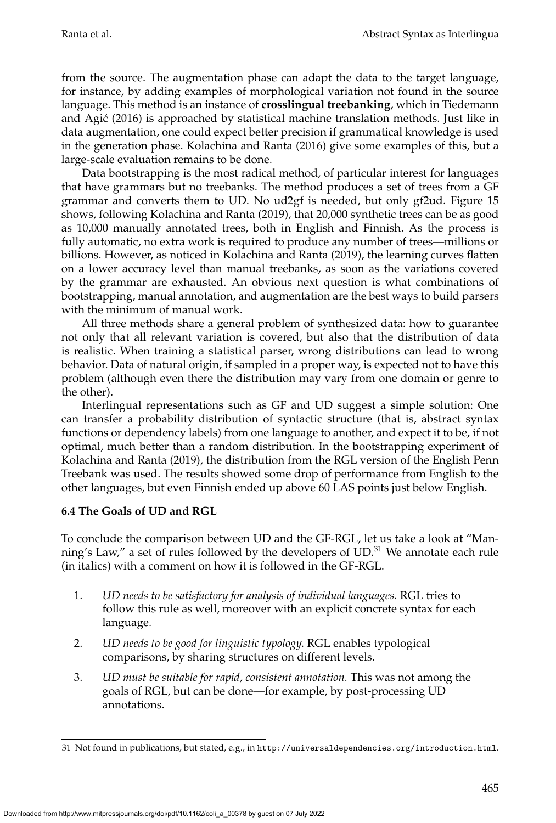from the source. The augmentation phase can adapt the data to the target language, for instance, by adding examples of morphological variation not found in the source language. This method is an instance of **crosslingual treebanking**, which in [Tiedemann](#page-0-0) [and Agic \(2016\)](#page-0-0) is approached by statistical machine translation methods. Just like in ´ data augmentation, one could expect better precision if grammatical knowledge is used in the generation phase. [Kolachina and Ranta \(2016\)](#page-0-0) give some examples of this, but a large-scale evaluation remains to be done.

Data bootstrapping is the most radical method, of particular interest for languages that have grammars but no treebanks. The method produces a set of trees from a GF grammar and converts them to UD. No ud2gf is needed, but only gf2ud. Figure [15](#page-39-2) shows, following [Kolachina and Ranta \(2019\)](#page-0-0), that 20,000 synthetic trees can be as good as 10,000 manually annotated trees, both in English and Finnish. As the process is fully automatic, no extra work is required to produce any number of trees—millions or billions. However, as noticed in [Kolachina and Ranta \(2019\)](#page-0-0), the learning curves flatten on a lower accuracy level than manual treebanks, as soon as the variations covered by the grammar are exhausted. An obvious next question is what combinations of bootstrapping, manual annotation, and augmentation are the best ways to build parsers with the minimum of manual work.

All three methods share a general problem of synthesized data: how to guarantee not only that all relevant variation is covered, but also that the distribution of data is realistic. When training a statistical parser, wrong distributions can lead to wrong behavior. Data of natural origin, if sampled in a proper way, is expected not to have this problem (although even there the distribution may vary from one domain or genre to the other).

Interlingual representations such as GF and UD suggest a simple solution: One can transfer a probability distribution of syntactic structure (that is, abstract syntax functions or dependency labels) from one language to another, and expect it to be, if not optimal, much better than a random distribution. In the bootstrapping experiment of [Kolachina and Ranta \(2019\)](#page-0-0), the distribution from the RGL version of the English Penn Treebank was used. The results showed some drop of performance from English to the other languages, but even Finnish ended up above 60 LAS points just below English.

### **6.4 The Goals of UD and RGL**

To conclude the comparison between UD and the GF-RGL, let us take a look at "Manning's Law," a set of rules followed by the developers of  $UD$ <sup>[31](#page-40-0)</sup>. We annotate each rule (in italics) with a comment on how it is followed in the GF-RGL.

- 1. *UD needs to be satisfactory for analysis of individual languages.* RGL tries to follow this rule as well, moreover with an explicit concrete syntax for each language.
- 2. *UD needs to be good for linguistic typology.* RGL enables typological comparisons, by sharing structures on different levels.
- 3. *UD must be suitable for rapid, consistent annotation.* This was not among the goals of RGL, but can be done—for example, by post-processing UD annotations.

<span id="page-40-0"></span><sup>31</sup> Not found in publications, but stated, e.g., in <http://universaldependencies.org/introduction.html>.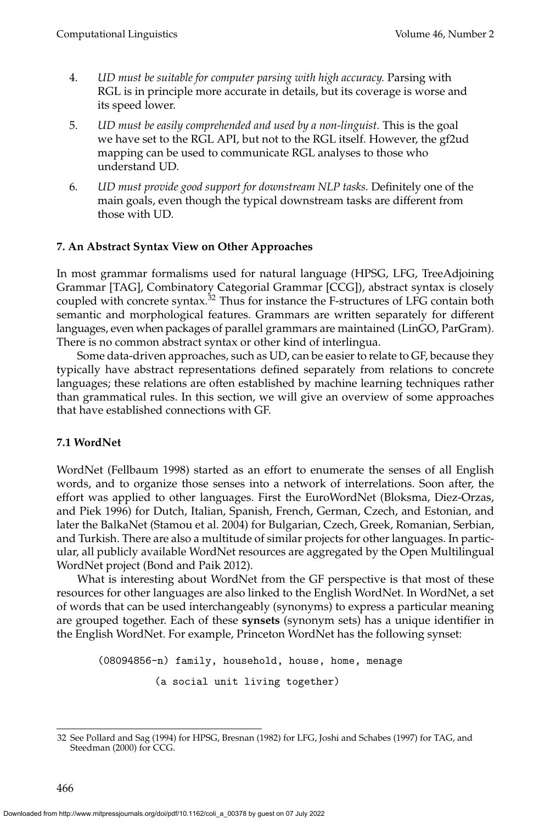- 4. *UD must be suitable for computer parsing with high accuracy.* Parsing with RGL is in principle more accurate in details, but its coverage is worse and its speed lower.
- 5. *UD must be easily comprehended and used by a non-linguist.* This is the goal we have set to the RGL API, but not to the RGL itself. However, the gf2ud mapping can be used to communicate RGL analyses to those who understand UD.
- 6. *UD must provide good support for downstream NLP tasks.* Definitely one of the main goals, even though the typical downstream tasks are different from those with UD.

### <span id="page-41-0"></span>**7. An Abstract Syntax View on Other Approaches**

In most grammar formalisms used for natural language (HPSG, LFG, TreeAdjoining Grammar [TAG], Combinatory Categorial Grammar [CCG]), abstract syntax is closely coupled with concrete syntax.<sup>[32](#page-41-2)</sup> Thus for instance the F-structures of LFG contain both semantic and morphological features. Grammars are written separately for different languages, even when packages of parallel grammars are maintained (LinGO, ParGram). There is no common abstract syntax or other kind of interlingua.

Some data-driven approaches, such as UD, can be easier to relate to GF, because they typically have abstract representations defined separately from relations to concrete languages; these relations are often established by machine learning techniques rather than grammatical rules. In this section, we will give an overview of some approaches that have established connections with GF.

### <span id="page-41-1"></span>**7.1 WordNet**

WordNet [\(Fellbaum 1998\)](#page-0-0) started as an effort to enumerate the senses of all English words, and to organize those senses into a network of interrelations. Soon after, the effort was applied to other languages. First the EuroWordNet [\(Bloksma, Diez-Orzas,](#page-0-0) [and Piek 1996\)](#page-0-0) for Dutch, Italian, Spanish, French, German, Czech, and Estonian, and later the BalkaNet [\(Stamou et al. 2004\)](#page-0-0) for Bulgarian, Czech, Greek, Romanian, Serbian, and Turkish. There are also a multitude of similar projects for other languages. In particular, all publicly available WordNet resources are aggregated by the Open Multilingual WordNet project [\(Bond and Paik 2012\)](#page-0-0).

What is interesting about WordNet from the GF perspective is that most of these resources for other languages are also linked to the English WordNet. In WordNet, a set of words that can be used interchangeably (synonyms) to express a particular meaning are grouped together. Each of these **synsets** (synonym sets) has a unique identifier in the English WordNet. For example, Princeton WordNet has the following synset:

(08094856-n) family, household, house, home, menage (a social unit living together)

<span id="page-41-2"></span><sup>32</sup> See [Pollard and Sag \(1994\)](#page-0-0) for HPSG, [Bresnan \(1982\)](#page-0-0) for LFG, [Joshi and Schabes \(1997\)](#page-0-0) for TAG, and [Steedman \(2000\)](#page-0-0) for CCG.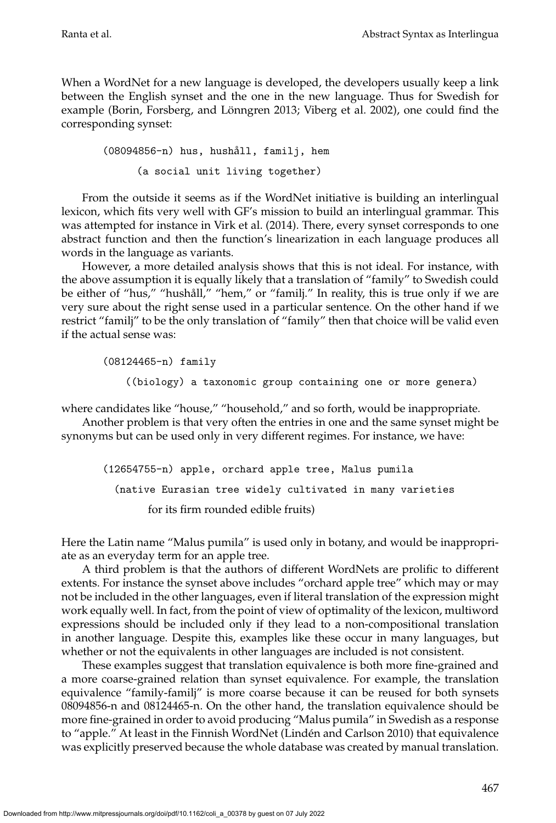When a WordNet for a new language is developed, the developers usually keep a link between the English synset and the one in the new language. Thus for Swedish for example (Borin, Forsberg, and Lönngren 2013; Viberg et al. 2002), one could find the corresponding synset:

(08094856-n) hus, hushåll, familj, hem (a social unit living together)

From the outside it seems as if the WordNet initiative is building an interlingual lexicon, which fits very well with GF's mission to build an interlingual grammar. This was attempted for instance in [Virk et al. \(2014\)](#page-0-0). There, every synset corresponds to one abstract function and then the function's linearization in each language produces all words in the language as variants.

However, a more detailed analysis shows that this is not ideal. For instance, with the above assumption it is equally likely that a translation of "family" to Swedish could be either of "hus," "hushåll," "hem," or "familj." In reality, this is true only if we are very sure about the right sense used in a particular sentence. On the other hand if we restrict "familj" to be the only translation of "family" then that choice will be valid even if the actual sense was:

(08124465-n) family

((biology) a taxonomic group containing one or more genera)

where candidates like "house," "household," and so forth, would be inappropriate.

Another problem is that very often the entries in one and the same synset might be synonyms but can be used only in very different regimes. For instance, we have:

(12654755-n) apple, orchard apple tree, Malus pumila (native Eurasian tree widely cultivated in many varieties for its firm rounded edible fruits)

Here the Latin name "Malus pumila" is used only in botany, and would be inappropriate as an everyday term for an apple tree.

A third problem is that the authors of different WordNets are prolific to different extents. For instance the synset above includes "orchard apple tree" which may or may not be included in the other languages, even if literal translation of the expression might work equally well. In fact, from the point of view of optimality of the lexicon, multiword expressions should be included only if they lead to a non-compositional translation in another language. Despite this, examples like these occur in many languages, but whether or not the equivalents in other languages are included is not consistent.

These examples suggest that translation equivalence is both more fine-grained and a more coarse-grained relation than synset equivalence. For example, the translation equivalence "family-familj" is more coarse because it can be reused for both synsets 08094856-n and 08124465-n. On the other hand, the translation equivalence should be more fine-grained in order to avoid producing "Malus pumila" in Swedish as a response to "apple." At least in the Finnish WordNet (Lindén and Carlson 2010) that equivalence was explicitly preserved because the whole database was created by manual translation.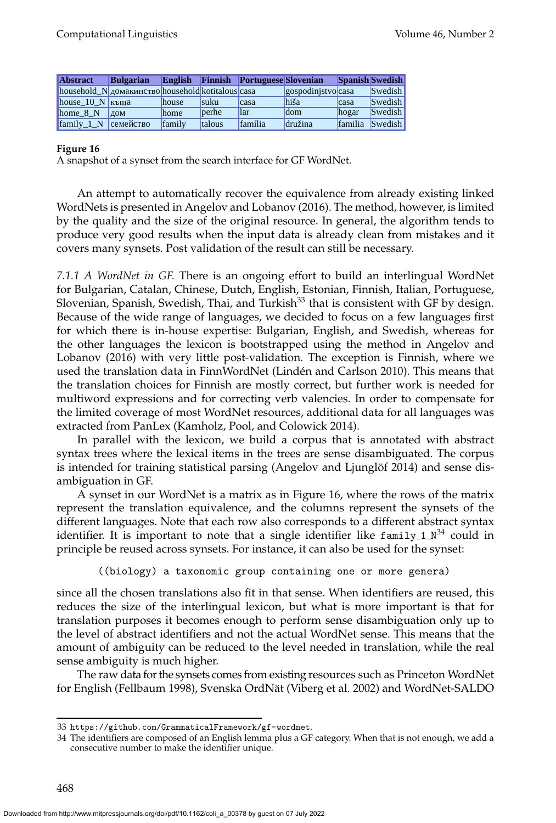| <b>Abstract</b>              | <b>Bulgarian</b>                                  | English |               | <b>Finnish Portuguese Slovenian</b> |                   |                | <b>Spanish Swedish</b> |
|------------------------------|---------------------------------------------------|---------|---------------|-------------------------------------|-------------------|----------------|------------------------|
|                              | household N домакинство household kotitalous casa |         |               |                                     | gospodinjstvocasa |                | <b>Swedish</b>         |
| house $10 N$ Kb and          |                                                   | house   | <b>suku</b>   | casa                                | hiša              | lcasa          | <b>Swedish</b>         |
| home 8 N                     | 10M                                               | home    | berhe         | llar                                | ldom              | hogar          | <b>Swedish</b>         |
| $\text{family}\_1\_\text{N}$ | семейство                                         | family  | <b>talous</b> | <i>família</i>                      | družina           | <i>familia</i> | <b>Swedish</b>         |

<span id="page-43-1"></span>A snapshot of a synset from the search interface for GF WordNet.

An attempt to automatically recover the equivalence from already existing linked WordNets is presented in [Angelov and Lobanov \(2016\)](#page-0-0). The method, however, is limited by the quality and the size of the original resource. In general, the algorithm tends to produce very good results when the input data is already clean from mistakes and it covers many synsets. Post validation of the result can still be necessary.

*7.1.1 A WordNet in GF.* There is an ongoing effort to build an interlingual WordNet for Bulgarian, Catalan, Chinese, Dutch, English, Estonian, Finnish, Italian, Portuguese, Slovenian, Spanish, Swedish, Thai, and Turkish $33$  that is consistent with GF by design. Because of the wide range of languages, we decided to focus on a few languages first for which there is in-house expertise: Bulgarian, English, and Swedish, whereas for the other languages the lexicon is bootstrapped using the method in [Angelov and](#page-0-0) [Lobanov \(2016\)](#page-0-0) with very little post-validation. The exception is Finnish, where we used the translation data in FinnWordNet (Lindén and Carlson 2010). This means that the translation choices for Finnish are mostly correct, but further work is needed for multiword expressions and for correcting verb valencies. In order to compensate for the limited coverage of most WordNet resources, additional data for all languages was extracted from PanLex [\(Kamholz, Pool, and Colowick 2014\)](#page-0-0).

In parallel with the lexicon, we build a corpus that is annotated with abstract syntax trees where the lexical items in the trees are sense disambiguated. The corpus is intended for training statistical parsing (Angelov and Ljunglöf 2014) and sense disambiguation in GF.

A synset in our WordNet is a matrix as in Figure [16,](#page-43-1) where the rows of the matrix represent the translation equivalence, and the columns represent the synsets of the different languages. Note that each row also corresponds to a different abstract syntax identifier. It is important to note that a single identifier like <code>family\_1\_N $^{34}$  $^{34}$  $^{34}$ </code> could in principle be reused across synsets. For instance, it can also be used for the synset:

((biology) a taxonomic group containing one or more genera)

since all the chosen translations also fit in that sense. When identifiers are reused, this reduces the size of the interlingual lexicon, but what is more important is that for translation purposes it becomes enough to perform sense disambiguation only up to the level of abstract identifiers and not the actual WordNet sense. This means that the amount of ambiguity can be reduced to the level needed in translation, while the real sense ambiguity is much higher.

The raw data for the synsets comes from existing resources such as Princeton WordNet for English [\(Fellbaum 1998\)](#page-0-0), Svenska OrdNät [\(Viberg et al. 2002\)](#page-0-0) and WordNet-SALDO

<span id="page-43-0"></span><sup>33</sup> <https://github.com/GrammaticalFramework/gf-wordnet>.

<span id="page-43-2"></span><sup>34</sup> The identifiers are composed of an English lemma plus a GF category. When that is not enough, we add a consecutive number to make the identifier unique.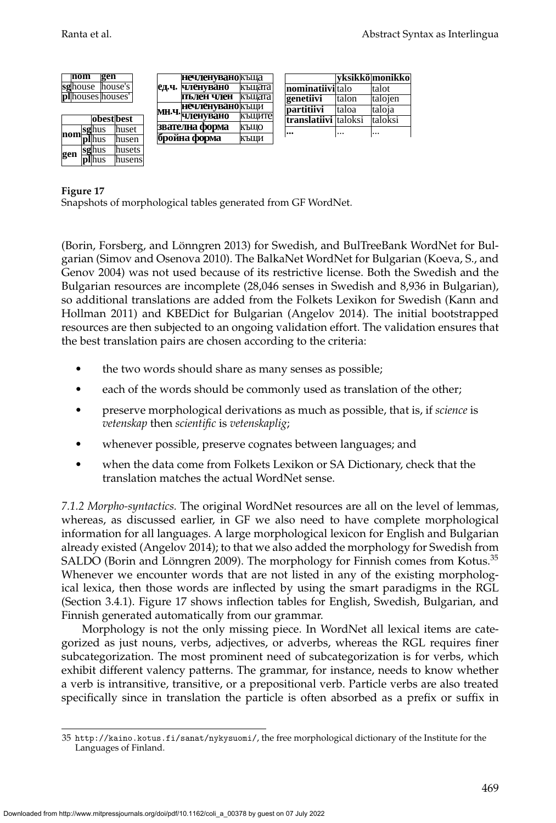|         | nom |  | gen                      |            |  |                             | нечленувано къща        |                      |                  |            | vksikkö monikko |           |        |         |
|---------|-----|--|--------------------------|------------|--|-----------------------------|-------------------------|----------------------|------------------|------------|-----------------|-----------|--------|---------|
| sghouse |     |  |                          | lhouse's l |  | ед.ч.                       | членувано               | къшата               | nominatiiviltalo |            | talot           |           |        |         |
|         |     |  | <b>pl</b> houses houses' |            |  |                             |                         |                      |                  | пълен член | къшата          | genetiivi | Italon | talojen |
|         |     |  |                          |            |  |                             | <b>Нечленувано</b> къщи |                      | partitiivi       | Italoa     | taloja          |           |        |         |
|         |     |  | obestbest                |            |  | мн.ч. <sub>Ч</sub> ленувано | къшите                  | translatiivi taloksi |                  | Italoksi   |                 |           |        |         |
|         |     |  |                          | lhuset     |  |                             | звателна форма          | КЪШО                 |                  |            |                 |           |        |         |
|         |     |  | nom <b>sghus</b>         | lhusen     |  | бройна форма                |                         | КЪШИ                 | $\cdots$         | $\cdots$   | $\cdots$        |           |        |         |
|         |     |  | sghus                    | lhusets    |  |                             |                         |                      |                  |            |                 |           |        |         |
| gen     |     |  | plhus                    | lhusensl   |  |                             |                         |                      |                  |            |                 |           |        |         |

<span id="page-44-1"></span>Snapshots of morphological tables generated from GF WordNet.

(Borin, Forsberg, and Lönngren 2013) for Swedish, and BulTreeBank WordNet for Bulgarian [\(Simov and Osenova 2010\)](#page-0-0). The BalkaNet WordNet for Bulgarian [\(Koeva, S., and](#page-0-0) [Genov 2004\)](#page-0-0) was not used because of its restrictive license. Both the Swedish and the Bulgarian resources are incomplete (28,046 senses in Swedish and 8,936 in Bulgarian), so additional translations are added from the Folkets Lexikon for Swedish [\(Kann and](#page-0-0) [Hollman 2011\)](#page-0-0) and KBEDict for Bulgarian [\(Angelov 2014\)](#page-0-0). The initial bootstrapped resources are then subjected to an ongoing validation effort. The validation ensures that the best translation pairs are chosen according to the criteria:

- the two words should share as many senses as possible;
- each of the words should be commonly used as translation of the other;
- preserve morphological derivations as much as possible, that is, if *science* is *vetenskap* then *scientific* is *vetenskaplig*;
- whenever possible, preserve cognates between languages; and
- when the data come from Folkets Lexikon or SA Dictionary, check that the translation matches the actual WordNet sense.

*7.1.2 Morpho-syntactics.* The original WordNet resources are all on the level of lemmas, whereas, as discussed earlier, in GF we also need to have complete morphological information for all languages. A large morphological lexicon for English and Bulgarian already existed [\(Angelov 2014\)](#page-0-0); to that we also added the morphology for Swedish from SALDO (Borin and Lönngren 2009). The morphology for Finnish comes from Kotus. $^{35}$  $^{35}$  $^{35}$ Whenever we encounter words that are not listed in any of the existing morphological lexica, then those words are inflected by using the smart paradigms in the RGL (Section [3.4.1\)](#page-13-2). Figure [17](#page-44-1) shows inflection tables for English, Swedish, Bulgarian, and Finnish generated automatically from our grammar.

Morphology is not the only missing piece. In WordNet all lexical items are categorized as just nouns, verbs, adjectives, or adverbs, whereas the RGL requires finer subcategorization. The most prominent need of subcategorization is for verbs, which exhibit different valency patterns. The grammar, for instance, needs to know whether a verb is intransitive, transitive, or a prepositional verb. Particle verbs are also treated specifically since in translation the particle is often absorbed as a prefix or suffix in

<span id="page-44-0"></span><sup>35</sup> <http://kaino.kotus.fi/sanat/nykysuomi/>, the free morphological dictionary of the Institute for the Languages of Finland.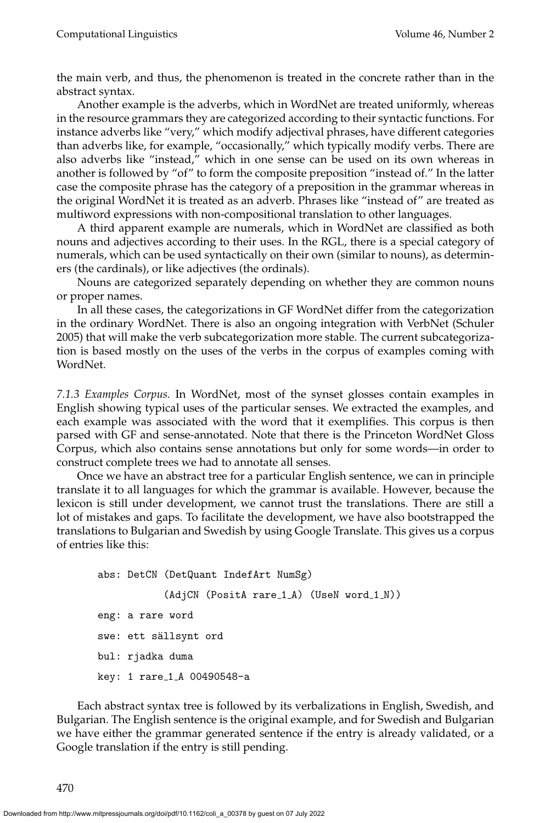the main verb, and thus, the phenomenon is treated in the concrete rather than in the abstract syntax.

Another example is the adverbs, which in WordNet are treated uniformly, whereas in the resource grammars they are categorized according to their syntactic functions. For instance adverbs like "very," which modify adjectival phrases, have different categories than adverbs like, for example, "occasionally," which typically modify verbs. There are also adverbs like "instead," which in one sense can be used on its own whereas in another is followed by "of" to form the composite preposition "instead of." In the latter case the composite phrase has the category of a preposition in the grammar whereas in the original WordNet it is treated as an adverb. Phrases like "instead of" are treated as multiword expressions with non-compositional translation to other languages.

A third apparent example are numerals, which in WordNet are classified as both nouns and adjectives according to their uses. In the RGL, there is a special category of numerals, which can be used syntactically on their own (similar to nouns), as determiners (the cardinals), or like adjectives (the ordinals).

Nouns are categorized separately depending on whether they are common nouns or proper names.

In all these cases, the categorizations in GF WordNet differ from the categorization in the ordinary WordNet. There is also an ongoing integration with VerbNet [\(Schuler](#page-0-0) [2005\)](#page-0-0) that will make the verb subcategorization more stable. The current subcategorization is based mostly on the uses of the verbs in the corpus of examples coming with WordNet.

*7.1.3 Examples Corpus.* In WordNet, most of the synset glosses contain examples in English showing typical uses of the particular senses. We extracted the examples, and each example was associated with the word that it exemplifies. This corpus is then parsed with GF and sense-annotated. Note that there is the Princeton WordNet Gloss Corpus, which also contains sense annotations but only for some words—in order to construct complete trees we had to annotate all senses.

Once we have an abstract tree for a particular English sentence, we can in principle translate it to all languages for which the grammar is available. However, because the lexicon is still under development, we cannot trust the translations. There are still a lot of mistakes and gaps. To facilitate the development, we have also bootstrapped the translations to Bulgarian and Swedish by using Google Translate. This gives us a corpus of entries like this:

```
abs: DetCN (DetQuant IndefArt NumSg)
           (AdjCN (PositA rare_1_A) (UseN word_1_N))
eng: a rare word
swe: ett sällsynt ord
bul: rjadka duma
key: 1 rare 1 A 00490548-a
```
Each abstract syntax tree is followed by its verbalizations in English, Swedish, and Bulgarian. The English sentence is the original example, and for Swedish and Bulgarian we have either the grammar generated sentence if the entry is already validated, or a Google translation if the entry is still pending.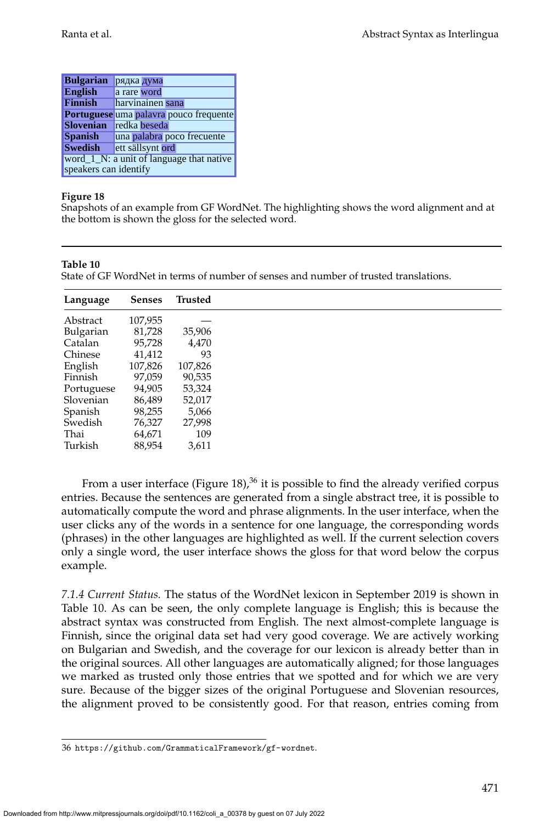| <b>Bulgarian</b>                                                  | рядка дума                             |  |  |  |  |
|-------------------------------------------------------------------|----------------------------------------|--|--|--|--|
| <b>English</b>                                                    | a rare word                            |  |  |  |  |
| <b>Finnish</b>                                                    | harvinainen sana                       |  |  |  |  |
|                                                                   | Portuguese uma palavra pouco frequente |  |  |  |  |
| <b>Slovenian</b>                                                  | redka beseda                           |  |  |  |  |
| <b>Spanish</b>                                                    | una palabra poco frecuente             |  |  |  |  |
| <b>Swedish</b>                                                    | ett sällsynt ord                       |  |  |  |  |
| word_1_N: a unit of language that native<br>speakers can identify |                                        |  |  |  |  |

<span id="page-46-0"></span>Snapshots of an example from GF WordNet. The highlighting shows the word alignment and at the bottom is shown the gloss for the selected word.

#### **Table 10**

<span id="page-46-2"></span>State of GF WordNet in terms of number of senses and number of trusted translations.

| Language   | <b>Senses</b> | Trusted |
|------------|---------------|---------|
| Abstract   | 107,955       |         |
| Bulgarian  | 81,728        | 35,906  |
| Catalan    | 95,728        | 4,470   |
| Chinese    | 41,412        | 93      |
| English    | 107,826       | 107,826 |
| Finnish    | 97,059        | 90,535  |
| Portuguese | 94,905        | 53,324  |
| Slovenian  | 86,489        | 52,017  |
| Spanish    | 98,255        | 5,066   |
| Swedish    | 76,327        | 27,998  |
| Thai       | 64,671        | 109     |
| Turkish    | 88,954        | 3,611   |

From a user interface (Figure [18\)](#page-46-0),<sup>[36](#page-46-1)</sup> it is possible to find the already verified corpus entries. Because the sentences are generated from a single abstract tree, it is possible to automatically compute the word and phrase alignments. In the user interface, when the user clicks any of the words in a sentence for one language, the corresponding words (phrases) in the other languages are highlighted as well. If the current selection covers only a single word, the user interface shows the gloss for that word below the corpus example.

*7.1.4 Current Status.* The status of the WordNet lexicon in September 2019 is shown in Table [10.](#page-46-2) As can be seen, the only complete language is English; this is because the abstract syntax was constructed from English. The next almost-complete language is Finnish, since the original data set had very good coverage. We are actively working on Bulgarian and Swedish, and the coverage for our lexicon is already better than in the original sources. All other languages are automatically aligned; for those languages we marked as trusted only those entries that we spotted and for which we are very sure. Because of the bigger sizes of the original Portuguese and Slovenian resources, the alignment proved to be consistently good. For that reason, entries coming from

<span id="page-46-1"></span><sup>36</sup> <https://github.com/GrammaticalFramework/gf-wordnet>.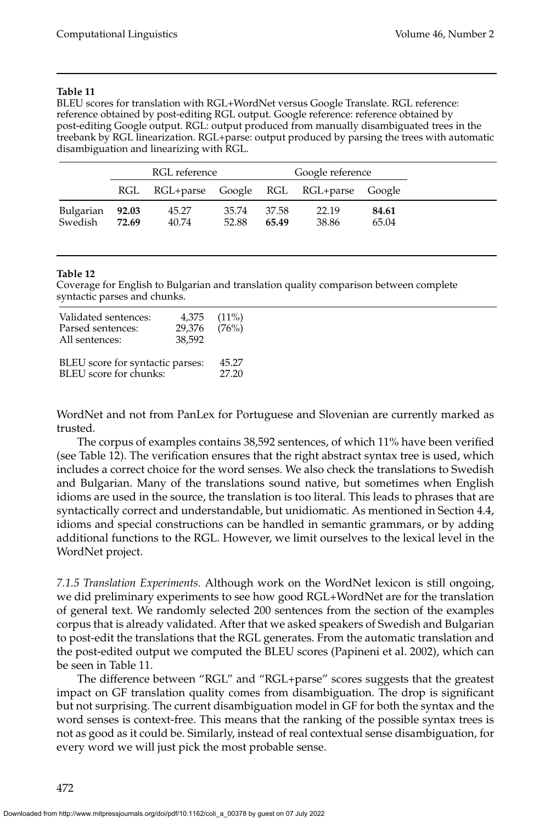#### **Table 11**

<span id="page-47-2"></span>BLEU scores for translation with RGL+WordNet versus Google Translate. RGL reference: reference obtained by post-editing RGL output. Google reference: reference obtained by post-editing Google output. RGL: output produced from manually disambiguated trees in the treebank by RGL linearization. RGL+parse: output produced by parsing the trees with automatic disambiguation and linearizing with RGL.

|                            | RGL reference |                                           |                | Google reference |                |                |
|----------------------------|---------------|-------------------------------------------|----------------|------------------|----------------|----------------|
|                            |               | RGL RGL+parse Google RGL RGL+parse Google |                |                  |                |                |
| Bulgarian 92.03<br>Swedish | 72.69         | 45.27<br>40.74                            | 35.74<br>52.88 | - 37.58<br>65.49 | 22.19<br>38.86 | 84.61<br>65.04 |

#### **Table 12**

<span id="page-47-1"></span>Coverage for English to Bulgarian and translation quality comparison between complete syntactic parses and chunks.

| Validated sentences:<br>Parsed sentences:<br>All sentences: | 4,375<br>29,376<br>38,592 | $(11\%)$<br>(76%) |
|-------------------------------------------------------------|---------------------------|-------------------|
| BLEU score for syntactic parses:                            | 45.27                     |                   |
| BLEU score for chunks:                                      | 27.20                     |                   |

WordNet and not from PanLex for Portuguese and Slovenian are currently marked as trusted.

The corpus of examples contains 38,592 sentences, of which 11% have been verified (see Table [12\)](#page-47-1). The verification ensures that the right abstract syntax tree is used, which includes a correct choice for the word senses. We also check the translations to Swedish and Bulgarian. Many of the translations sound native, but sometimes when English idioms are used in the source, the translation is too literal. This leads to phrases that are syntactically correct and understandable, but unidiomatic. As mentioned in Section [4.4,](#page-24-2) idioms and special constructions can be handled in semantic grammars, or by adding additional functions to the RGL. However, we limit ourselves to the lexical level in the WordNet project.

<span id="page-47-0"></span>*7.1.5 Translation Experiments.* Although work on the WordNet lexicon is still ongoing, we did preliminary experiments to see how good RGL+WordNet are for the translation of general text. We randomly selected 200 sentences from the section of the examples corpus that is already validated. After that we asked speakers of Swedish and Bulgarian to post-edit the translations that the RGL generates. From the automatic translation and the post-edited output we computed the BLEU scores [\(Papineni et al. 2002\)](#page-0-0), which can be seen in Table [11.](#page-47-2)

The difference between "RGL" and "RGL+parse" scores suggests that the greatest impact on GF translation quality comes from disambiguation. The drop is significant but not surprising. The current disambiguation model in GF for both the syntax and the word senses is context-free. This means that the ranking of the possible syntax trees is not as good as it could be. Similarly, instead of real contextual sense disambiguation, for every word we will just pick the most probable sense.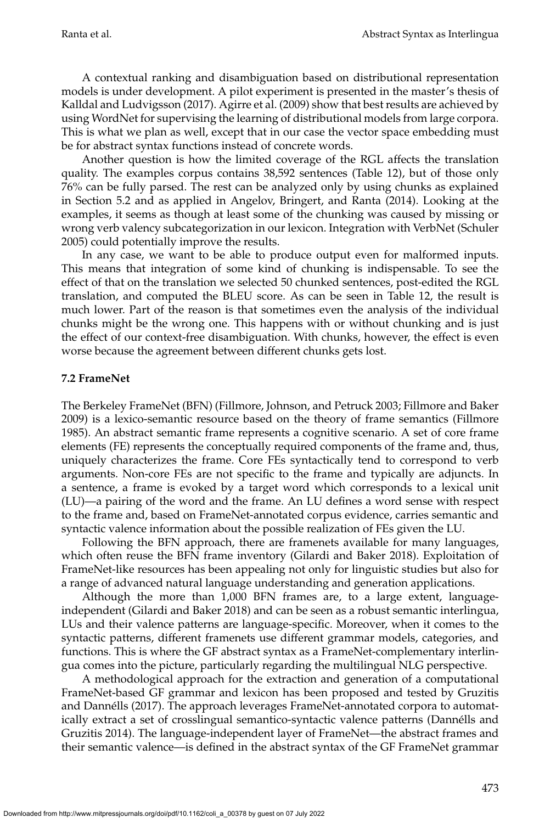A contextual ranking and disambiguation based on distributional representation models is under development. A pilot experiment is presented in the master's thesis of [Kalldal and Ludvigsson \(2017\)](#page-0-0). [Agirre et al. \(2009\)](#page-0-0) show that best results are achieved by using WordNet for supervising the learning of distributional models from large corpora. This is what we plan as well, except that in our case the vector space embedding must be for abstract syntax functions instead of concrete words.

Another question is how the limited coverage of the RGL affects the translation quality. The examples corpus contains 38,592 sentences (Table [12\)](#page-47-1), but of those only 76% can be fully parsed. The rest can be analyzed only by using chunks as explained in Section [5.2](#page-29-0) and as applied in [Angelov, Bringert, and Ranta \(2014\)](#page-0-0). Looking at the examples, it seems as though at least some of the chunking was caused by missing or wrong verb valency subcategorization in our lexicon. Integration with VerbNet [\(Schuler](#page-0-0) [2005\)](#page-0-0) could potentially improve the results.

In any case, we want to be able to produce output even for malformed inputs. This means that integration of some kind of chunking is indispensable. To see the effect of that on the translation we selected 50 chunked sentences, post-edited the RGL translation, and computed the BLEU score. As can be seen in Table [12,](#page-47-1) the result is much lower. Part of the reason is that sometimes even the analysis of the individual chunks might be the wrong one. This happens with or without chunking and is just the effect of our context-free disambiguation. With chunks, however, the effect is even worse because the agreement between different chunks gets lost.

### <span id="page-48-0"></span>**7.2 FrameNet**

The Berkeley FrameNet (BFN) [\(Fillmore, Johnson, and Petruck 2003; Fillmore and Baker](#page-0-0) [2009\)](#page-0-0) is a lexico-semantic resource based on the theory of frame semantics [\(Fillmore](#page-0-0) [1985\)](#page-0-0). An abstract semantic frame represents a cognitive scenario. A set of core frame elements (FE) represents the conceptually required components of the frame and, thus, uniquely characterizes the frame. Core FEs syntactically tend to correspond to verb arguments. Non-core FEs are not specific to the frame and typically are adjuncts. In a sentence, a frame is evoked by a target word which corresponds to a lexical unit (LU)—a pairing of the word and the frame. An LU defines a word sense with respect to the frame and, based on FrameNet-annotated corpus evidence, carries semantic and syntactic valence information about the possible realization of FEs given the LU.

Following the BFN approach, there are framenets available for many languages, which often reuse the BFN frame inventory [\(Gilardi and Baker 2018\)](#page-0-0). Exploitation of FrameNet-like resources has been appealing not only for linguistic studies but also for a range of advanced natural language understanding and generation applications.

Although the more than 1,000 BFN frames are, to a large extent, languageindependent [\(Gilardi and Baker 2018\)](#page-0-0) and can be seen as a robust semantic interlingua, LUs and their valence patterns are language-specific. Moreover, when it comes to the syntactic patterns, different framenets use different grammar models, categories, and functions. This is where the GF abstract syntax as a FrameNet-complementary interlingua comes into the picture, particularly regarding the multilingual NLG perspective.

A methodological approach for the extraction and generation of a computational FrameNet-based GF grammar and lexicon has been proposed and tested by [Gruzitis](#page-0-0) [and Dannells \(2017\)](#page-0-0). The approach leverages FrameNet-annotated corpora to automat- ´ ically extract a set of crosslingual semantico-syntactic valence patterns (Dannélls and [Gruzitis 2014\)](#page-0-0). The language-independent layer of FrameNet—the abstract frames and their semantic valence—is defined in the abstract syntax of the GF FrameNet grammar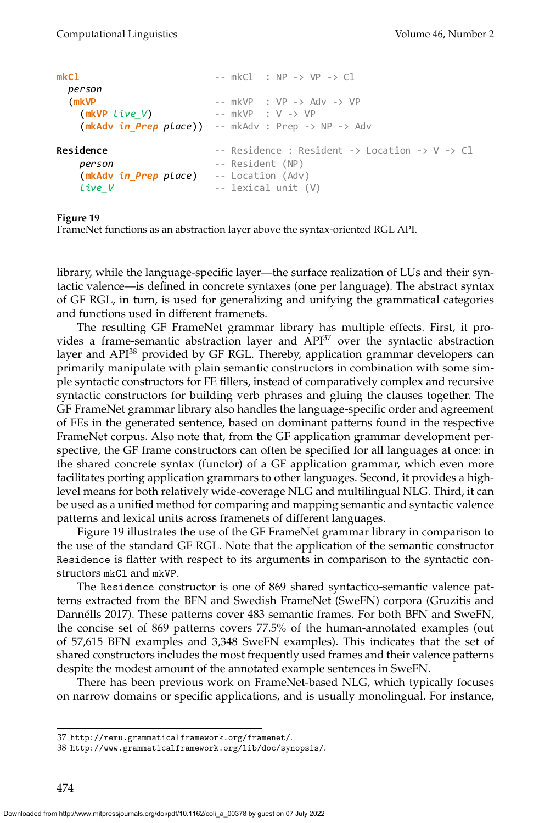```
mkCl -- mkCl : NP -> VP -> Cl
 person
 (mkVP -- mkVP : VP -> Adv -> VP
   (mkVP live_V) -- mkVP : V -> VP
   (mkAdv in_Prep place)) -- mkAdv : Prep -> NP -> Adv
Residence -2 Residence : Resident -5 Location -5 V -5 Cl
  person -- Resident (NP)
   (mkAdv in_Prep place) -- Location (Adv)
   live V -- lexical unit (V)
```
<span id="page-49-2"></span>FrameNet functions as an abstraction layer above the syntax-oriented RGL API.

library, while the language-specific layer—the surface realization of LUs and their syntactic valence—is defined in concrete syntaxes (one per language). The abstract syntax of GF RGL, in turn, is used for generalizing and unifying the grammatical categories and functions used in different framenets.

The resulting GF FrameNet grammar library has multiple effects. First, it provides a frame-semantic abstraction layer and  $API<sup>37</sup>$  $API<sup>37</sup>$  $API<sup>37</sup>$  over the syntactic abstraction layer and API<sup>[38](#page-49-1)</sup> provided by GF RGL. Thereby, application grammar developers can primarily manipulate with plain semantic constructors in combination with some simple syntactic constructors for FE fillers, instead of comparatively complex and recursive syntactic constructors for building verb phrases and gluing the clauses together. The GF FrameNet grammar library also handles the language-specific order and agreement of FEs in the generated sentence, based on dominant patterns found in the respective FrameNet corpus. Also note that, from the GF application grammar development perspective, the GF frame constructors can often be specified for all languages at once: in the shared concrete syntax (functor) of a GF application grammar, which even more facilitates porting application grammars to other languages. Second, it provides a highlevel means for both relatively wide-coverage NLG and multilingual NLG. Third, it can be used as a unified method for comparing and mapping semantic and syntactic valence patterns and lexical units across framenets of different languages.

Figure [19](#page-49-2) illustrates the use of the GF FrameNet grammar library in comparison to the use of the standard GF RGL. Note that the application of the semantic constructor Residence is flatter with respect to its arguments in comparison to the syntactic constructors mkCl and mkVP.

The Residence constructor is one of 869 shared syntactico-semantic valence patterns extracted from the BFN and Swedish FrameNet (SweFN) corpora [\(Gruzitis and](#page-0-0) Dannélls 2017). These patterns cover 483 semantic frames. For both BFN and SweFN, the concise set of 869 patterns covers 77.5% of the human-annotated examples (out of 57,615 BFN examples and 3,348 SweFN examples). This indicates that the set of shared constructors includes the most frequently used frames and their valence patterns despite the modest amount of the annotated example sentences in SweFN.

There has been previous work on FrameNet-based NLG, which typically focuses on narrow domains or specific applications, and is usually monolingual. For instance,

<span id="page-49-0"></span><sup>37</sup> <http://remu.grammaticalframework.org/framenet/>.

<span id="page-49-1"></span><sup>38</sup> <http://www.grammaticalframework.org/lib/doc/synopsis/>.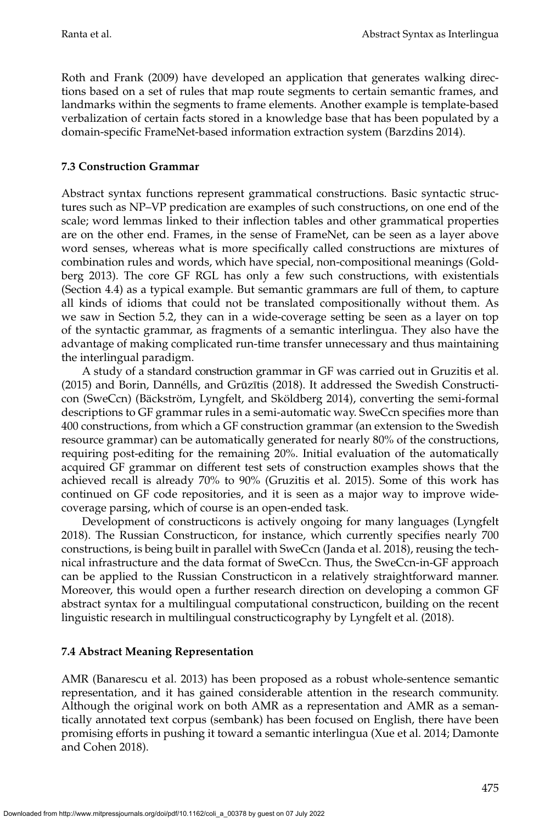[Roth and Frank \(2009\)](#page-0-0) have developed an application that generates walking directions based on a set of rules that map route segments to certain semantic frames, and landmarks within the segments to frame elements. Another example is template-based verbalization of certain facts stored in a knowledge base that has been populated by a domain-specific FrameNet-based information extraction system [\(Barzdins 2014\)](#page-0-0).

### **7.3 Construction Grammar**

Abstract syntax functions represent grammatical constructions. Basic syntactic structures such as NP–VP predication are examples of such constructions, on one end of the scale; word lemmas linked to their inflection tables and other grammatical properties are on the other end. Frames, in the sense of FrameNet, can be seen as a layer above word senses, whereas what is more specifically called constructions are mixtures of combination rules and words, which have special, non-compositional meanings [\(Gold](#page-0-0)[berg 2013\)](#page-0-0). The core GF RGL has only a few such constructions, with existentials (Section [4.4\)](#page-24-2) as a typical example. But semantic grammars are full of them, to capture all kinds of idioms that could not be translated compositionally without them. As we saw in Section [5.2,](#page-29-0) they can in a wide-coverage setting be seen as a layer on top of the syntactic grammar, as fragments of a semantic interlingua. They also have the advantage of making complicated run-time transfer unnecessary and thus maintaining the interlingual paradigm.

A study of a standard construction grammar in GF was carried out in [Gruzitis et al.](#page-0-0) [\(2015\)](#page-0-0) and Borin, Dannélls, and Grūzītis (2018). It addressed the Swedish Constructicon (SweCcn) (Bäckström, Lyngfelt, and Sköldberg 2014), converting the semi-formal descriptions to GF grammar rules in a semi-automatic way. SweCcn specifies more than 400 constructions, from which a GF construction grammar (an extension to the Swedish resource grammar) can be automatically generated for nearly 80% of the constructions, requiring post-editing for the remaining 20%. Initial evaluation of the automatically acquired GF grammar on different test sets of construction examples shows that the achieved recall is already 70% to 90% [\(Gruzitis et al. 2015\)](#page-0-0). Some of this work has continued on GF code repositories, and it is seen as a major way to improve widecoverage parsing, which of course is an open-ended task.

Development of constructicons is actively ongoing for many languages [\(Lyngfelt](#page-0-0) [2018\)](#page-0-0). The Russian Constructicon, for instance, which currently specifies nearly 700 constructions, is being built in parallel with SweCcn [\(Janda et al. 2018\)](#page-0-0), reusing the technical infrastructure and the data format of SweCcn. Thus, the SweCcn-in-GF approach can be applied to the Russian Constructicon in a relatively straightforward manner. Moreover, this would open a further research direction on developing a common GF abstract syntax for a multilingual computational constructicon, building on the recent linguistic research in multilingual constructicography by [Lyngfelt et al. \(2018\)](#page-0-0).

### **7.4 Abstract Meaning Representation**

AMR [\(Banarescu et al. 2013\)](#page-0-0) has been proposed as a robust whole-sentence semantic representation, and it has gained considerable attention in the research community. Although the original work on both AMR as a representation and AMR as a semantically annotated text corpus (sembank) has been focused on English, there have been promising efforts in pushing it toward a semantic interlingua [\(Xue et al. 2014; Damonte](#page-0-0) [and Cohen 2018\)](#page-0-0).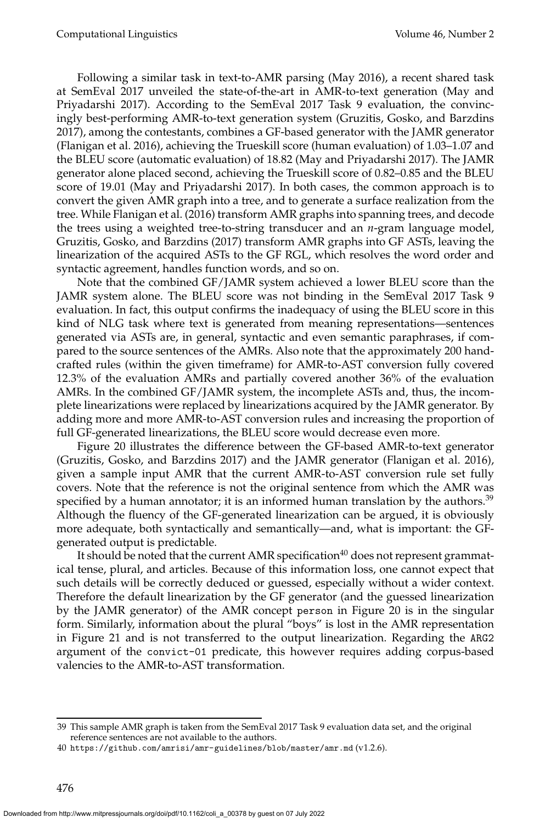Following a similar task in text-to-AMR parsing [\(May 2016\)](#page-0-0), a recent shared task at SemEval 2017 unveiled the state-of-the-art in AMR-to-text generation [\(May and](#page-0-0) [Priyadarshi 2017\)](#page-0-0). According to the SemEval 2017 Task 9 evaluation, the convincingly best-performing AMR-to-text generation system [\(Gruzitis, Gosko, and Barzdins](#page-0-0) [2017\)](#page-0-0), among the contestants, combines a GF-based generator with the JAMR generator (Flanigan et al. [2016\)](#page-0-0), achieving the Trueskill score (human evaluation) of 1.03–1.07 and the BLEU score (automatic evaluation) of 18.82 [\(May and Priyadarshi 2017\)](#page-0-0). The JAMR generator alone placed second, achieving the Trueskill score of 0.82–0.85 and the BLEU score of 19.01 [\(May and Priyadarshi 2017\)](#page-0-0). In both cases, the common approach is to convert the given AMR graph into a tree, and to generate a surface realization from the tree. While [Flanigan et al. \(2016\)](#page-0-0) transform AMR graphs into spanning trees, and decode the trees using a weighted tree-to-string transducer and an *n*-gram language model, [Gruzitis, Gosko, and Barzdins \(2017\)](#page-0-0) transform AMR graphs into GF ASTs, leaving the linearization of the acquired ASTs to the GF RGL, which resolves the word order and syntactic agreement, handles function words, and so on.

Note that the combined GF/JAMR system achieved a lower BLEU score than the JAMR system alone. The BLEU score was not binding in the SemEval 2017 Task 9 evaluation. In fact, this output confirms the inadequacy of using the BLEU score in this kind of NLG task where text is generated from meaning representations—sentences generated via ASTs are, in general, syntactic and even semantic paraphrases, if compared to the source sentences of the AMRs. Also note that the approximately 200 handcrafted rules (within the given timeframe) for AMR-to-AST conversion fully covered 12.3% of the evaluation AMRs and partially covered another 36% of the evaluation AMRs. In the combined GF/JAMR system, the incomplete ASTs and, thus, the incomplete linearizations were replaced by linearizations acquired by the JAMR generator. By adding more and more AMR-to-AST conversion rules and increasing the proportion of full GF-generated linearizations, the BLEU score would decrease even more.

Figure [20](#page-52-0) illustrates the difference between the GF-based AMR-to-text generator [\(Gruzitis, Gosko, and Barzdins 2017\)](#page-0-0) and the JAMR generator [\(Flanigan et al. 2016\)](#page-0-0), given a sample input AMR that the current AMR-to-AST conversion rule set fully covers. Note that the reference is not the original sentence from which the AMR was specified by a human annotator; it is an informed human translation by the authors.<sup>[39](#page-51-0)</sup> Although the fluency of the GF-generated linearization can be argued, it is obviously more adequate, both syntactically and semantically—and, what is important: the GFgenerated output is predictable.

It should be noted that the current AMR specification<sup>[40](#page-51-1)</sup> does not represent grammatical tense, plural, and articles. Because of this information loss, one cannot expect that such details will be correctly deduced or guessed, especially without a wider context. Therefore the default linearization by the GF generator (and the guessed linearization by the JAMR generator) of the AMR concept person in Figure [20](#page-52-0) is in the singular form. Similarly, information about the plural "boys" is lost in the AMR representation in Figure [21](#page-52-1) and is not transferred to the output linearization. Regarding the ARG2 argument of the convict-01 predicate, this however requires adding corpus-based valencies to the AMR-to-AST transformation.

<span id="page-51-0"></span><sup>39</sup> This sample AMR graph is taken from the SemEval 2017 Task 9 evaluation data set, and the original reference sentences are not available to the authors.

<span id="page-51-1"></span><sup>40</sup> <https://github.com/amrisi/amr-guidelines/blob/master/amr.md> (v1.2.6).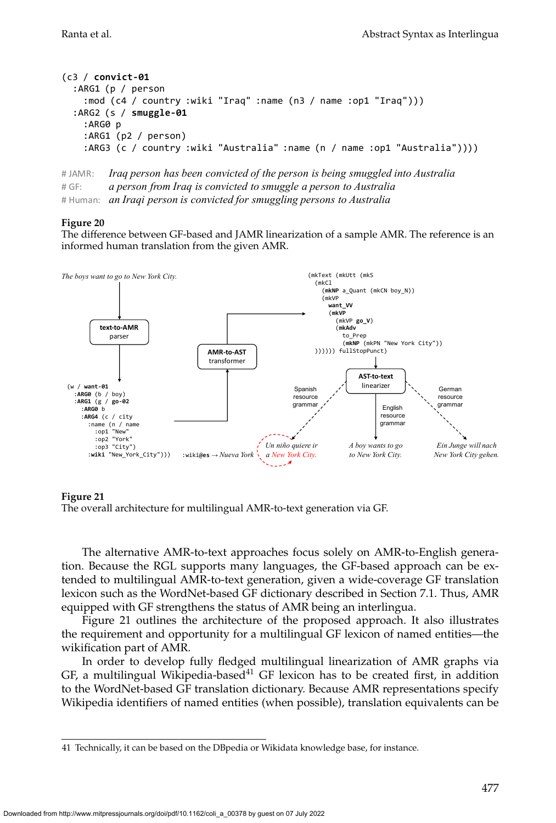```
(c3 / convict-01
  :ARG1 (p / person
    :mod (c4 / country :wiki "Iraq" :name (n3 / name :op1 "Iraq")))
  :ARG2 (s / smuggle-01
    :ARG0 p
    :ARG1 (p2 / person)
    :ARG3 (c / country :wiki "Australia" :name (n / name :op1 "Australia"))))
```

```
#	JAMR: Iraq person has been convicted of the person is being smuggled into Australia
#	GF: a person from Iraq is convicted to smuggle a person to Australia
# Human: an Iraqi person is convicted for smuggling persons to Australia
```
<span id="page-52-0"></span>The difference between GF-based and JAMR linearization of a sample AMR. The reference is an informed human translation from the given AMR.



#### **Figure 21**

The alternative AMR-to-text approaches focus solely on AMR-to-English generation. Because the RGL supports many languages, the GF-based approach can be extended to multilingual AMR-to-text generation, given a wide-coverage GF translation lexicon such as the WordNet-based GF dictionary described in Section [7.1.](#page-41-1) Thus, AMR equipped with GF strengthens the status of AMR being an interlingua.

Figure [21](#page-52-1) outlines the architecture of the proposed approach. It also illustrates the requirement and opportunity for a multilingual GF lexicon of named entities—the wikification part of AMR.

In order to develop fully fledged multilingual linearization of AMR graphs via GF, a multilingual Wikipedia-based<sup>[41](#page-52-2)</sup> GF lexicon has to be created first, in addition to the WordNet-based GF translation dictionary. Because AMR representations specify Wikipedia identifiers of named entities (when possible), translation equivalents can be

<span id="page-52-1"></span>The overall architecture for multilingual AMR-to-text generation via GF.

<span id="page-52-2"></span><sup>41</sup> Technically, it can be based on the DBpedia or Wikidata knowledge base, for instance.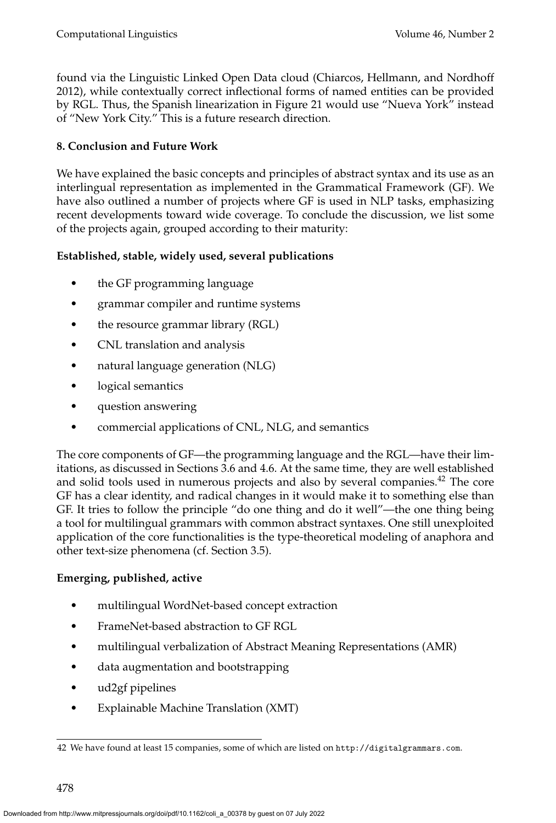found via the Linguistic Linked Open Data cloud [\(Chiarcos, Hellmann, and Nordhoff](#page-0-0) [2012\)](#page-0-0), while contextually correct inflectional forms of named entities can be provided by RGL. Thus, the Spanish linearization in Figure [21](#page-52-1) would use "Nueva York" instead of "New York City." This is a future research direction.

# <span id="page-53-0"></span>**8. Conclusion and Future Work**

We have explained the basic concepts and principles of abstract syntax and its use as an interlingual representation as implemented in the Grammatical Framework (GF). We have also outlined a number of projects where GF is used in NLP tasks, emphasizing recent developments toward wide coverage. To conclude the discussion, we list some of the projects again, grouped according to their maturity:

# **Established, stable, widely used, several publications**

- the GF programming language
- grammar compiler and runtime systems
- the resource grammar library (RGL)
- CNL translation and analysis
- natural language generation (NLG)
- logical semantics
- question answering
- commercial applications of CNL, NLG, and semantics

The core components of GF—the programming language and the RGL—have their limitations, as discussed in Sections [3.6](#page-18-1) and [4.6.](#page-26-0) At the same time, they are well established and solid tools used in numerous projects and also by several companies.[42](#page-53-1) The core GF has a clear identity, and radical changes in it would make it to something else than GF. It tries to follow the principle "do one thing and do it well"—the one thing being a tool for multilingual grammars with common abstract syntaxes. One still unexploited application of the core functionalities is the type-theoretical modeling of anaphora and other text-size phenomena (cf. Section [3.5\)](#page-17-0).

### **Emerging, published, active**

- multilingual WordNet-based concept extraction
- FrameNet-based abstraction to GF RGL
- multilingual verbalization of Abstract Meaning Representations (AMR)
- data augmentation and bootstrapping
- ud2gf pipelines
- Explainable Machine Translation (XMT)

<span id="page-53-1"></span><sup>42</sup> We have found at least 15 companies, some of which are listed on <http://digitalgrammars.com>.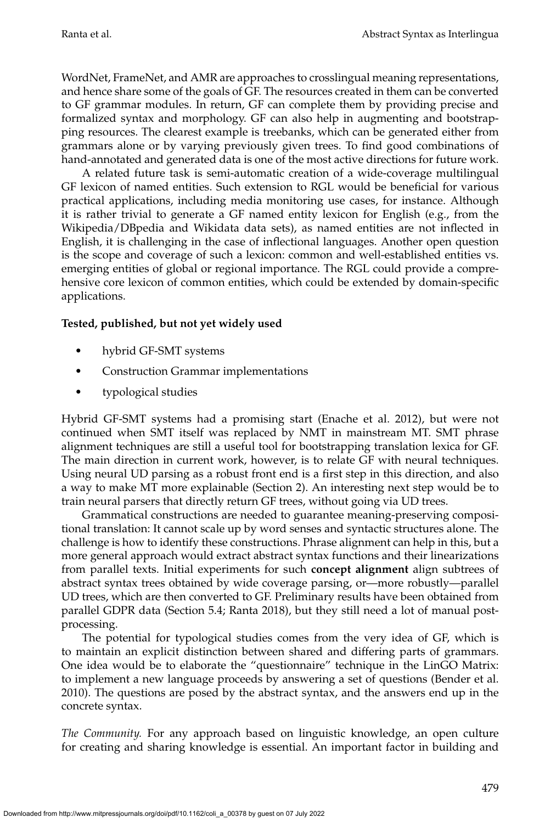WordNet, FrameNet, and AMR are approaches to crosslingual meaning representations, and hence share some of the goals of GF. The resources created in them can be converted to GF grammar modules. In return, GF can complete them by providing precise and formalized syntax and morphology. GF can also help in augmenting and bootstrapping resources. The clearest example is treebanks, which can be generated either from grammars alone or by varying previously given trees. To find good combinations of hand-annotated and generated data is one of the most active directions for future work.

A related future task is semi-automatic creation of a wide-coverage multilingual GF lexicon of named entities. Such extension to RGL would be beneficial for various practical applications, including media monitoring use cases, for instance. Although it is rather trivial to generate a GF named entity lexicon for English (e.g., from the Wikipedia/DBpedia and Wikidata data sets), as named entities are not inflected in English, it is challenging in the case of inflectional languages. Another open question is the scope and coverage of such a lexicon: common and well-established entities vs. emerging entities of global or regional importance. The RGL could provide a comprehensive core lexicon of common entities, which could be extended by domain-specific applications.

# **Tested, published, but not yet widely used**

- hybrid GF-SMT systems
- Construction Grammar implementations
- typological studies

Hybrid GF-SMT systems had a promising start [\(Enache et al. 2012\)](#page-0-0), but were not continued when SMT itself was replaced by NMT in mainstream MT. SMT phrase alignment techniques are still a useful tool for bootstrapping translation lexica for GF. The main direction in current work, however, is to relate GF with neural techniques. Using neural UD parsing as a robust front end is a first step in this direction, and also a way to make MT more explainable (Section [2\)](#page-4-1). An interesting next step would be to train neural parsers that directly return GF trees, without going via UD trees.

Grammatical constructions are needed to guarantee meaning-preserving compositional translation: It cannot scale up by word senses and syntactic structures alone. The challenge is how to identify these constructions. Phrase alignment can help in this, but a more general approach would extract abstract syntax functions and their linearizations from parallel texts. Initial experiments for such **concept alignment** align subtrees of abstract syntax trees obtained by wide coverage parsing, or—more robustly—parallel UD trees, which are then converted to GF. Preliminary results have been obtained from parallel GDPR data (Section [5.4;](#page-31-0) Ranta [2018\)](#page-0-0), but they still need a lot of manual postprocessing.

The potential for typological studies comes from the very idea of GF, which is to maintain an explicit distinction between shared and differing parts of grammars. One idea would be to elaborate the "questionnaire" technique in the LinGO Matrix: to implement a new language proceeds by answering a set of questions [\(Bender et al.](#page-0-0) [2010\)](#page-0-0). The questions are posed by the abstract syntax, and the answers end up in the concrete syntax.

*The Community.* For any approach based on linguistic knowledge, an open culture for creating and sharing knowledge is essential. An important factor in building and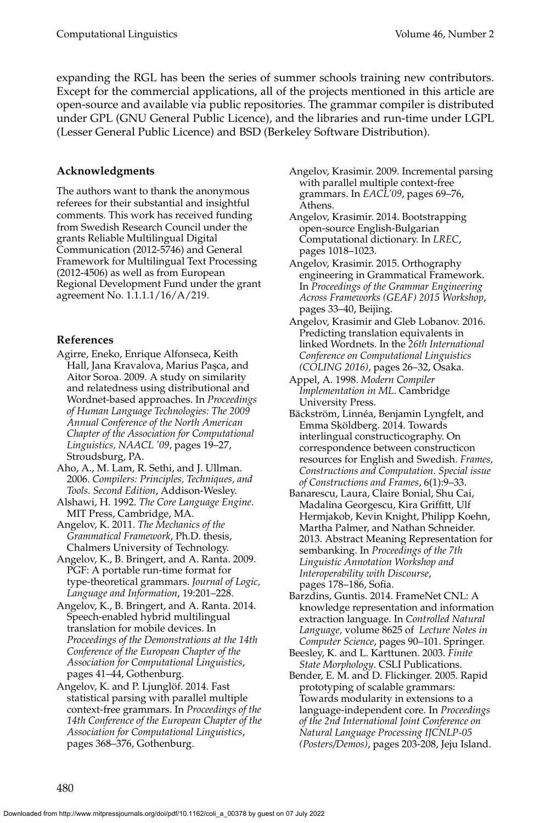expanding the RGL has been the series of summer schools training new contributors. Except for the commercial applications, all of the projects mentioned in this article are open-source and available via public repositories. The grammar compiler is distributed under GPL (GNU General Public Licence), and the libraries and run-time under LGPL (Lesser General Public Licence) and BSD (Berkeley Software Distribution).

### **Acknowledgments**

The authors want to thank the anonymous referees for their substantial and insightful comments. This work has received funding from Swedish Research Council under the grants Reliable Multilingual Digital Communication (2012-5746) and General Framework for Multilingual Text Processing (2012-4506) as well as from European Regional Development Fund under the grant agreement No. 1.1.1.1/16/A/219.

### **References**

- Agirre, Eneko, Enrique Alfonseca, Keith Hall, Jana Kravalova, Marius Paşca, and Aitor Soroa. 2009. A study on similarity and relatedness using distributional and Wordnet-based approaches. In *Proceedings of Human Language Technologies: The 2009 Annual Conference of the North American Chapter of the Association for Computational Linguistics, NAACL '09*, pages 19–27, Stroudsburg, PA.
- Aho, A., M. Lam, R. Sethi, and J. Ullman. 2006. *Compilers: Principles, Techniques, and Tools. Second Edition*, Addison-Wesley.
- Alshawi, H. 1992. *The Core Language Engine*. MIT Press, Cambridge, MA.
- Angelov, K. 2011. *The Mechanics of the Grammatical Framework*, Ph.D. thesis, Chalmers University of Technology.
- Angelov, K., B. Bringert, and A. Ranta. 2009. PGF: A portable run-time format for type-theoretical grammars. *Journal of Logic, Language and Information*, 19:201–228.
- Angelov, K., B. Bringert, and A. Ranta. 2014. Speech-enabled hybrid multilingual translation for mobile devices. In *Proceedings of the Demonstrations at the 14th Conference of the European Chapter of the Association for Computational Linguistics*, pages 41–44, Gothenburg.
- Angelov, K. and P. Ljunglöf. 2014. Fast statistical parsing with parallel multiple context-free grammars. In *Proceedings of the 14th Conference of the European Chapter of the Association for Computational Linguistics*, pages 368–376, Gothenburg.
- Angelov, Krasimir. 2009. Incremental parsing with parallel multiple context-free grammars. In *EACL'09*, pages 69–76, Athens.
- Angelov, Krasimir. 2014. Bootstrapping open-source English-Bulgarian Computational dictionary. In *LREC*, pages 1018–1023.
- Angelov, Krasimir. 2015. Orthography engineering in Grammatical Framework. In *Proceedings of the Grammar Engineering Across Frameworks (GEAF) 2015 Workshop*, pages 33–40, Beijing.
- Angelov, Krasimir and Gleb Lobanov. 2016. Predicting translation equivalents in linked Wordnets. In the *26th International Conference on Computational Linguistics (COLING 2016)*, pages 26–32, Osaka.
- Appel, A. 1998. *Modern Compiler Implementation in ML*. Cambridge University Press.
- Bäckström, Linnéa, Benjamin Lyngfelt, and Emma Sköldberg. 2014. Towards interlingual constructicography. On correspondence between constructicon resources for English and Swedish. *Frames, Constructions and Computation. Special issue of Constructions and Frames*, 6(1):9–33.
- Banarescu, Laura, Claire Bonial, Shu Cai, Madalina Georgescu, Kira Griffitt, Ulf Hermjakob, Kevin Knight, Philipp Koehn, Martha Palmer, and Nathan Schneider. 2013. Abstract Meaning Representation for sembanking. In *Proceedings of the 7th Linguistic Annotation Workshop and Interoperability with Discourse*, pages 178–186, Sofia.
- Barzdins, Guntis. 2014. FrameNet CNL: A knowledge representation and information extraction language. In *Controlled Natural Language,* volume 8625 of *Lecture Notes in Computer Science*, pages 90–101. Springer.
- Beesley, K. and L. Karttunen. 2003. *Finite State Morphology*. CSLI Publications.
- Bender, E. M. and D. Flickinger. 2005. Rapid prototyping of scalable grammars: Towards modularity in extensions to a language-independent core. In *Proceedings of the 2nd International Joint Conference on Natural Language Processing IJCNLP-05 (Posters/Demos)*, pages 203-208, Jeju Island.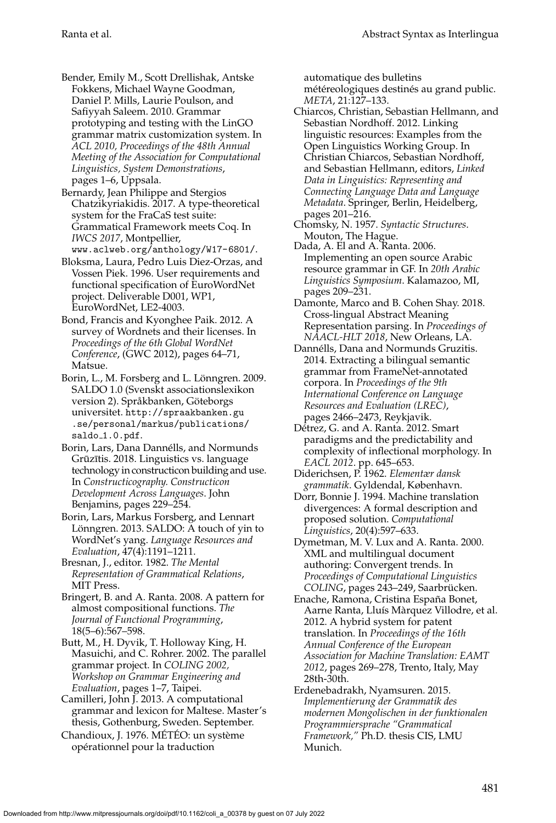Bender, Emily M., Scott Drellishak, Antske Fokkens, Michael Wayne Goodman, Daniel P. Mills, Laurie Poulson, and Safiyyah Saleem. 2010. Grammar prototyping and testing with the LinGO grammar matrix customization system. In *ACL 2010, Proceedings of the 48th Annual Meeting of the Association for Computational Linguistics, System Demonstrations*, pages 1–6, Uppsala.

Bernardy, Jean Philippe and Stergios Chatzikyriakidis. 2017. A type-theoretical system for the FraCaS test suite: Grammatical Framework meets Coq. In *IWCS 2017*, Montpellier, <www.aclweb.org/anthology/W17-6801/>.

Bloksma, Laura, Pedro Luis Diez-Orzas, and Vossen Piek. 1996. User requirements and functional specification of EuroWordNet project. Deliverable D001, WP1, EuroWordNet, LE2-4003.

Bond, Francis and Kyonghee Paik. 2012. A survey of Wordnets and their licenses. In *Proceedings of the 6th Global WordNet Conference*, (GWC 2012), pages 64–71, Matsue.

Borin, L., M. Forsberg and L. Lönngren. 2009. SALDO 1.0 (Svenskt associationslexikon version 2). Språkbanken, Göteborgs universitet. [http://spraakbanken.gu](http://spraakbanken.gu.se/personal/markus/publications/saldo_1.0.pdf) [.se/personal/markus/publications/](http://spraakbanken.gu.se/personal/markus/publications/saldo_1.0.pdf) saldo\_[1.0.pdf](http://spraakbanken.gu.se/personal/markus/publications/saldo_1.0.pdf).

Borin, Lars, Dana Dannélls, and Normunds Grūzītis. 2018. Linguistics vs. language technology in constructicon building and use. In *Constructicography. Constructicon Development Across Languages*. John Benjamins, pages 229–254.

Borin, Lars, Markus Forsberg, and Lennart Lönngren. 2013. SALDO: A touch of yin to WordNet's yang. *Language Resources and Evaluation*, 47(4):1191–1211.

Bresnan, J., editor. 1982. *The Mental Representation of Grammatical Relations*, MIT Press.

Bringert, B. and A. Ranta. 2008. A pattern for almost compositional functions. *The Journal of Functional Programming*, 18(5–6):567–598.

Butt, M., H. Dyvik, T. Holloway King, H. Masuichi, and C. Rohrer. 2002. The parallel grammar project. In *COLING 2002, Workshop on Grammar Engineering and Evaluation*, pages 1–7, Taipei.

Camilleri, John J. 2013. A computational grammar and lexicon for Maltese. Master's thesis, Gothenburg, Sweden. September.

Chandioux, J. 1976. MÉTÉO: un système opérationnel pour la traduction

automatique des bulletins

météreologiques destinés au grand public. *META*, 21:127–133.

- Chiarcos, Christian, Sebastian Hellmann, and Sebastian Nordhoff. 2012. Linking linguistic resources: Examples from the Open Linguistics Working Group. In Christian Chiarcos, Sebastian Nordhoff, and Sebastian Hellmann, editors, *Linked Data in Linguistics: Representing and Connecting Language Data and Language Metadata*. Springer, Berlin, Heidelberg, pages 201–216.
- Chomsky, N. 1957. *Syntactic Structures*. Mouton, The Hague.
- Dada, A. El and A. Ranta. 2006. Implementing an open source Arabic resource grammar in GF. In *20th Arabic Linguistics Symposium*. Kalamazoo, MI, pages 209–231.
- Damonte, Marco and B. Cohen Shay. 2018. Cross-lingual Abstract Meaning Representation parsing. In *Proceedings of NAACL-HLT 2018*, New Orleans, LA.
- Dannélls, Dana and Normunds Gruzitis. 2014. Extracting a bilingual semantic grammar from FrameNet-annotated corpora. In *Proceedings of the 9th International Conference on Language Resources and Evaluation (LREC)*, pages 2466–2473, Reykjavik.
- Détrez, G. and A. Ranta. 2012. Smart paradigms and the predictability and complexity of inflectional morphology. In *EACL 2012*. pp. 645–653.
- Diderichsen, P. 1962. *Elementær dansk grammatik*. Gyldendal, København.

Dorr, Bonnie J. 1994. Machine translation divergences: A formal description and proposed solution. *Computational Linguistics*, 20(4):597–633.

Dymetman, M. V. Lux and A. Ranta. 2000. XML and multilingual document authoring: Convergent trends. In *Proceedings of Computational Linguistics* COLING, pages 243-249, Saarbrücken.

Enache, Ramona, Cristina España Bonet, Aarne Ranta, Lluís Màrquez Villodre, et al. 2012. A hybrid system for patent translation. In *Proceedings of the 16th Annual Conference of the European Association for Machine Translation: EAMT 2012*, pages 269–278, Trento, Italy, May 28th-30th.

Erdenebadrakh, Nyamsuren. 2015. *Implementierung der Grammatik des modernen Mongolischen in der funktionalen Programmiersprache "Grammatical Framework,"* Ph.D. thesis CIS, LMU Munich.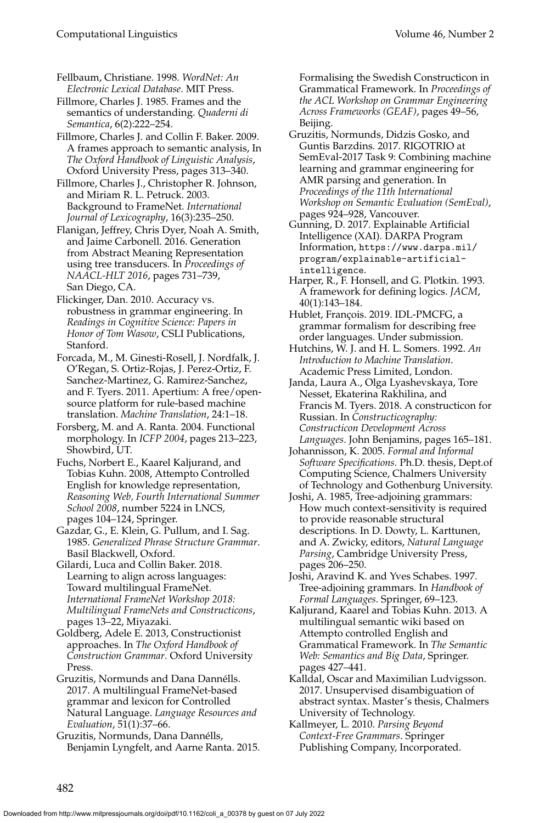Fellbaum, Christiane. 1998. *WordNet: An Electronic Lexical Database*. MIT Press.

Fillmore, Charles J. 1985. Frames and the semantics of understanding. *Quaderni di Semantica*, 6(2):222–254.

Fillmore, Charles J. and Collin F. Baker. 2009. A frames approach to semantic analysis, In *The Oxford Handbook of Linguistic Analysis*, Oxford University Press, pages 313–340.

Fillmore, Charles J., Christopher R. Johnson, and Miriam R. L. Petruck. 2003. Background to FrameNet. *International Journal of Lexicography*, 16(3):235–250.

Flanigan, Jeffrey, Chris Dyer, Noah A. Smith, and Jaime Carbonell. 2016. Generation from Abstract Meaning Representation using tree transducers. In *Proceedings of NAACL-HLT 2016*, pages 731–739, San Diego, CA.

Flickinger, Dan. 2010. Accuracy vs. robustness in grammar engineering. In *Readings in Cognitive Science: Papers in Honor of Tom Wasow*, CSLI Publications, Stanford.

Forcada, M., M. Ginesti-Rosell, J. Nordfalk, J. O'Regan, S. Ortiz-Rojas, J. Perez-Ortiz, F. Sanchez-Martinez, G. Ramirez-Sanchez, and F. Tyers. 2011. Apertium: A free/opensource platform for rule-based machine translation. *Machine Translation*, 24:1–18.

Forsberg, M. and A. Ranta. 2004. Functional morphology. In *ICFP 2004*, pages 213–223, Showbird, UT.

Fuchs, Norbert E., Kaarel Kaljurand, and Tobias Kuhn. 2008, Attempto Controlled English for knowledge representation, *Reasoning Web, Fourth International Summer School 2008*, number 5224 in LNCS, pages 104–124, Springer.

Gazdar, G., E. Klein, G. Pullum, and I. Sag. 1985. *Generalized Phrase Structure Grammar*. Basil Blackwell, Oxford.

Gilardi, Luca and Collin Baker. 2018. Learning to align across languages: Toward multilingual FrameNet. *International FrameNet Workshop 2018: Multilingual FrameNets and Constructicons*, pages 13–22, Miyazaki.

Goldberg, Adele E. 2013, Constructionist approaches. In *The Oxford Handbook of Construction Grammar*. Oxford University Press.

Gruzitis, Normunds and Dana Dannélls. 2017. A multilingual FrameNet-based grammar and lexicon for Controlled Natural Language. *Language Resources and Evaluation*, 51(1):37–66.

Gruzitis, Normunds, Dana Dannélls, Benjamin Lyngfelt, and Aarne Ranta. 2015. Formalising the Swedish Constructicon in Grammatical Framework. In *Proceedings of the ACL Workshop on Grammar Engineering Across Frameworks (GEAF)*, pages 49–56, Beijing.

Gruzitis, Normunds, Didzis Gosko, and Guntis Barzdins. 2017. RIGOTRIO at SemEval-2017 Task 9: Combining machine learning and grammar engineering for AMR parsing and generation. In *Proceedings of the 11th International Workshop on Semantic Evaluation (SemEval)*, pages 924–928, Vancouver.

Gunning, D. 2017. Explainable Artificial Intelligence (XAI). DARPA Program Information, [https://www.darpa.mil/](https://www.darpa.mil/program/explainable-artificial-intelligence) [program/explainable-artificial](https://www.darpa.mil/program/explainable-artificial-intelligence)[intelligence](https://www.darpa.mil/program/explainable-artificial-intelligence).

Harper, R., F. Honsell, and G. Plotkin. 1993. A framework for defining logics. *JACM*, 40(1):143–184.

Hublet, François. 2019. IDL-PMCFG, a grammar formalism for describing free order languages. Under submission.

Hutchins, W. J. and H. L. Somers. 1992. *An Introduction to Machine Translation*. Academic Press Limited, London.

Janda, Laura A., Olga Lyashevskaya, Tore Nesset, Ekaterina Rakhilina, and Francis M. Tyers. 2018. A constructicon for Russian. In *Constructicography: Constructicon Development Across Languages*. John Benjamins, pages 165–181.

Johannisson, K. 2005. *Formal and Informal Software Specifications*. Ph.D. thesis, Dept.of Computing Science, Chalmers University of Technology and Gothenburg University.

Joshi, A. 1985, Tree-adjoining grammars: How much context-sensitivity is required to provide reasonable structural descriptions. In D. Dowty, L. Karttunen, and A. Zwicky, editors, *Natural Language Parsing*, Cambridge University Press, pages 206–250.

Joshi, Aravind K. and Yves Schabes. 1997. Tree-adjoining grammars. In *Handbook of Formal Languages*. Springer, 69–123.

Kaljurand, Kaarel and Tobias Kuhn. 2013. A multilingual semantic wiki based on Attempto controlled English and Grammatical Framework. In *The Semantic Web: Semantics and Big Data*, Springer. pages 427–441.

Kalldal, Oscar and Maximilian Ludvigsson. 2017. Unsupervised disambiguation of abstract syntax. Master's thesis, Chalmers University of Technology.

Kallmeyer, L. 2010. *Parsing Beyond Context-Free Grammars*. Springer Publishing Company, Incorporated.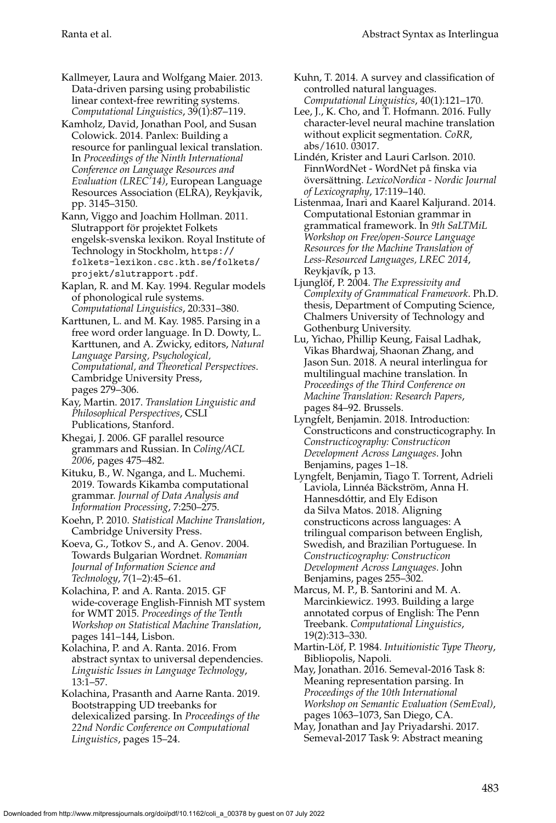Kallmeyer, Laura and Wolfgang Maier. 2013. Data-driven parsing using probabilistic linear context-free rewriting systems. *Computational Linguistics*, 39(1):87–119.

Kamholz, David, Jonathan Pool, and Susan Colowick. 2014. Panlex: Building a resource for panlingual lexical translation. In *Proceedings of the Ninth International Conference on Language Resources and Evaluation (LREC'14)*, European Language Resources Association (ELRA), Reykjavik, pp. 3145–3150.

Kann, Viggo and Joachim Hollman. 2011. Slutrapport för projektet Folkets engelsk-svenska lexikon. Royal Institute of Technology in Stockholm, [https://](https://folkets-lexikon.csc.kth.se/folkets/projekt/slutrapport.pdf) [folkets-lexikon.csc.kth.se/folkets/](https://folkets-lexikon.csc.kth.se/folkets/projekt/slutrapport.pdf) [projekt/slutrapport.pdf](https://folkets-lexikon.csc.kth.se/folkets/projekt/slutrapport.pdf).

Kaplan, R. and M. Kay. 1994. Regular models of phonological rule systems. *Computational Linguistics*, 20:331–380.

Karttunen, L. and M. Kay. 1985. Parsing in a free word order language. In D. Dowty, L. Karttunen, and A. Zwicky, editors, *Natural Language Parsing, Psychological, Computational, and Theoretical Perspectives*. Cambridge University Press, pages 279–306.

Kay, Martin. 2017. *Translation Linguistic and Philosophical Perspectives*, CSLI Publications, Stanford.

Khegai, J. 2006. GF parallel resource grammars and Russian. In *Coling/ACL 2006*, pages 475–482.

Kituku, B., W. Nganga, and L. Muchemi. 2019. Towards Kikamba computational grammar. *Journal of Data Analysis and Information Processing*, 7:250–275.

Koehn, P. 2010. *Statistical Machine Translation*, Cambridge University Press.

Koeva, G., Totkov S., and A. Genov. 2004. Towards Bulgarian Wordnet. *Romanian Journal of Information Science and Technology*, 7(1–2):45–61.

Kolachina, P. and A. Ranta. 2015. GF wide-coverage English-Finnish MT system for WMT 2015. *Proceedings of the Tenth Workshop on Statistical Machine Translation*, pages 141–144, Lisbon.

Kolachina, P. and A. Ranta. 2016. From abstract syntax to universal dependencies. *Linguistic Issues in Language Technology*, 13:1–57.

Kolachina, Prasanth and Aarne Ranta. 2019. Bootstrapping UD treebanks for delexicalized parsing. In *Proceedings of the 22nd Nordic Conference on Computational Linguistics*, pages 15–24.

Kuhn, T. 2014. A survey and classification of controlled natural languages. *Computational Linguistics*, 40(1):121–170.

Lee, J., K. Cho, and T. Hofmann. 2016. Fully character-level neural machine translation without explicit segmentation. *CoRR*, abs/1610. 03017.

Linden, Krister and Lauri Carlson. 2010. ´ FinnWordNet - WordNet på finska via översättning. LexicoNordica - Nordic Journal *of Lexicography*, 17:119–140.

Listenmaa, Inari and Kaarel Kaljurand. 2014. Computational Estonian grammar in grammatical framework. In *9th SaLTMiL Workshop on Free/open-Source Language Resources for the Machine Translation of Less-Resourced Languages, LREC 2014*, Reykjavík, p 13.

Ljunglöf, P. 2004. The Expressivity and *Complexity of Grammatical Framework*. Ph.D. thesis, Department of Computing Science, Chalmers University of Technology and Gothenburg University.

Lu, Yichao, Phillip Keung, Faisal Ladhak, Vikas Bhardwaj, Shaonan Zhang, and Jason Sun. 2018. A neural interlingua for multilingual machine translation. In *Proceedings of the Third Conference on Machine Translation: Research Papers*, pages 84–92. Brussels.

Lyngfelt, Benjamin. 2018. Introduction: Constructicons and constructicography. In *Constructicography: Constructicon Development Across Languages*. John Benjamins, pages 1–18.

Lyngfelt, Benjamin, Tiago T. Torrent, Adrieli Laviola, Linnéa Bäckström, Anna H. Hannesdóttir, and Ely Edison da Silva Matos. 2018. Aligning constructicons across languages: A trilingual comparison between English, Swedish, and Brazilian Portuguese. In *Constructicography: Constructicon Development Across Languages*. John Benjamins, pages 255–302.

Marcus, M. P., B. Santorini and M. A. Marcinkiewicz. 1993. Building a large annotated corpus of English: The Penn Treebank. *Computational Linguistics*, 19(2):313–330.

Martin-Löf, P. 1984. Intuitionistic Type Theory, Bibliopolis, Napoli.

May, Jonathan. 2016. Semeval-2016 Task 8: Meaning representation parsing. In *Proceedings of the 10th International Workshop on Semantic Evaluation (SemEval)*, pages 1063–1073, San Diego, CA.

May, Jonathan and Jay Priyadarshi. 2017. Semeval-2017 Task 9: Abstract meaning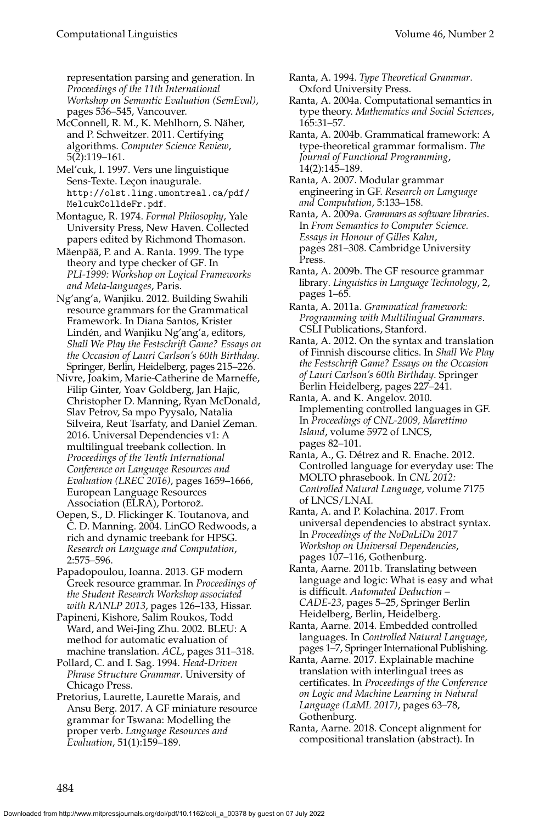representation parsing and generation. In *Proceedings of the 11th International Workshop on Semantic Evaluation (SemEval)*, pages 536–545, Vancouver.

McConnell, R. M., K. Mehlhorn, S. Naher, ¨ and P. Schweitzer. 2011. Certifying algorithms. *Computer Science Review*, 5(2):119–161.

Mel'cuk, I. 1997. Vers une linguistique Sens-Texte. Leçon inaugurale. [http://olst.ling.umontreal.ca/pdf/](http://olst.ling.umontreal.ca/pdf/MelcukColldeFr.pdf) [MelcukColldeFr.pdf](http://olst.ling.umontreal.ca/pdf/MelcukColldeFr.pdf).

Montague, R. 1974. *Formal Philosophy*, Yale University Press, New Haven. Collected papers edited by Richmond Thomason.

Mäenpää, P. and A. Ranta. 1999. The type theory and type checker of GF. In *PLI-1999: Workshop on Logical Frameworks and Meta-languages*, Paris.

Ng'ang'a, Wanjiku. 2012. Building Swahili resource grammars for the Grammatical Framework. In Diana Santos, Krister Lindén, and Wanjiku Ng'ang'a, editors, *Shall We Play the Festschrift Game? Essays on the Occasion of Lauri Carlson's 60th Birthday*. Springer, Berlin, Heidelberg, pages 215–226.

Nivre, Joakim, Marie-Catherine de Marneffe, Filip Ginter, Yoav Goldberg, Jan Hajic, Christopher D. Manning, Ryan McDonald, Slav Petrov, Sa mpo Pyysalo, Natalia Silveira, Reut Tsarfaty, and Daniel Zeman. 2016. Universal Dependencies v1: A multilingual treebank collection. In *Proceedings of the Tenth International Conference on Language Resources and Evaluation (LREC 2016)*, pages 1659–1666, European Language Resources Association (ELRA), Portorož.

Oepen, S., D. Flickinger K. Toutanova, and C. D. Manning. 2004. LinGO Redwoods, a rich and dynamic treebank for HPSG. *Research on Language and Computation*, 2:575–596.

Papadopoulou, Ioanna. 2013. GF modern Greek resource grammar. In *Proceedings of the Student Research Workshop associated with RANLP 2013*, pages 126–133, Hissar.

Papineni, Kishore, Salim Roukos, Todd Ward, and Wei-Jing Zhu. 2002. BLEU: A method for automatic evaluation of machine translation. *ACL*, pages 311–318.

Pollard, C. and I. Sag. 1994. *Head-Driven Phrase Structure Grammar*. University of Chicago Press.

Pretorius, Laurette, Laurette Marais, and Ansu Berg. 2017. A GF miniature resource grammar for Tswana: Modelling the proper verb. *Language Resources and Evaluation*, 51(1):159–189.

Ranta, A. 1994. *Type Theoretical Grammar*. Oxford University Press.

Ranta, A. 2004a. Computational semantics in type theory. *Mathematics and Social Sciences*, 165:31–57.

Ranta, A. 2004b. Grammatical framework: A type-theoretical grammar formalism. *The Journal of Functional Programming*, 14(2):145–189.

Ranta, A. 2007. Modular grammar engineering in GF. *Research on Language and Computation*, 5:133–158.

Ranta, A. 2009a. *Grammars as software libraries*. In *From Semantics to Computer Science. Essays in Honour of Gilles Kahn*, pages 281–308. Cambridge University Press.

Ranta, A. 2009b. The GF resource grammar library. *Linguistics in Language Technology*, 2, pages 1–65.

Ranta, A. 2011a. *Grammatical framework: Programming with Multilingual Grammars*. CSLI Publications, Stanford.

Ranta, A. 2012. On the syntax and translation of Finnish discourse clitics. In *Shall We Play the Festschrift Game? Essays on the Occasion of Lauri Carlson's 60th Birthday*. Springer Berlin Heidelberg, pages 227–241.

Ranta, A. and K. Angelov. 2010. Implementing controlled languages in GF. In *Proceedings of CNL-2009, Marettimo Island*, volume 5972 of LNCS, pages 82–101.

Ranta, A., G. Détrez and R. Enache. 2012. Controlled language for everyday use: The MOLTO phrasebook. In *CNL 2012: Controlled Natural Language*, volume 7175 of LNCS/LNAI.

Ranta, A. and P. Kolachina. 2017. From universal dependencies to abstract syntax. In *Proceedings of the NoDaLiDa 2017 Workshop on Universal Dependencies*, pages 107–116, Gothenburg.

Ranta, Aarne. 2011b. Translating between language and logic: What is easy and what is difficult. *Automated Deduction – CADE-23*, pages 5–25, Springer Berlin Heidelberg, Berlin, Heidelberg.

Ranta, Aarne. 2014. Embedded controlled languages. In *Controlled Natural Language*, pages 1–7, Springer International Publishing.

Ranta, Aarne. 2017. Explainable machine translation with interlingual trees as certificates. In *Proceedings of the Conference on Logic and Machine Learning in Natural Language (LaML 2017)*, pages 63–78, Gothenburg.

Ranta, Aarne. 2018. Concept alignment for compositional translation (abstract). In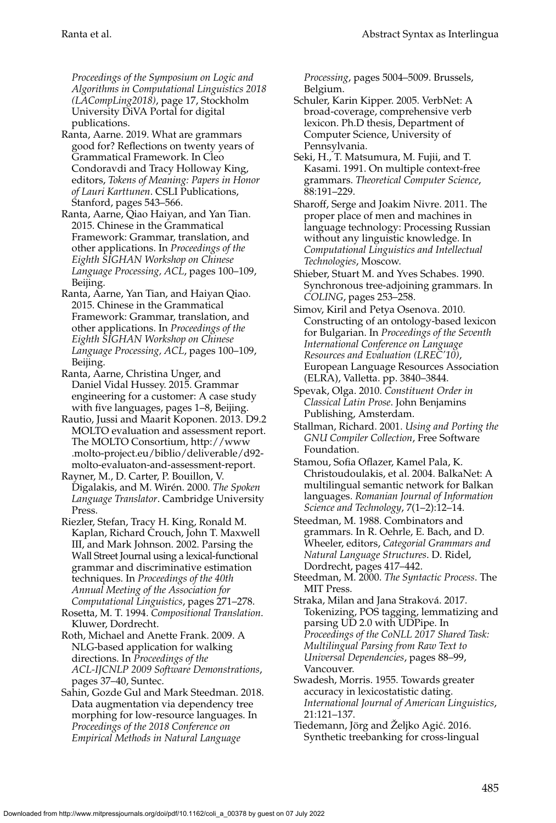*Proceedings of the Symposium on Logic and Algorithms in Computational Linguistics 2018 (LACompLing2018)*, page 17, Stockholm University DiVA Portal for digital publications.

- Ranta, Aarne. 2019. What are grammars good for? Reflections on twenty years of Grammatical Framework. In Cleo Condoravdi and Tracy Holloway King, editors, *Tokens of Meaning: Papers in Honor of Lauri Karttunen*. CSLI Publications, Stanford, pages 543–566.
- Ranta, Aarne, Qiao Haiyan, and Yan Tian. 2015. Chinese in the Grammatical Framework: Grammar, translation, and other applications. In *Proceedings of the Eighth SIGHAN Workshop on Chinese Language Processing, ACL*, pages 100–109, Beijing.
- Ranta, Aarne, Yan Tian, and Haiyan Qiao. 2015. Chinese in the Grammatical Framework: Grammar, translation, and other applications. In *Proceedings of the Eighth SIGHAN Workshop on Chinese Language Processing, ACL*, pages 100–109, Beijing.
- Ranta, Aarne, Christina Unger, and Daniel Vidal Hussey. 2015. Grammar engineering for a customer: A case study with five languages, pages 1–8, Beijing.
- Rautio, Jussi and Maarit Koponen. 2013. D9.2 MOLTO evaluation and assessment report. The MOLTO Consortium, [http://www](http://www.molto-project.eu/biblio/deliverable/d92-molto-evaluaton-and-assessment-report) [.molto-project.eu/biblio/deliverable/d92](http://www.molto-project.eu/biblio/deliverable/d92-molto-evaluaton-and-assessment-report) [molto-evaluaton-and-assessment-report.](http://www.molto-project.eu/biblio/deliverable/d92-molto-evaluaton-and-assessment-report)
- Rayner, M., D. Carter, P. Bouillon, V. Digalakis, and M. Wirén. 2000. The Spoken *Language Translator*. Cambridge University Press.
- Riezler, Stefan, Tracy H. King, Ronald M. Kaplan, Richard Crouch, John T. Maxwell III, and Mark Johnson. 2002. Parsing the Wall Street Journal using a lexical-functional grammar and discriminative estimation techniques. In *Proceedings of the 40th Annual Meeting of the Association for Computational Linguistics*, pages 271–278.
- Rosetta, M. T. 1994. *Compositional Translation*. Kluwer, Dordrecht.
- Roth, Michael and Anette Frank. 2009. A NLG-based application for walking directions. In *Proceedings of the ACL-IJCNLP 2009 Software Demonstrations*, pages 37–40, Suntec.
- Sahin, Gozde Gul and Mark Steedman. 2018. Data augmentation via dependency tree morphing for low-resource languages. In *Proceedings of the 2018 Conference on Empirical Methods in Natural Language*

*Processing*, pages 5004–5009. Brussels, Belgium.

- Schuler, Karin Kipper. 2005. VerbNet: A broad-coverage, comprehensive verb lexicon. Ph.D thesis, Department of Computer Science, University of Pennsylvania.
- Seki, H., T. Matsumura, M. Fujii, and T. Kasami. 1991. On multiple context-free grammars. *Theoretical Computer Science*, 88:191–229.
- Sharoff, Serge and Joakim Nivre. 2011. The proper place of men and machines in language technology: Processing Russian without any linguistic knowledge. In *Computational Linguistics and Intellectual Technologies*, Moscow.
- Shieber, Stuart M. and Yves Schabes. 1990. Synchronous tree-adjoining grammars. In *COLING*, pages 253–258.
- Simov, Kiril and Petya Osenova. 2010. Constructing of an ontology-based lexicon for Bulgarian. In *Proceedings of the Seventh International Conference on Language Resources and Evaluation (LREC'10)*, European Language Resources Association (ELRA), Valletta. pp. 3840–3844.
- Spevak, Olga. 2010. *Constituent Order in Classical Latin Prose*. John Benjamins Publishing, Amsterdam.
- Stallman, Richard. 2001. *Using and Porting the GNU Compiler Collection*, Free Software Foundation.
- Stamou, Sofia Oflazer, Kamel Pala, K. Christoudoulakis, et al. 2004. BalkaNet: A multilingual semantic network for Balkan languages. *Romanian Journal of Information Science and Technology*, 7(1–2):12–14.
- Steedman, M. 1988. Combinators and grammars. In R. Oehrle, E. Bach, and D. Wheeler, editors, *Categorial Grammars and Natural Language Structures*. D. Ridel, Dordrecht, pages 417–442.
- Steedman, M. 2000. *The Syntactic Process*. The MIT Press.
- Straka, Milan and Jana Straková. 2017. Tokenizing, POS tagging, lemmatizing and parsing UD 2.0 with UDPipe. In *Proceedings of the CoNLL 2017 Shared Task: Multilingual Parsing from Raw Text to Universal Dependencies*, pages 88–99, Vancouver.
- Swadesh, Morris. 1955. Towards greater accuracy in lexicostatistic dating. *International Journal of American Linguistics*, 21:121–137.
- Tiedemann, Jörg and Željko Agić. 2016. Synthetic treebanking for cross-lingual